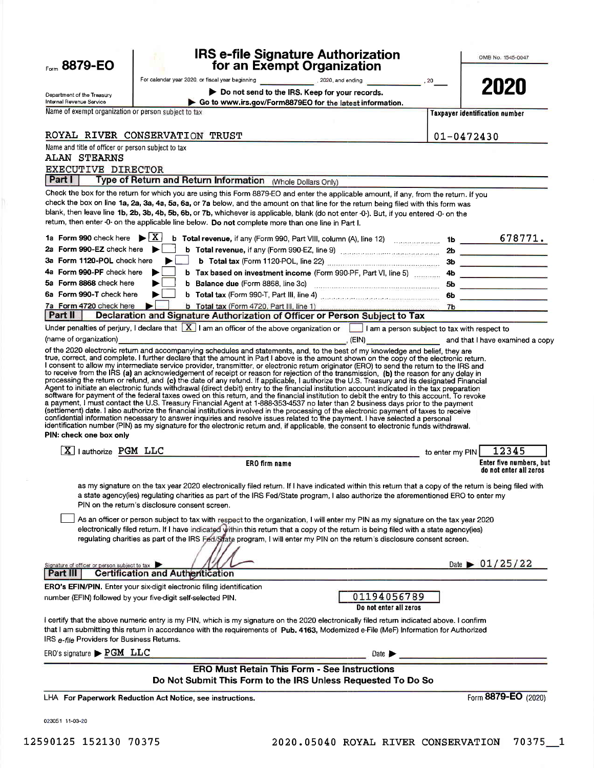| Form 8879-EO                                           | <b>IRS e-file Signature Authorization</b><br>for an Exempt Organization                                                                                                                                                                                                                                                                                                                                                                                                                                                                                                                                                                                                                                                                                                                                                                           |                 | OMB No. 1545-0047                                 |
|--------------------------------------------------------|---------------------------------------------------------------------------------------------------------------------------------------------------------------------------------------------------------------------------------------------------------------------------------------------------------------------------------------------------------------------------------------------------------------------------------------------------------------------------------------------------------------------------------------------------------------------------------------------------------------------------------------------------------------------------------------------------------------------------------------------------------------------------------------------------------------------------------------------------|-----------------|---------------------------------------------------|
|                                                        | For calendar year 2020, or fiscal year beginning <b>Commission Commission Commission Commission</b> , 20                                                                                                                                                                                                                                                                                                                                                                                                                                                                                                                                                                                                                                                                                                                                          |                 |                                                   |
| Department of the Treasury<br>Internal Revenue Service | Do not send to the IRS. Keep for your records.<br>Go to www.irs.gov/Form8879EO for the latest information.                                                                                                                                                                                                                                                                                                                                                                                                                                                                                                                                                                                                                                                                                                                                        |                 | 2020                                              |
| Name of exempt organization or person subject to tax   |                                                                                                                                                                                                                                                                                                                                                                                                                                                                                                                                                                                                                                                                                                                                                                                                                                                   |                 | <b>Taxpayer identification number</b>             |
|                                                        | ROYAL RIVER CONSERVATION TRUST                                                                                                                                                                                                                                                                                                                                                                                                                                                                                                                                                                                                                                                                                                                                                                                                                    |                 |                                                   |
| Name and title of officer or person subject to tax     |                                                                                                                                                                                                                                                                                                                                                                                                                                                                                                                                                                                                                                                                                                                                                                                                                                                   |                 | $01 - 0472430$                                    |
| <b>ALAN STEARNS</b>                                    |                                                                                                                                                                                                                                                                                                                                                                                                                                                                                                                                                                                                                                                                                                                                                                                                                                                   |                 |                                                   |
| <b>EXECUTIVE DIRECTOR</b><br>Part I                    | Type of Return and Return Information (Whole Dollars Only)                                                                                                                                                                                                                                                                                                                                                                                                                                                                                                                                                                                                                                                                                                                                                                                        |                 |                                                   |
|                                                        | Check the box for the return for which you are using this Form 8879-EO and enter the applicable amount, if any, from the return. If you                                                                                                                                                                                                                                                                                                                                                                                                                                                                                                                                                                                                                                                                                                           |                 |                                                   |
|                                                        | check the box on line 1a, 2a, 3a, 4a, 5a, 6a, or 7a below, and the amount on that line for the return being filed with this form was<br>blank, then leave line 1b, 2b, 3b, 4b, 5b, 6b, or 7b, whichever is applicable, blank (do not enter -0-). But, if you entered -0- on the<br>retum, then enter -0- on the applicable line below. Do not complete more than one line in Part I.                                                                                                                                                                                                                                                                                                                                                                                                                                                              |                 |                                                   |
|                                                        |                                                                                                                                                                                                                                                                                                                                                                                                                                                                                                                                                                                                                                                                                                                                                                                                                                                   |                 |                                                   |
| 2a Form 990-EZ check here $\blacktriangleright$        | b Total revenue, if any (Form 990-EZ, line 9) [10] Total Contract 2b                                                                                                                                                                                                                                                                                                                                                                                                                                                                                                                                                                                                                                                                                                                                                                              |                 |                                                   |
| 3a Form 1120-POL check here                            |                                                                                                                                                                                                                                                                                                                                                                                                                                                                                                                                                                                                                                                                                                                                                                                                                                                   |                 |                                                   |
| 4a Form 990-PF check here<br>5a Form 8868 check here   | b Tax based on investment income (Form 990-PF, Part VI, line 5) 4b                                                                                                                                                                                                                                                                                                                                                                                                                                                                                                                                                                                                                                                                                                                                                                                |                 |                                                   |
| 6a Form 990-T check here                               |                                                                                                                                                                                                                                                                                                                                                                                                                                                                                                                                                                                                                                                                                                                                                                                                                                                   |                 |                                                   |
| 7a Form 4720 check here                                |                                                                                                                                                                                                                                                                                                                                                                                                                                                                                                                                                                                                                                                                                                                                                                                                                                                   |                 |                                                   |
| Part II                                                | Declaration and Signature Authorization of Officer or Person Subject to Tax<br>Under penalties of perjury, I declare that $\boxed{X}$ I am an officer of the above organization or $\boxed{ }$ I am a person subject to tax with respect to                                                                                                                                                                                                                                                                                                                                                                                                                                                                                                                                                                                                       |                 |                                                   |
| PIN: check one box only<br>X   authorize PGM LLC       | Agent to initiate an electronic funds withdrawal (direct debit) entry to the financial institution account indicated in the tax preparation<br>software for payment of the federal taxes owed on this return, and the financial institution to debit the entry to this account. To revoke<br>a payment, I must contact the U.S. Treasury Financial Agent at 1-888-353-4537 no later than 2 business days prior to the payment<br>(settlement) date. I also authorize the financial institutions involved in the processing of the electronic payment of taxes to receive<br>confidential information necessary to answer inquiries and resolve issues related to the payment. I have selected a personal<br>identification number (PIN) as my signature for the electronic return and, if applicable, the consent to electronic funds withdrawal. | to enter my PIN | 12345                                             |
|                                                        | ERO firm name                                                                                                                                                                                                                                                                                                                                                                                                                                                                                                                                                                                                                                                                                                                                                                                                                                     |                 | Enter five numbers, but<br>do not enter all zeros |
|                                                        | as my signature on the tax year 2020 electronically filed return. If I have indicated within this return that a copy of the return is being filed with<br>a state agency(ies) regulating charities as part of the IRS Fed/State program, I also authorize the aforementioned ERO to enter my<br>PIN on the return's disclosure consent screen.<br>As an officer or person subject to tax with respect to the organization, I will enter my PIN as my signature on the tax year 2020<br>electronically filed return. If I have indicated within this return that a copy of the return is being filed with a state agency(ies)<br>regulating charities as part of the IRS Fed/State program, I will enter my PIN on the return's disclosure consent screen.                                                                                         |                 |                                                   |
| Signature of officer or person subject to tax          |                                                                                                                                                                                                                                                                                                                                                                                                                                                                                                                                                                                                                                                                                                                                                                                                                                                   |                 | Date $\triangleright$ 01/25/22                    |
| Part III                                               | <b>Certification and Authentication</b>                                                                                                                                                                                                                                                                                                                                                                                                                                                                                                                                                                                                                                                                                                                                                                                                           |                 |                                                   |
|                                                        | ERO's EFIN/PIN. Enter your six-digit electronic filing identification<br>01194056789<br>number (EFIN) followed by your five-digit self-selected PIN.<br>Do not enter all zeros                                                                                                                                                                                                                                                                                                                                                                                                                                                                                                                                                                                                                                                                    |                 |                                                   |
| IRS e-file Providers for Business Returns.             | I certify that the above numeric entry is my PIN, which is my signature on the 2020 electronically filed return indicated above. I confirm<br>that I am submitting this return in accordance with the requirements of Pub. 4163, Modemized e-File (MeF) Information for Authorized                                                                                                                                                                                                                                                                                                                                                                                                                                                                                                                                                                |                 |                                                   |
| $ERO's signature \rightarrow PGM$ LLC                  | Date $\blacktriangleright$                                                                                                                                                                                                                                                                                                                                                                                                                                                                                                                                                                                                                                                                                                                                                                                                                        |                 |                                                   |
|                                                        | <b>ERO Must Retain This Form - See Instructions</b><br>Do Not Submit This Form to the IRS Unless Requested To Do So                                                                                                                                                                                                                                                                                                                                                                                                                                                                                                                                                                                                                                                                                                                               |                 |                                                   |
|                                                        | LHA For Paperwork Reduction Act Notice, see instructions.                                                                                                                                                                                                                                                                                                                                                                                                                                                                                                                                                                                                                                                                                                                                                                                         |                 | Form 8879-EO (2020)                               |

023051 11-03-20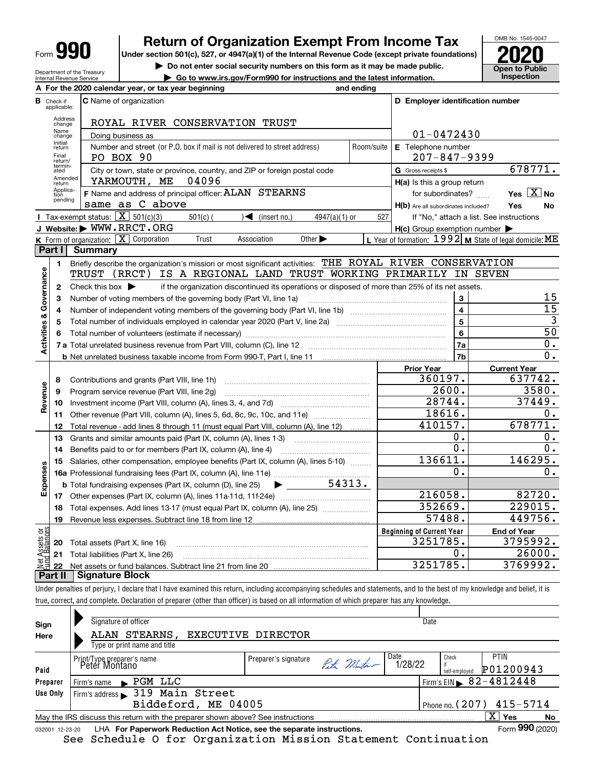| Form |  |
|------|--|
|------|--|

Department of the Treasury Internal Revenue Service

### **Return of Organization Exempt From Income Tax**

**Under section 501(c), 527, or 4947(a)(1) of the Internal Revenue Code (except private foundations) 2020**

**| Do not enter social security numbers on this form as it may be made public.**

**| Go to www.irs.gov/Form990 for instructions and the latest information. Inspection**



|                         |                                  | A For the 2020 calendar year, or tax year beginning                                                                                     | and ending |                                                     |                                                           |
|-------------------------|----------------------------------|-----------------------------------------------------------------------------------------------------------------------------------------|------------|-----------------------------------------------------|-----------------------------------------------------------|
|                         | <b>B</b> Check if<br>applicable: | <b>C</b> Name of organization                                                                                                           |            | D Employer identification number                    |                                                           |
|                         | Address<br>change                | ROYAL RIVER CONSERVATION TRUST                                                                                                          |            |                                                     |                                                           |
|                         | Name<br>change                   | Doing business as                                                                                                                       |            | $01 - 0472430$                                      |                                                           |
|                         | Initial<br>return                | Number and street (or P.O. box if mail is not delivered to street address)                                                              | Room/suite | E Telephone number                                  |                                                           |
|                         | Final<br>return/                 | PO BOX 90                                                                                                                               |            | $207 - 847 - 9399$                                  |                                                           |
|                         | termin-<br>ated                  | City or town, state or province, country, and ZIP or foreign postal code                                                                |            | G Gross receipts \$                                 | 678771.                                                   |
|                         | Amended<br>return                | YARMOUTH, ME<br>04096                                                                                                                   |            | H(a) Is this a group return                         |                                                           |
|                         | Applica-<br>tion                 | F Name and address of principal officer: ALAN STEARNS                                                                                   |            | for subordinates?                                   | Yes $X$ No                                                |
|                         | pending                          | same as C above                                                                                                                         |            | H(b) Are all subordinates included?                 | Yes<br><b>No</b>                                          |
|                         |                                  | <b>I</b> Tax-exempt status: $\overline{X}$ 501(c)(3)<br>$\sqrt{\bullet}$ (insert no.)<br>$501(c)$ (<br>$4947(a)(1)$ or                  | 527        |                                                     | If "No," attach a list. See instructions                  |
|                         |                                  | J Website: WWW.RRCT.ORG                                                                                                                 |            | $H(c)$ Group exemption number $\blacktriangleright$ |                                                           |
|                         |                                  | K Form of organization: $X$ Corporation<br>Trust<br>Other $\blacktriangleright$<br>Association                                          |            |                                                     | L Year of formation: $1992$ M State of legal domicile: ME |
|                         | Part I                           | <b>Summary</b>                                                                                                                          |            |                                                     |                                                           |
|                         | 1                                | Briefly describe the organization's mission or most significant activities: THE ROYAL RIVER CONSERVATION                                |            |                                                     |                                                           |
|                         |                                  | IS A REGIONAL LAND TRUST WORKING PRIMARILY IN SEVEN<br>TRUST (RRCT)                                                                     |            |                                                     |                                                           |
| Activities & Governance | $\mathbf{2}$                     | if the organization discontinued its operations or disposed of more than 25% of its net assets.<br>Check this box $\blacktriangleright$ |            |                                                     |                                                           |
|                         | 3                                | Number of voting members of the governing body (Part VI, line 1a)                                                                       |            | 3                                                   | 15                                                        |
|                         | 4                                |                                                                                                                                         |            | $\overline{\mathbf{4}}$                             | $\overline{15}$                                           |
|                         | 5                                |                                                                                                                                         |            | $\overline{5}$                                      | $\overline{3}$                                            |
|                         | 6                                |                                                                                                                                         |            | $6\phantom{a}$                                      | $\overline{50}$                                           |
|                         |                                  |                                                                                                                                         |            | 7a                                                  | $\overline{0}$ .                                          |
|                         |                                  |                                                                                                                                         |            | 7 <sub>b</sub>                                      | 0.                                                        |
|                         |                                  |                                                                                                                                         |            | <b>Prior Year</b>                                   | <b>Current Year</b>                                       |
|                         | 8                                | Contributions and grants (Part VIII, line 1h)                                                                                           |            | 360197.                                             | 637742.                                                   |
| Revenue                 | 9                                | Program service revenue (Part VIII, line 2g)                                                                                            |            | 2600.                                               | 3580.                                                     |
|                         | 10                               |                                                                                                                                         |            | 28744.                                              | 37449.                                                    |
|                         | 11                               | Other revenue (Part VIII, column (A), lines 5, 6d, 8c, 9c, 10c, and 11e)                                                                |            | 18616.                                              | 0.                                                        |
|                         | 12                               | Total revenue - add lines 8 through 11 (must equal Part VIII, column (A), line 12)                                                      |            | 410157.                                             | 678771.                                                   |
|                         | 13                               | Grants and similar amounts paid (Part IX, column (A), lines 1-3)                                                                        |            | 0.                                                  | 0.                                                        |
|                         | 14                               |                                                                                                                                         |            | 0.                                                  | 0.                                                        |
|                         | 15                               | Salaries, other compensation, employee benefits (Part IX, column (A), lines 5-10)                                                       |            | 136611.                                             | 146295.                                                   |
| Expenses                |                                  |                                                                                                                                         |            | 0.                                                  | 0.                                                        |
|                         |                                  | 54313.<br><b>b</b> Total fundraising expenses (Part IX, column (D), line 25)<br>$\blacktriangleright$ and $\blacktriangleright$         |            |                                                     |                                                           |
|                         |                                  |                                                                                                                                         |            | 216058.                                             | 82720.                                                    |
|                         | 18                               | Total expenses. Add lines 13-17 (must equal Part IX, column (A), line 25) [                                                             |            | 352669.                                             | 229015.                                                   |
|                         | 19                               |                                                                                                                                         |            | 57488.                                              | 449756.                                                   |
| ag                      |                                  |                                                                                                                                         |            | <b>Beginning of Current Year</b>                    | <b>End of Year</b>                                        |
| Assets<br>Balanc        | 20                               | Total assets (Part X, line 16)                                                                                                          |            | 3251785.                                            | 3795992.                                                  |
|                         | 21                               | Total liabilities (Part X, line 26)                                                                                                     |            | о.                                                  | 26000.                                                    |
|                         | 22                               |                                                                                                                                         |            | 3251785.                                            | 3769992.                                                  |
|                         | Part II                          | Signature Block                                                                                                                         |            |                                                     |                                                           |

Under penalties of perjury, I declare that I have examined this return, including accompanying schedules and statements, and to the best of my knowledge and belief, it is true, correct, and complete. Declaration of preparer (other than officer) is based on all information of which preparer has any knowledge.

|                 | See Schedule O for Organization Mission Statement Continuation                  |                      |             |         |               |                                        |    |
|-----------------|---------------------------------------------------------------------------------|----------------------|-------------|---------|---------------|----------------------------------------|----|
| 032001 12-23-20 | LHA For Paperwork Reduction Act Notice, see the separate instructions.          |                      |             |         |               | Form 990 (2020)                        |    |
|                 | May the IRS discuss this return with the preparer shown above? See instructions |                      |             |         |               | $\overline{X}$ Yes                     | No |
|                 | Biddeford, ME 04005                                                             |                      |             |         |               | Phone no. $(207)$ 415-5714             |    |
| Use Only        | $Firm's address \rightarrow 319$ Main Street                                    |                      |             |         |               |                                        |    |
| Preparer        | $\blacktriangleright$ PGM LLC<br>Firm's name                                    |                      |             |         |               | Firm's EIN $\triangleright$ 82-4812448 |    |
| Paid            | Print/Type preparer's name<br>Peter Montano                                     |                      | Peter Mutan | 1/28/22 | self-employed | P01200943                              |    |
|                 |                                                                                 | Preparer's signature |             | Date    | Check         | <b>PTIN</b>                            |    |
|                 | Type or print name and title                                                    |                      |             |         |               |                                        |    |
| Here            | ALAN STEARNS,                                                                   | EXECUTIVE DIRECTOR   |             |         |               |                                        |    |
| Sign            | Signature of officer                                                            |                      |             |         | Date          |                                        |    |
|                 |                                                                                 |                      |             |         |               |                                        |    |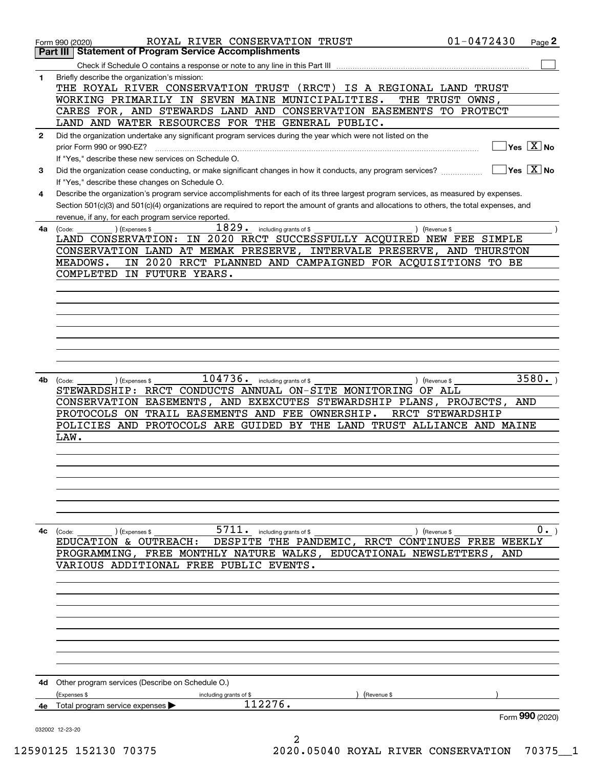|              | ROYAL RIVER CONSERVATION TRUST<br>Form 990 (2020)                                                                                                               | $01 - 0472430$   | Page 2                      |
|--------------|-----------------------------------------------------------------------------------------------------------------------------------------------------------------|------------------|-----------------------------|
|              | <b>Statement of Program Service Accomplishments</b><br>Part III I                                                                                               |                  |                             |
|              |                                                                                                                                                                 |                  |                             |
| 1            | Briefly describe the organization's mission:<br>THE ROYAL RIVER CONSERVATION TRUST (RRCT)<br>IS A REGIONAL LAND TRUST                                           |                  |                             |
|              | WORKING PRIMARILY IN SEVEN MAINE MUNICIPALITIES.                                                                                                                | THE TRUST OWNS,  |                             |
|              | CARES FOR, AND STEWARDS LAND AND CONSERVATION EASEMENTS TO PROTECT                                                                                              |                  |                             |
|              | LAND AND WATER RESOURCES FOR THE GENERAL PUBLIC.                                                                                                                |                  |                             |
| $\mathbf{2}$ | Did the organization undertake any significant program services during the year which were not listed on the                                                    |                  |                             |
|              | prior Form 990 or 990-EZ?                                                                                                                                       |                  | $Yes \ \boxed{X}$ No        |
|              | If "Yes," describe these new services on Schedule O.                                                                                                            |                  |                             |
| 3            | Did the organization cease conducting, or make significant changes in how it conducts, any program services?<br>If "Yes," describe these changes on Schedule O. |                  | $\sqrt{Y}$ es $\sqrt{X}$ No |
| 4            | Describe the organization's program service accomplishments for each of its three largest program services, as measured by expenses.                            |                  |                             |
|              | Section 501(c)(3) and 501(c)(4) organizations are required to report the amount of grants and allocations to others, the total expenses, and                    |                  |                             |
|              | revenue, if any, for each program service reported.                                                                                                             |                  |                             |
|              | $\overline{1829}$ . including grants of \$<br>) (Revenue \$<br>4a (Code:<br>(Expenses \$                                                                        |                  |                             |
|              | LAND CONSERVATION: IN 2020 RRCT SUCCESSFULLY ACQUIRED NEW FEE SIMPLE                                                                                            |                  |                             |
|              | CONSERVATION LAND AT MEMAK PRESERVE, INTERVALE PRESERVE, AND THURSTON                                                                                           |                  |                             |
|              | IN 2020 RRCT PLANNED AND CAMPAIGNED FOR ACQUISITIONS TO BE<br>MEADOWS.                                                                                          |                  |                             |
|              | COMPLETED<br>IN FUTURE YEARS.                                                                                                                                   |                  |                             |
|              |                                                                                                                                                                 |                  |                             |
|              |                                                                                                                                                                 |                  |                             |
|              |                                                                                                                                                                 |                  |                             |
|              |                                                                                                                                                                 |                  |                             |
|              |                                                                                                                                                                 |                  |                             |
|              |                                                                                                                                                                 |                  |                             |
|              |                                                                                                                                                                 |                  |                             |
|              |                                                                                                                                                                 |                  |                             |
| 4b           | $\overline{104736}$ . including grants of \$                                                                                                                    |                  | 3580.                       |
|              | (Expenses \$<br>) (Revenue \$<br>(Code:<br>STEWARDSHIP: RRCT CONDUCTS ANNUAL ON-SITE MONITORING OF ALL                                                          |                  |                             |
|              | CONSERVATION EASEMENTS, AND EXEXCUTES STEWARDSHIP PLANS, PROJECTS,                                                                                              |                  | AND                         |
|              | PROTOCOLS ON TRAIL EASEMENTS AND FEE OWNERSHIP.                                                                                                                 | RRCT STEWARDSHIP |                             |
|              | POLICIES AND PROTOCOLS ARE GUIDED BY THE LAND TRUST ALLIANCE AND MAINE                                                                                          |                  |                             |
|              |                                                                                                                                                                 |                  |                             |
|              | LAW.                                                                                                                                                            |                  |                             |
|              |                                                                                                                                                                 |                  |                             |
|              |                                                                                                                                                                 |                  |                             |
|              |                                                                                                                                                                 |                  |                             |
|              |                                                                                                                                                                 |                  |                             |
|              |                                                                                                                                                                 |                  |                             |
|              |                                                                                                                                                                 |                  |                             |
|              |                                                                                                                                                                 |                  |                             |
| 4c           | $5711.$ including grants of \$<br>) (Expenses \$<br>(Code:<br>) (Revenue \$                                                                                     |                  | $0 \cdot$ )                 |
|              | EDUCATION & OUTREACH: DESPITE THE PANDEMIC, RRCT CONTINUES FREE WEEKLY                                                                                          |                  |                             |
|              | PROGRAMMING, FREE MONTHLY NATURE WALKS, EDUCATIONAL NEWSLETTERS, AND                                                                                            |                  |                             |
|              | VARIOUS ADDITIONAL FREE PUBLIC EVENTS.                                                                                                                          |                  |                             |
|              |                                                                                                                                                                 |                  |                             |
|              |                                                                                                                                                                 |                  |                             |
|              |                                                                                                                                                                 |                  |                             |
|              |                                                                                                                                                                 |                  |                             |
|              |                                                                                                                                                                 |                  |                             |
|              |                                                                                                                                                                 |                  |                             |
|              |                                                                                                                                                                 |                  |                             |
|              |                                                                                                                                                                 |                  |                             |
|              |                                                                                                                                                                 |                  |                             |
|              | <b>4d</b> Other program services (Describe on Schedule O.)                                                                                                      |                  |                             |
|              | (Expenses \$<br>(Revenue \$<br>including grants of \$                                                                                                           |                  |                             |
| 4е           | 112276.<br>Total program service expenses                                                                                                                       |                  |                             |
|              |                                                                                                                                                                 |                  | Form 990 (2020)             |
|              | 032002 12-23-20                                                                                                                                                 |                  |                             |
|              | 2                                                                                                                                                               |                  |                             |

12590125 152130 70375 2020.05040 ROYAL RIVER CONSERVATION 70375\_\_1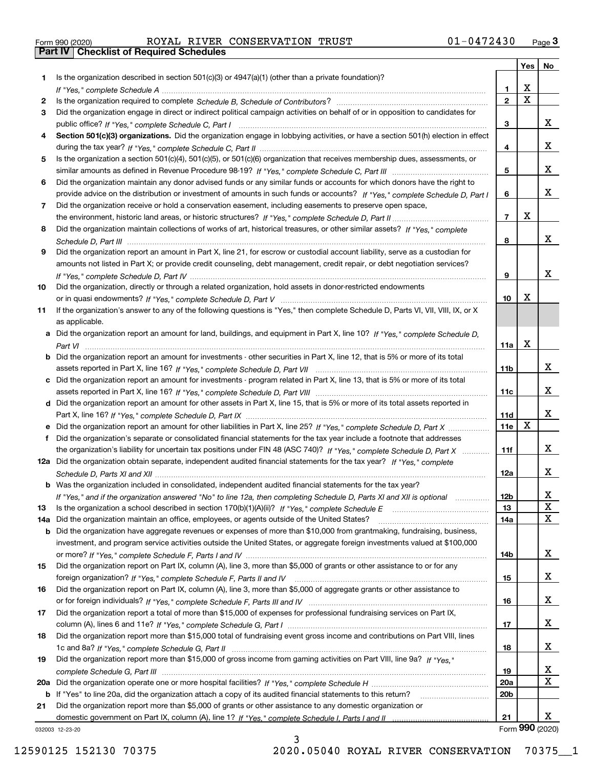|  | Form 990 (2020) |  |
|--|-----------------|--|

# Form 990 (2020) Page **3Part IV Checklist of Required Schedules** ROYAL RIVER CONSERVATION TRUST 01-0472430

|         |                                                                                                                                                                                                                                |                        | Yes                          | No              |
|---------|--------------------------------------------------------------------------------------------------------------------------------------------------------------------------------------------------------------------------------|------------------------|------------------------------|-----------------|
| 1       | Is the organization described in section $501(c)(3)$ or $4947(a)(1)$ (other than a private foundation)?                                                                                                                        |                        |                              |                 |
|         | If "Yes," complete Schedule A (1) respectively contained a series of the Schedule A (1) respectively and the Schedule A (1) respectively and the Schedule A (1) respectively and the Schedule A (1) respectively and the Sched | 1.                     | X<br>$\overline{\mathbf{x}}$ |                 |
| 2       |                                                                                                                                                                                                                                | $\overline{2}$         |                              |                 |
| 3       | Did the organization engage in direct or indirect political campaign activities on behalf of or in opposition to candidates for                                                                                                |                        |                              | х               |
| 4       | Section 501(c)(3) organizations. Did the organization engage in lobbying activities, or have a section 501(h) election in effect                                                                                               | 3                      |                              |                 |
|         |                                                                                                                                                                                                                                | 4                      |                              | х               |
| 5       | Is the organization a section 501(c)(4), 501(c)(5), or 501(c)(6) organization that receives membership dues, assessments, or                                                                                                   |                        |                              |                 |
|         |                                                                                                                                                                                                                                | 5                      |                              | х               |
| 6       | Did the organization maintain any donor advised funds or any similar funds or accounts for which donors have the right to                                                                                                      |                        |                              |                 |
|         | provide advice on the distribution or investment of amounts in such funds or accounts? If "Yes," complete Schedule D, Part I                                                                                                   | 6                      |                              | х               |
| 7       | Did the organization receive or hold a conservation easement, including easements to preserve open space,                                                                                                                      |                        |                              |                 |
|         |                                                                                                                                                                                                                                | $\overline{7}$         | Х                            |                 |
| 8       | Did the organization maintain collections of works of art, historical treasures, or other similar assets? If "Yes," complete                                                                                                   |                        |                              |                 |
|         |                                                                                                                                                                                                                                | 8                      |                              | x               |
| 9       | Did the organization report an amount in Part X, line 21, for escrow or custodial account liability, serve as a custodian for                                                                                                  |                        |                              |                 |
|         | amounts not listed in Part X; or provide credit counseling, debt management, credit repair, or debt negotiation services?                                                                                                      |                        |                              |                 |
|         |                                                                                                                                                                                                                                | 9                      |                              | х               |
| 10      | Did the organization, directly or through a related organization, hold assets in donor-restricted endowments                                                                                                                   |                        |                              |                 |
|         |                                                                                                                                                                                                                                | 10                     | Х                            |                 |
| 11      | If the organization's answer to any of the following questions is "Yes," then complete Schedule D, Parts VI, VII, VIII, IX, or X                                                                                               |                        |                              |                 |
|         | as applicable.                                                                                                                                                                                                                 |                        |                              |                 |
| a       | Did the organization report an amount for land, buildings, and equipment in Part X, line 10? If "Yes," complete Schedule D,                                                                                                    |                        |                              |                 |
|         |                                                                                                                                                                                                                                | 11a                    | X                            |                 |
| b       | Did the organization report an amount for investments - other securities in Part X, line 12, that is 5% or more of its total                                                                                                   |                        |                              |                 |
|         |                                                                                                                                                                                                                                | 11b                    |                              | х               |
| c       | Did the organization report an amount for investments - program related in Part X, line 13, that is 5% or more of its total                                                                                                    |                        |                              | х               |
|         |                                                                                                                                                                                                                                | 11c                    |                              |                 |
|         | d Did the organization report an amount for other assets in Part X, line 15, that is 5% or more of its total assets reported in                                                                                                |                        |                              | х               |
|         | Did the organization report an amount for other liabilities in Part X, line 25? If "Yes," complete Schedule D, Part X                                                                                                          | 11d<br>11e             | $\mathbf X$                  |                 |
| f       | Did the organization's separate or consolidated financial statements for the tax year include a footnote that addresses                                                                                                        |                        |                              |                 |
|         | the organization's liability for uncertain tax positions under FIN 48 (ASC 740)? If "Yes," complete Schedule D, Part X                                                                                                         | 11f                    |                              | x               |
|         | 12a Did the organization obtain separate, independent audited financial statements for the tax year? If "Yes," complete                                                                                                        |                        |                              |                 |
|         |                                                                                                                                                                                                                                | 12a                    |                              | х               |
|         | <b>b</b> Was the organization included in consolidated, independent audited financial statements for the tax year?                                                                                                             |                        |                              |                 |
|         | If "Yes," and if the organization answered "No" to line 12a, then completing Schedule D, Parts XI and XII is optional                                                                                                          | 12D                    |                              | A               |
| 13      | Is the organization a school described in section $170(b)(1)(A)(ii)?$ If "Yes," complete Schedule E                                                                                                                            | 13                     |                              | X               |
| 14a     | Did the organization maintain an office, employees, or agents outside of the United States?                                                                                                                                    | 14a                    |                              | X               |
| b       | Did the organization have aggregate revenues or expenses of more than \$10,000 from grantmaking, fundraising, business,                                                                                                        |                        |                              |                 |
|         | investment, and program service activities outside the United States, or aggregate foreign investments valued at \$100,000                                                                                                     |                        |                              |                 |
|         |                                                                                                                                                                                                                                | 14b                    |                              | x               |
| 15      | Did the organization report on Part IX, column (A), line 3, more than \$5,000 of grants or other assistance to or for any                                                                                                      |                        |                              |                 |
|         |                                                                                                                                                                                                                                | 15                     |                              | x               |
| 16      | Did the organization report on Part IX, column (A), line 3, more than \$5,000 of aggregate grants or other assistance to                                                                                                       |                        |                              |                 |
|         |                                                                                                                                                                                                                                | 16                     |                              | x               |
| 17      | Did the organization report a total of more than \$15,000 of expenses for professional fundraising services on Part IX,                                                                                                        |                        |                              |                 |
|         |                                                                                                                                                                                                                                | 17                     |                              | x               |
| 18      | Did the organization report more than \$15,000 total of fundraising event gross income and contributions on Part VIII, lines                                                                                                   |                        |                              |                 |
|         |                                                                                                                                                                                                                                | 18                     |                              | x               |
| 19      | Did the organization report more than \$15,000 of gross income from gaming activities on Part VIII, line 9a? If "Yes."                                                                                                         |                        |                              |                 |
|         |                                                                                                                                                                                                                                | 19                     |                              | X<br>X          |
| 20a     |                                                                                                                                                                                                                                | 20a<br>20 <sub>b</sub> |                              |                 |
| b<br>21 | If "Yes" to line 20a, did the organization attach a copy of its audited financial statements to this return?<br>Did the organization report more than \$5,000 of grants or other assistance to any domestic organization or    |                        |                              |                 |
|         |                                                                                                                                                                                                                                | 21                     |                              | X               |
|         |                                                                                                                                                                                                                                |                        |                              | Form 990 (2020) |

032003 12-23-20

3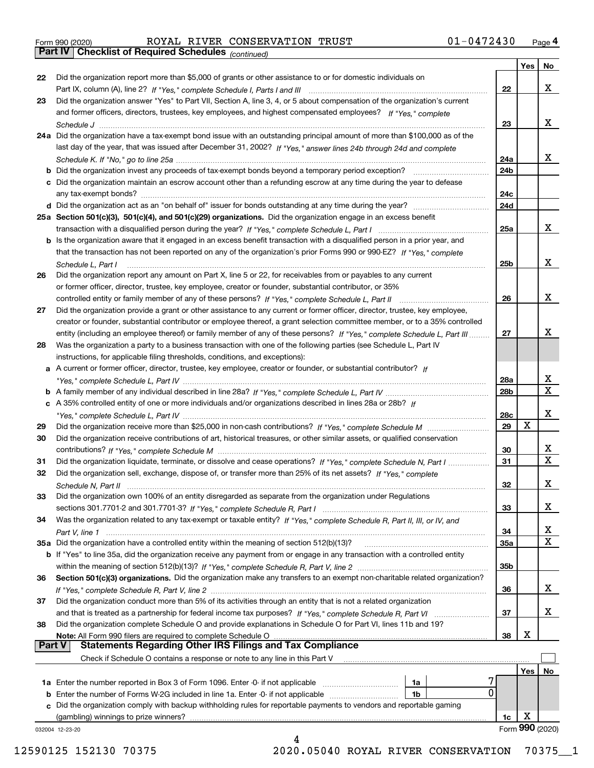|  | Form 990 (2020) |
|--|-----------------|
|  |                 |

Form 990 (2020) Page **4Part IV Checklist of Required Schedules** ROYAL RIVER CONSERVATION TRUST 01-0472430

*(continued)*

|               |                                                                                                                              |            | Yes | No                      |
|---------------|------------------------------------------------------------------------------------------------------------------------------|------------|-----|-------------------------|
| 22            | Did the organization report more than \$5,000 of grants or other assistance to or for domestic individuals on                |            |     |                         |
|               |                                                                                                                              | 22         |     | x                       |
| 23            | Did the organization answer "Yes" to Part VII, Section A, line 3, 4, or 5 about compensation of the organization's current   |            |     |                         |
|               | and former officers, directors, trustees, key employees, and highest compensated employees? If "Yes," complete               |            |     |                         |
|               |                                                                                                                              | 23         |     | X                       |
|               | 24a Did the organization have a tax-exempt bond issue with an outstanding principal amount of more than \$100,000 as of the  |            |     |                         |
|               | last day of the year, that was issued after December 31, 2002? If "Yes," answer lines 24b through 24d and complete           |            |     |                         |
|               |                                                                                                                              | 24a        |     | x                       |
|               | <b>b</b> Did the organization invest any proceeds of tax-exempt bonds beyond a temporary period exception?                   | 24b        |     |                         |
|               | c Did the organization maintain an escrow account other than a refunding escrow at any time during the year to defease       |            |     |                         |
|               | any tax-exempt bonds?                                                                                                        | 24c        |     |                         |
|               | d Did the organization act as an "on behalf of" issuer for bonds outstanding at any time during the year?                    | 24d        |     |                         |
|               | 25a Section 501(c)(3), 501(c)(4), and 501(c)(29) organizations. Did the organization engage in an excess benefit             |            |     |                         |
|               |                                                                                                                              | 25a        |     | x                       |
|               | b Is the organization aware that it engaged in an excess benefit transaction with a disqualified person in a prior year, and |            |     |                         |
|               | that the transaction has not been reported on any of the organization's prior Forms 990 or 990-EZ? If "Yes." complete        |            |     |                         |
|               | Schedule L. Part I                                                                                                           | 25b        |     | x                       |
| 26            | Did the organization report any amount on Part X, line 5 or 22, for receivables from or payables to any current              |            |     |                         |
|               | or former officer, director, trustee, key employee, creator or founder, substantial contributor, or 35%                      |            |     |                         |
|               |                                                                                                                              | 26         |     | x                       |
| 27            | Did the organization provide a grant or other assistance to any current or former officer, director, trustee, key employee,  |            |     |                         |
|               | creator or founder, substantial contributor or employee thereof, a grant selection committee member, or to a 35% controlled  |            |     |                         |
|               | entity (including an employee thereof) or family member of any of these persons? If "Yes," complete Schedule L, Part III     | 27         |     | х                       |
| 28            | Was the organization a party to a business transaction with one of the following parties (see Schedule L, Part IV            |            |     |                         |
|               | instructions, for applicable filing thresholds, conditions, and exceptions):                                                 |            |     |                         |
|               | a A current or former officer, director, trustee, key employee, creator or founder, or substantial contributor? If           |            |     |                         |
|               |                                                                                                                              | 28a        |     | x                       |
|               |                                                                                                                              | 28b        |     | $\overline{\mathbf{x}}$ |
|               | c A 35% controlled entity of one or more individuals and/or organizations described in lines 28a or 28b? If                  |            |     |                         |
|               |                                                                                                                              | 28c        |     | X                       |
| 29            |                                                                                                                              | 29         | X   |                         |
| 30            | Did the organization receive contributions of art, historical treasures, or other similar assets, or qualified conservation  |            |     |                         |
|               |                                                                                                                              | 30         |     | x                       |
| 31            | Did the organization liquidate, terminate, or dissolve and cease operations? If "Yes," complete Schedule N, Part I           | 31         |     | $\overline{\mathbf{x}}$ |
| 32            | Did the organization sell, exchange, dispose of, or transfer more than 25% of its net assets? If "Yes," complete             |            |     |                         |
|               | Schedule N, Part II                                                                                                          | 32         |     | X                       |
| 33            | Did the organization own 100% of an entity disregarded as separate from the organization under Regulations                   |            |     |                         |
|               |                                                                                                                              | 33         |     | х                       |
| 34            | Was the organization related to any tax-exempt or taxable entity? If "Yes," complete Schedule R, Part II, III, or IV, and    |            |     |                         |
|               |                                                                                                                              | 34         |     | х                       |
|               | 35a Did the organization have a controlled entity within the meaning of section 512(b)(13)?                                  | <b>35a</b> |     | $\overline{\mathbf{X}}$ |
|               | b If "Yes" to line 35a, did the organization receive any payment from or engage in any transaction with a controlled entity  |            |     |                         |
|               |                                                                                                                              | 35b        |     |                         |
| 36            | Section 501(c)(3) organizations. Did the organization make any transfers to an exempt non-charitable related organization?   |            |     |                         |
|               |                                                                                                                              | 36         |     | X                       |
| 37            | Did the organization conduct more than 5% of its activities through an entity that is not a related organization             |            |     |                         |
|               | and that is treated as a partnership for federal income tax purposes? If "Yes," complete Schedule R, Part VI                 | 37         |     | X                       |
| 38            | Did the organization complete Schedule O and provide explanations in Schedule O for Part VI, lines 11b and 19?               |            |     |                         |
|               | Note: All Form 990 filers are required to complete Schedule O                                                                | 38         | X   |                         |
| <b>Part V</b> | <b>Statements Regarding Other IRS Filings and Tax Compliance</b>                                                             |            |     |                         |
|               | Check if Schedule O contains a response or note to any line in this Part V                                                   |            |     |                         |
|               |                                                                                                                              |            | Yes | No                      |
|               | 1a Enter the number reported in Box 3 of Form 1096. Enter -0- if not applicable<br>1a                                        |            |     |                         |
|               | 0<br>1b                                                                                                                      |            |     |                         |
|               | c Did the organization comply with backup withholding rules for reportable payments to vendors and reportable gaming         |            |     |                         |
|               | (gambling) winnings to prize winners?                                                                                        | 1c         | X   |                         |
|               | 032004 12-23-20                                                                                                              |            |     | Form 990 (2020)         |
|               | 4                                                                                                                            |            |     |                         |

12590125 152130 70375 2020.05040 ROYAL RIVER CONSERVATION 70375\_\_1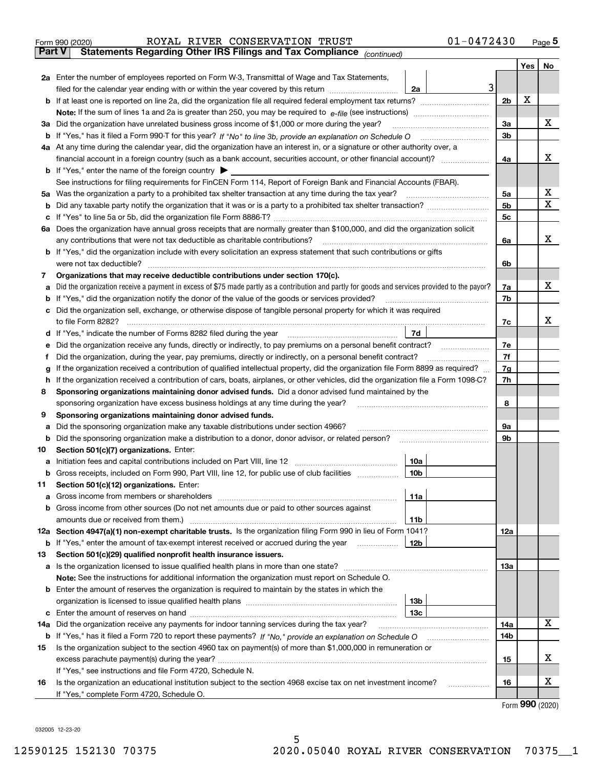|               | $01 - 0472430$<br>ROYAL RIVER CONSERVATION TRUST<br>Form 990 (2020)                                                                             |                |      | $_{\text{Page}}$ 5 |
|---------------|-------------------------------------------------------------------------------------------------------------------------------------------------|----------------|------|--------------------|
| <b>Part V</b> | Statements Regarding Other IRS Filings and Tax Compliance (continued)                                                                           |                |      |                    |
|               |                                                                                                                                                 |                | Yes  | No                 |
|               | 2a Enter the number of employees reported on Form W-3, Transmittal of Wage and Tax Statements,                                                  |                |      |                    |
|               | 3<br>filed for the calendar year ending with or within the year covered by this return<br>2a                                                    |                |      |                    |
| b             |                                                                                                                                                 | 2 <sub>b</sub> | x    |                    |
|               |                                                                                                                                                 |                |      |                    |
| За            | Did the organization have unrelated business gross income of \$1,000 or more during the year?                                                   | 3a             |      | х                  |
|               |                                                                                                                                                 | 3b             |      |                    |
|               | 4a At any time during the calendar year, did the organization have an interest in, or a signature or other authority over, a                    |                |      |                    |
|               |                                                                                                                                                 | 4a             |      | х                  |
|               | <b>b</b> If "Yes," enter the name of the foreign country $\blacktriangleright$                                                                  |                |      |                    |
|               | See instructions for filing requirements for FinCEN Form 114, Report of Foreign Bank and Financial Accounts (FBAR).                             |                |      |                    |
| 5a            | Was the organization a party to a prohibited tax shelter transaction at any time during the tax year?                                           | 5a             |      | x                  |
| b             |                                                                                                                                                 | 5 <sub>b</sub> |      | х                  |
| с             |                                                                                                                                                 | 5c             |      |                    |
|               | 6a Does the organization have annual gross receipts that are normally greater than \$100,000, and did the organization solicit                  |                |      |                    |
|               | any contributions that were not tax deductible as charitable contributions?                                                                     | 6a             |      | x                  |
|               | <b>b</b> If "Yes," did the organization include with every solicitation an express statement that such contributions or gifts                   |                |      |                    |
|               | were not tax deductible?                                                                                                                        | 6b             |      |                    |
| 7             | Organizations that may receive deductible contributions under section 170(c).                                                                   |                |      |                    |
| а             | Did the organization receive a payment in excess of \$75 made partly as a contribution and partly for goods and services provided to the payor? | 7a             |      | х                  |
| b             | If "Yes," did the organization notify the donor of the value of the goods or services provided?                                                 | 7b             |      |                    |
| с             | Did the organization sell, exchange, or otherwise dispose of tangible personal property for which it was required                               |                |      |                    |
|               |                                                                                                                                                 | 7c             |      | х                  |
| d             | 7d                                                                                                                                              |                |      |                    |
| е             | Did the organization receive any funds, directly or indirectly, to pay premiums on a personal benefit contract?                                 | 7e             |      |                    |
| f             | Did the organization, during the year, pay premiums, directly or indirectly, on a personal benefit contract?                                    | 7f             |      |                    |
| g             | If the organization received a contribution of qualified intellectual property, did the organization file Form 8899 as required?                | 7g             |      |                    |
| h             | If the organization received a contribution of cars, boats, airplanes, or other vehicles, did the organization file a Form 1098-C?              | 7h             |      |                    |
| 8             | Sponsoring organizations maintaining donor advised funds. Did a donor advised fund maintained by the                                            |                |      |                    |
|               | sponsoring organization have excess business holdings at any time during the year?                                                              | 8              |      |                    |
| 9             | Sponsoring organizations maintaining donor advised funds.                                                                                       |                |      |                    |
| а             | Did the sponsoring organization make any taxable distributions under section 4966?                                                              | 9а             |      |                    |
| b             | Did the sponsoring organization make a distribution to a donor, donor advisor, or related person?                                               | 9b             |      |                    |
| 10            | Section 501(c)(7) organizations. Enter:                                                                                                         |                |      |                    |
|               | 10a<br> 10b <br>Gross receipts, included on Form 990, Part VIII, line 12, for public use of club facilities                                     |                |      |                    |
|               |                                                                                                                                                 |                |      |                    |
| 11            | Section 501(c)(12) organizations. Enter:<br>Gross income from members or shareholders<br>11a                                                    |                |      |                    |
| a             | Gross income from other sources (Do not net amounts due or paid to other sources against                                                        |                |      |                    |
| b             | 11 <sub>b</sub>                                                                                                                                 |                |      |                    |
|               | 12a Section 4947(a)(1) non-exempt charitable trusts. Is the organization filing Form 990 in lieu of Form 1041?                                  | 12a            |      |                    |
|               | 12b<br><b>b</b> If "Yes," enter the amount of tax-exempt interest received or accrued during the year                                           |                |      |                    |
| 13            | Section 501(c)(29) qualified nonprofit health insurance issuers.                                                                                |                |      |                    |
| a             | Is the organization licensed to issue qualified health plans in more than one state?                                                            | 13a            |      |                    |
|               | Note: See the instructions for additional information the organization must report on Schedule O.                                               |                |      |                    |
| b             | Enter the amount of reserves the organization is required to maintain by the states in which the                                                |                |      |                    |
|               | 13 <sub>b</sub>                                                                                                                                 |                |      |                    |
|               | 13 <sub>c</sub>                                                                                                                                 |                |      |                    |
| 14a           | Did the organization receive any payments for indoor tanning services during the tax year?                                                      | 14a            |      | X                  |
|               | <b>b</b> If "Yes," has it filed a Form 720 to report these payments? If "No," provide an explanation on Schedule O                              | 14b            |      |                    |
| 15            | Is the organization subject to the section 4960 tax on payment(s) of more than \$1,000,000 in remuneration or                                   |                |      |                    |
|               |                                                                                                                                                 | 15             |      | x                  |
|               | If "Yes," see instructions and file Form 4720, Schedule N.                                                                                      |                |      |                    |
| 16            | Is the organization an educational institution subject to the section 4968 excise tax on net investment income?                                 | 16             |      | х                  |
|               | If "Yes," complete Form 4720, Schedule O.                                                                                                       |                |      |                    |
|               |                                                                                                                                                 |                | nnn. |                    |

Form (2020) **990**

032005 12-23-20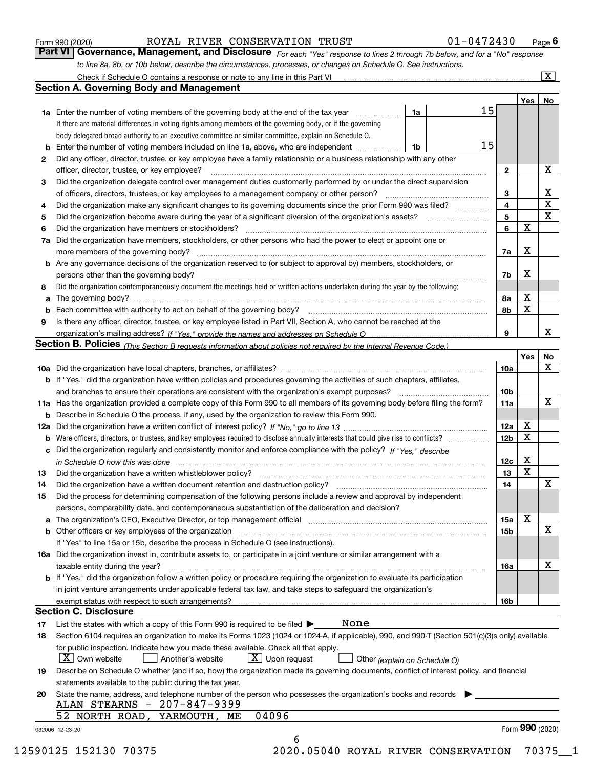|  | Form 990 (2020) |
|--|-----------------|
|  |                 |

*For each "Yes" response to lines 2 through 7b below, and for a "No" response to line 8a, 8b, or 10b below, describe the circumstances, processes, or changes on Schedule O. See instructions.* Form 990 (2020) **COYAL RIVER CONSERVATION TRUST** 01-0472430 Page 6<br>**Part VI Governance, Management, and Disclosure** For each "Yes" response to lines 2 through 7b below, and for a "No" response

|    |                                                                                                                                                                                                                                |    |    |                 | Yes <sub>1</sub> | No                      |
|----|--------------------------------------------------------------------------------------------------------------------------------------------------------------------------------------------------------------------------------|----|----|-----------------|------------------|-------------------------|
|    | <b>1a</b> Enter the number of voting members of the governing body at the end of the tax year                                                                                                                                  | 1a | 15 |                 |                  |                         |
|    | If there are material differences in voting rights among members of the governing body, or if the governing                                                                                                                    |    |    |                 |                  |                         |
|    | body delegated broad authority to an executive committee or similar committee, explain on Schedule O.                                                                                                                          |    |    |                 |                  |                         |
| b  | Enter the number of voting members included on line 1a, above, who are independent                                                                                                                                             | 1b | 15 |                 |                  |                         |
| 2  | Did any officer, director, trustee, or key employee have a family relationship or a business relationship with any other                                                                                                       |    |    |                 |                  |                         |
|    | officer, director, trustee, or key employee?                                                                                                                                                                                   |    |    | $\mathbf{2}$    |                  | X                       |
| 3  | Did the organization delegate control over management duties customarily performed by or under the direct supervision                                                                                                          |    |    |                 |                  |                         |
|    |                                                                                                                                                                                                                                |    |    | 3               |                  | X                       |
| 4  | Did the organization make any significant changes to its governing documents since the prior Form 990 was filed?                                                                                                               |    |    | 4               |                  | $\overline{\mathtt{x}}$ |
| 5  | Did the organization become aware during the year of a significant diversion of the organization's assets?                                                                                                                     |    |    | 5               |                  | $\overline{\mathbf{x}}$ |
| 6  | Did the organization have members or stockholders?                                                                                                                                                                             |    |    | 6               | $\mathbf X$      |                         |
| 7a | Did the organization have members, stockholders, or other persons who had the power to elect or appoint one or                                                                                                                 |    |    |                 |                  |                         |
|    |                                                                                                                                                                                                                                |    |    | 7a              | X                |                         |
|    | <b>b</b> Are any governance decisions of the organization reserved to (or subject to approval by) members, stockholders, or                                                                                                    |    |    |                 |                  |                         |
|    | persons other than the governing body?                                                                                                                                                                                         |    |    | 7b              | X                |                         |
| 8  | Did the organization contemporaneously document the meetings held or written actions undertaken during the year by the following:                                                                                              |    |    |                 |                  |                         |
| a  |                                                                                                                                                                                                                                |    |    | 8а              | X                |                         |
|    |                                                                                                                                                                                                                                |    |    | 8b              | $\mathbf x$      |                         |
| 9  | Is there any officer, director, trustee, or key employee listed in Part VII, Section A, who cannot be reached at the                                                                                                           |    |    |                 |                  |                         |
|    |                                                                                                                                                                                                                                |    |    | 9               |                  | X                       |
|    | Section B. Policies <sub>(This</sub> Section B requests information about policies not required by the Internal Revenue Code.)                                                                                                 |    |    |                 |                  |                         |
|    |                                                                                                                                                                                                                                |    |    |                 | Yes              | No                      |
|    |                                                                                                                                                                                                                                |    |    | 10a             |                  | X                       |
|    | <b>b</b> If "Yes," did the organization have written policies and procedures governing the activities of such chapters, affiliates,                                                                                            |    |    |                 |                  |                         |
|    |                                                                                                                                                                                                                                |    |    | 10 <sub>b</sub> |                  |                         |
|    | 11a Has the organization provided a complete copy of this Form 990 to all members of its governing body before filing the form?                                                                                                |    |    | 11a             |                  | $\mathbf X$             |
|    | <b>b</b> Describe in Schedule O the process, if any, used by the organization to review this Form 990.                                                                                                                         |    |    |                 |                  |                         |
|    |                                                                                                                                                                                                                                |    |    | 12a             | X                |                         |
| b  |                                                                                                                                                                                                                                |    |    | 12 <sub>b</sub> | X                |                         |
|    | c Did the organization regularly and consistently monitor and enforce compliance with the policy? If "Yes," describe                                                                                                           |    |    |                 |                  |                         |
|    | in Schedule O how this was done measured and the control of the control of the state of the control of the control of the control of the control of the control of the control of the control of the control of the control of |    |    | 12c             | X                |                         |
| 13 |                                                                                                                                                                                                                                |    |    | 13              | $\mathbf x$      |                         |
| 14 |                                                                                                                                                                                                                                |    |    | 14              |                  | $\mathbf X$             |
| 15 | Did the process for determining compensation of the following persons include a review and approval by independent                                                                                                             |    |    |                 |                  |                         |
|    | persons, comparability data, and contemporaneous substantiation of the deliberation and decision?                                                                                                                              |    |    |                 |                  |                         |
|    |                                                                                                                                                                                                                                |    |    | 15a             | X                |                         |
|    |                                                                                                                                                                                                                                |    |    | 15b             |                  | $\mathbf X$             |
|    | If "Yes" to line 15a or 15b, describe the process in Schedule O (see instructions).                                                                                                                                            |    |    |                 |                  |                         |
|    | 16a Did the organization invest in, contribute assets to, or participate in a joint venture or similar arrangement with a                                                                                                      |    |    |                 |                  |                         |
|    | taxable entity during the year?                                                                                                                                                                                                |    |    | 16a             |                  | X                       |
|    | b If "Yes," did the organization follow a written policy or procedure requiring the organization to evaluate its participation                                                                                                 |    |    |                 |                  |                         |
|    | in joint venture arrangements under applicable federal tax law, and take steps to safeguard the organization's                                                                                                                 |    |    |                 |                  |                         |
|    |                                                                                                                                                                                                                                |    |    | 16b             |                  |                         |
|    | <b>Section C. Disclosure</b>                                                                                                                                                                                                   |    |    |                 |                  |                         |
| 17 | None<br>List the states with which a copy of this Form 990 is required to be filed $\blacktriangleright$                                                                                                                       |    |    |                 |                  |                         |
| 18 | Section 6104 requires an organization to make its Forms 1023 (1024 or 1024-A, if applicable), 990, and 990-T (Section 501(c)(3)s only) available                                                                               |    |    |                 |                  |                         |
|    | for public inspection. Indicate how you made these available. Check all that apply.                                                                                                                                            |    |    |                 |                  |                         |
|    | $X$ Upon request<br>$X$ Own website<br>Another's website<br>Other (explain on Schedule O)                                                                                                                                      |    |    |                 |                  |                         |
| 19 | Describe on Schedule O whether (and if so, how) the organization made its governing documents, conflict of interest policy, and financial                                                                                      |    |    |                 |                  |                         |
|    | statements available to the public during the tax year.                                                                                                                                                                        |    |    |                 |                  |                         |
| 20 | State the name, address, and telephone number of the person who possesses the organization's books and records                                                                                                                 |    |    |                 |                  |                         |
|    | ALAN STEARNS - 207-847-9399                                                                                                                                                                                                    |    |    |                 |                  |                         |
|    | 04096<br>52 NORTH ROAD, YARMOUTH, ME                                                                                                                                                                                           |    |    |                 |                  |                         |
|    | 032006 12-23-20                                                                                                                                                                                                                |    |    |                 | Form 990 (2020)  |                         |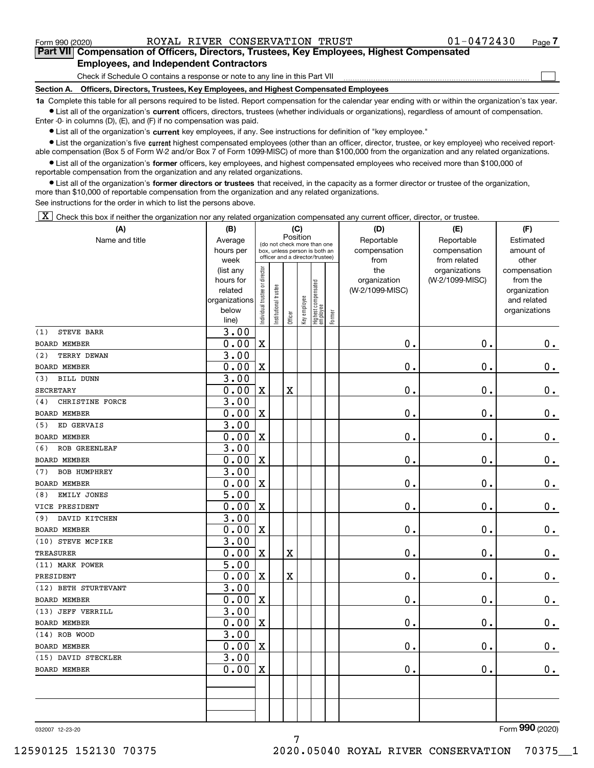$\mathcal{L}^{\text{max}}$ 

**7Part VII Compensation of Officers, Directors, Trustees, Key Employees, Highest Compensated Employees, and Independent Contractors**

Check if Schedule O contains a response or note to any line in this Part VII

**Section A. Officers, Directors, Trustees, Key Employees, and Highest Compensated Employees**

**1a**  Complete this table for all persons required to be listed. Report compensation for the calendar year ending with or within the organization's tax year. **•** List all of the organization's current officers, directors, trustees (whether individuals or organizations), regardless of amount of compensation.

Enter -0- in columns (D), (E), and (F) if no compensation was paid.

 $\bullet$  List all of the organization's  $\,$ current key employees, if any. See instructions for definition of "key employee."

**•** List the organization's five current highest compensated employees (other than an officer, director, trustee, or key employee) who received reportable compensation (Box 5 of Form W-2 and/or Box 7 of Form 1099-MISC) of more than \$100,000 from the organization and any related organizations.

**•** List all of the organization's former officers, key employees, and highest compensated employees who received more than \$100,000 of reportable compensation from the organization and any related organizations.

**former directors or trustees**  ¥ List all of the organization's that received, in the capacity as a former director or trustee of the organization, more than \$10,000 of reportable compensation from the organization and any related organizations.

See instructions for the order in which to list the persons above.

 $\boxed{\textbf{X}}$  Check this box if neither the organization nor any related organization compensated any current officer, director, or trustee.

| (A)                         | (B)               | (C)                           |                      |                       |              |                                  |        | (D)             | (E)             | (F)           |
|-----------------------------|-------------------|-------------------------------|----------------------|-----------------------|--------------|----------------------------------|--------|-----------------|-----------------|---------------|
| Name and title              | Average           |                               |                      | Position              |              | (do not check more than one      |        | Reportable      | Reportable      | Estimated     |
|                             | hours per         |                               |                      |                       |              | box, unless person is both an    |        | compensation    | compensation    | amount of     |
|                             | week              |                               |                      |                       |              | officer and a director/trustee)  |        | from            | from related    | other         |
|                             | (list any         |                               |                      |                       |              |                                  |        | the             | organizations   | compensation  |
|                             | hours for         |                               |                      |                       |              |                                  |        | organization    | (W-2/1099-MISC) | from the      |
|                             | related           |                               |                      |                       |              |                                  |        | (W-2/1099-MISC) |                 | organization  |
|                             | organizations     |                               |                      |                       |              |                                  |        |                 |                 | and related   |
|                             | below<br>line)    | ndividual trustee or director | nstitutional trustee | Officer               | Key employee | Highest compensated<br> employee | Former |                 |                 | organizations |
| <b>STEVE BARR</b><br>(1)    | 3.00              |                               |                      |                       |              |                                  |        |                 |                 |               |
| BOARD MEMBER                | 0.00              | $\mathbf x$                   |                      |                       |              |                                  |        | $0$ .           | 0.              | $\mathbf 0$ . |
| TERRY DEWAN<br>(2)          | 3.00              |                               |                      |                       |              |                                  |        |                 |                 |               |
| BOARD MEMBER                | 0.00              | $\mathbf X$                   |                      |                       |              |                                  |        | $0$ .           | 0.              | $\mathbf 0$ . |
| BILL DUNN<br>(3)            | 3.00              |                               |                      |                       |              |                                  |        |                 |                 |               |
| SECRETARY                   | 0.00              | $\mathbf X$                   |                      | $\overline{\text{X}}$ |              |                                  |        | $\mathbf 0$ .   | $\mathbf 0$ .   | $0$ .         |
| CHRISTINE FORCE<br>(4)      | 3.00              |                               |                      |                       |              |                                  |        |                 |                 |               |
| BOARD MEMBER                | 0.00              | $\mathbf X$                   |                      |                       |              |                                  |        | 0.              | 0.              | $\mathbf 0$ . |
| ED GERVAIS<br>(5)           | 3.00              |                               |                      |                       |              |                                  |        |                 |                 |               |
| <b>BOARD MEMBER</b>         | 0.00              | $\mathbf X$                   |                      |                       |              |                                  |        | $\mathbf 0$ .   | 0.              | $\mathbf 0$ . |
| <b>ROB GREENLEAF</b><br>(6) | 3.00              |                               |                      |                       |              |                                  |        |                 |                 |               |
| <b>BOARD MEMBER</b>         | 0.00              | $\mathbf X$                   |                      |                       |              |                                  |        | $0$ .           | $\mathbf 0$ .   | $\mathbf 0$ . |
| <b>BOB HUMPHREY</b><br>(7)  | 3.00              |                               |                      |                       |              |                                  |        |                 |                 |               |
| <b>BOARD MEMBER</b>         | 0.00              | $\mathbf X$                   |                      |                       |              |                                  |        | $\mathbf 0$ .   | $\mathbf 0$ .   | $0$ .         |
| EMILY JONES<br>(8)          | $\overline{5.00}$ |                               |                      |                       |              |                                  |        |                 |                 |               |
| VICE PRESIDENT              | 0.00              | $\mathbf X$                   |                      |                       |              |                                  |        | 0.              | 0.              | $\mathbf 0$ . |
| DAVID KITCHEN<br>(9)        | 3.00              |                               |                      |                       |              |                                  |        |                 |                 |               |
| <b>BOARD MEMBER</b>         | 0.00              | $\mathbf X$                   |                      |                       |              |                                  |        | $0$ .           | $\mathbf 0$ .   | $\mathbf 0$ . |
| (10) STEVE MCPIKE           | 3.00              |                               |                      |                       |              |                                  |        |                 |                 |               |
| <b>TREASURER</b>            | 0.00              | $\mathbf X$                   |                      | $\mathbf X$           |              |                                  |        | $\mathbf 0$ .   | $\mathbf 0$ .   | $\mathbf 0$ . |
| (11) MARK POWER             | $\overline{5.00}$ |                               |                      |                       |              |                                  |        |                 |                 |               |
| PRESIDENT                   | 0.00              | $\mathbf X$                   |                      | $\mathbf X$           |              |                                  |        | 0.              | $\mathbf 0$ .   | $\mathbf 0$ . |
| (12) BETH STURTEVANT        | 3.00              |                               |                      |                       |              |                                  |        |                 |                 |               |
| <b>BOARD MEMBER</b>         | 0.00              | $\mathbf X$                   |                      |                       |              |                                  |        | $0$ .           | $\mathbf 0$ .   | $\mathbf 0$ . |
| (13) JEFF VERRILL           | 3.00              |                               |                      |                       |              |                                  |        |                 |                 |               |
| <b>BOARD MEMBER</b>         | 0.00              | $\mathbf X$                   |                      |                       |              |                                  |        | 0.              | $\mathbf 0$ .   | $0_{.}$       |
| (14) ROB WOOD               | 3.00              |                               |                      |                       |              |                                  |        |                 |                 |               |
| <b>BOARD MEMBER</b>         | 0.00              | $\mathbf X$                   |                      |                       |              |                                  |        | 0.              | 0.              | $0_{.}$       |
| (15) DAVID STECKLER         | 3.00              |                               |                      |                       |              |                                  |        |                 |                 |               |
| <b>BOARD MEMBER</b>         | 0.00              | $\mathbf X$                   |                      |                       |              |                                  |        | 0.              | 0.              | $0_{.}$       |
|                             |                   |                               |                      |                       |              |                                  |        |                 |                 |               |
|                             |                   |                               |                      |                       |              |                                  |        |                 |                 |               |
|                             |                   |                               |                      |                       |              |                                  |        |                 |                 |               |
|                             |                   |                               |                      |                       |              |                                  |        |                 |                 |               |

7

032007 12-23-20

Form (2020) **990**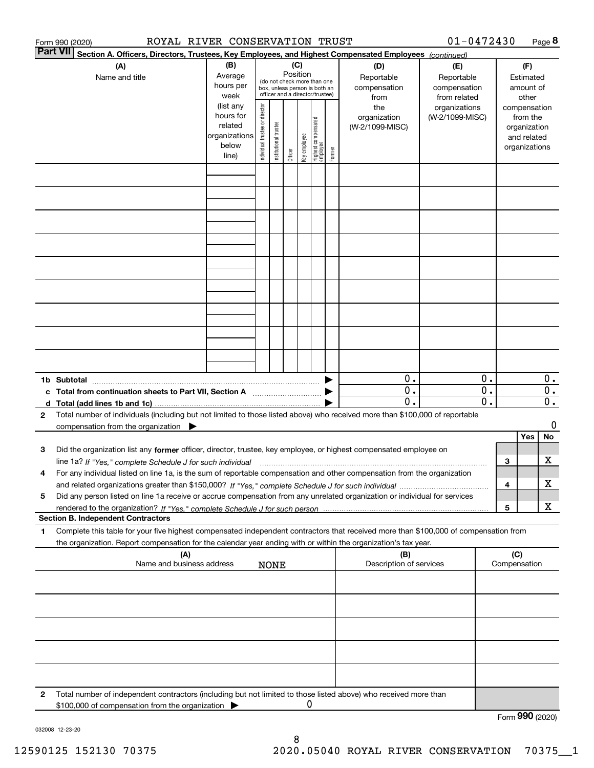|              | ROYAL RIVER CONSERVATION TRUST<br>Form 990 (2020)                                                                                                                                                                                                      |                                                                              |                                |                       |                 |              |                                                                        |        |                                                | $01 - 0472430$                                   |                                                                                   |     |                               | Page 8                                        |
|--------------|--------------------------------------------------------------------------------------------------------------------------------------------------------------------------------------------------------------------------------------------------------|------------------------------------------------------------------------------|--------------------------------|-----------------------|-----------------|--------------|------------------------------------------------------------------------|--------|------------------------------------------------|--------------------------------------------------|-----------------------------------------------------------------------------------|-----|-------------------------------|-----------------------------------------------|
|              | <b>Part VII</b><br>Section A. Officers, Directors, Trustees, Key Employees, and Highest Compensated Employees (continued)                                                                                                                              |                                                                              |                                |                       |                 |              |                                                                        |        |                                                |                                                  |                                                                                   |     |                               |                                               |
|              | (A)<br>Name and title                                                                                                                                                                                                                                  | (B)<br>Average<br>hours per                                                  |                                |                       | (C)<br>Position |              | (do not check more than one<br>box, unless person is both an           |        | (D)<br>Reportable<br>compensation              | (E)<br>Reportable<br>compensation                |                                                                                   |     | (F)<br>Estimated<br>amount of |                                               |
|              |                                                                                                                                                                                                                                                        | week<br>(list any<br>hours for<br>related<br>organizations<br>below<br>line) | Individual trustee or director | Institutional trustee | Officer         | key employee | officer and a director/trustee)<br>  Highest compensated<br>  employee | Former | from<br>the<br>organization<br>(W-2/1099-MISC) | from related<br>organizations<br>(W-2/1099-MISC) | other<br>compensation<br>from the<br>organization<br>and related<br>organizations |     |                               |                                               |
|              |                                                                                                                                                                                                                                                        |                                                                              |                                |                       |                 |              |                                                                        |        |                                                |                                                  |                                                                                   |     |                               |                                               |
|              |                                                                                                                                                                                                                                                        |                                                                              |                                |                       |                 |              |                                                                        |        |                                                |                                                  |                                                                                   |     |                               |                                               |
|              |                                                                                                                                                                                                                                                        |                                                                              |                                |                       |                 |              |                                                                        |        |                                                |                                                  |                                                                                   |     |                               |                                               |
|              |                                                                                                                                                                                                                                                        |                                                                              |                                |                       |                 |              |                                                                        |        |                                                |                                                  |                                                                                   |     |                               |                                               |
|              |                                                                                                                                                                                                                                                        |                                                                              |                                |                       |                 |              |                                                                        |        |                                                |                                                  |                                                                                   |     |                               |                                               |
|              |                                                                                                                                                                                                                                                        |                                                                              |                                |                       |                 |              |                                                                        |        |                                                |                                                  |                                                                                   |     |                               |                                               |
|              |                                                                                                                                                                                                                                                        |                                                                              |                                |                       |                 |              |                                                                        |        |                                                |                                                  |                                                                                   |     |                               |                                               |
|              |                                                                                                                                                                                                                                                        |                                                                              |                                |                       |                 |              |                                                                        |        |                                                |                                                  |                                                                                   |     |                               |                                               |
|              | 1b Subtotal                                                                                                                                                                                                                                            |                                                                              |                                |                       |                 |              |                                                                        |        | 0.                                             |                                                  | 0.                                                                                |     |                               | $0$ .                                         |
|              | c Total from continuation sheets to Part VII, Section A                                                                                                                                                                                                |                                                                              |                                |                       |                 |              |                                                                        |        | 0.<br>$\overline{0}$ .                         |                                                  | $\overline{\mathbf{0}}$ .<br>$\overline{0}$ .                                     |     |                               | $\overline{0}$ .<br>$\overline{\mathbf{0}}$ . |
| $\mathbf{2}$ | Total number of individuals (including but not limited to those listed above) who received more than \$100,000 of reportable<br>compensation from the organization $\blacktriangleright$                                                               |                                                                              |                                |                       |                 |              |                                                                        |        |                                                |                                                  |                                                                                   |     |                               | 0                                             |
| з            | Did the organization list any former officer, director, trustee, key employee, or highest compensated employee on                                                                                                                                      |                                                                              |                                |                       |                 |              |                                                                        |        |                                                |                                                  |                                                                                   |     | Yes                           | No                                            |
|              | line 1a? If "Yes," complete Schedule J for such individual manufactured contained and the Yes," complete Schedule J for such individual                                                                                                                |                                                                              |                                |                       |                 |              |                                                                        |        |                                                |                                                  |                                                                                   | 3   |                               | х                                             |
| 4            | For any individual listed on line 1a, is the sum of reportable compensation and other compensation from the organization                                                                                                                               |                                                                              |                                |                       |                 |              |                                                                        |        |                                                |                                                  |                                                                                   | 4   |                               | х                                             |
| 5            | Did any person listed on line 1a receive or accrue compensation from any unrelated organization or individual for services                                                                                                                             |                                                                              |                                |                       |                 |              |                                                                        |        |                                                |                                                  |                                                                                   | 5   |                               | X                                             |
|              | <b>Section B. Independent Contractors</b>                                                                                                                                                                                                              |                                                                              |                                |                       |                 |              |                                                                        |        |                                                |                                                  |                                                                                   |     |                               |                                               |
| 1            | Complete this table for your five highest compensated independent contractors that received more than \$100,000 of compensation from<br>the organization. Report compensation for the calendar year ending with or within the organization's tax year. |                                                                              |                                |                       |                 |              |                                                                        |        |                                                |                                                  |                                                                                   |     |                               |                                               |
|              | (A)<br>Name and business address                                                                                                                                                                                                                       |                                                                              |                                | <b>NONE</b>           |                 |              |                                                                        |        | (B)<br>Description of services                 |                                                  |                                                                                   | (C) | Compensation                  |                                               |
|              |                                                                                                                                                                                                                                                        |                                                                              |                                |                       |                 |              |                                                                        |        |                                                |                                                  |                                                                                   |     |                               |                                               |
|              |                                                                                                                                                                                                                                                        |                                                                              |                                |                       |                 |              |                                                                        |        |                                                |                                                  |                                                                                   |     |                               |                                               |
|              |                                                                                                                                                                                                                                                        |                                                                              |                                |                       |                 |              |                                                                        |        |                                                |                                                  |                                                                                   |     |                               |                                               |
|              |                                                                                                                                                                                                                                                        |                                                                              |                                |                       |                 |              |                                                                        |        |                                                |                                                  |                                                                                   |     |                               |                                               |
| 2            | Total number of independent contractors (including but not limited to those listed above) who received more than                                                                                                                                       |                                                                              |                                |                       |                 |              |                                                                        |        |                                                |                                                  |                                                                                   |     |                               |                                               |
|              | \$100,000 of compensation from the organization                                                                                                                                                                                                        |                                                                              |                                |                       |                 | 0            |                                                                        |        |                                                |                                                  |                                                                                   |     | Form 990 (2020)               |                                               |

032008 12-23-20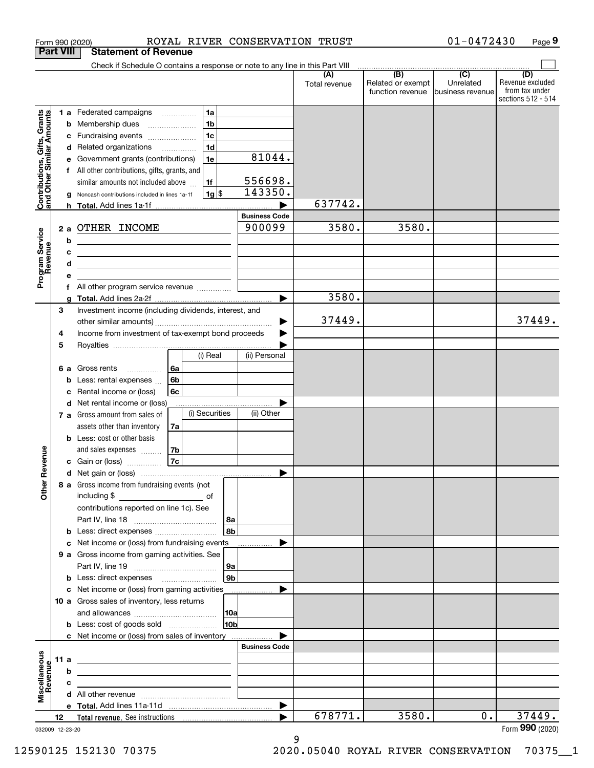| <b>Part VIII</b><br><b>Statement of Revenue</b><br>Check if Schedule O contains a response or note to any line in this Part VIII<br>$\overline{(B)}$<br>$\overline{(C)}$<br>(D)<br>(A)<br>Related or exempt<br>Unrelated<br>Total revenue<br>function revenue business revenue<br>1a<br>1 a Federated campaigns<br>Contributions, Gifts, Grants<br>and Other Similar Amounts<br>1 <sub>b</sub><br>Membership dues<br>b<br>1 <sub>c</sub><br>Fundraising events<br>1 <sub>d</sub><br>d Related organizations<br>81044.<br>1e<br>e Government grants (contributions)<br>All other contributions, gifts, grants, and<br>556698.<br>similar amounts not included above<br>1f<br>143350.<br>$1g$ \$<br>Noncash contributions included in lines 1a-1f<br>637742.<br><b>Business Code</b><br>3580.<br>3580.<br>900099<br>2 a OTHER INCOME<br>Program Service<br>Revenue<br>b<br>c<br><u> 1989 - Johann Stein, mars an deutscher Stein († 1958)</u><br>d<br><u> 1989 - Johann Barbara, martin amerikan basar dan berasal dalam basar dalam basar dalam basar dalam basar dala</u><br>3580.<br>Investment income (including dividends, interest, and<br>3<br>37449.<br>Income from investment of tax-exempt bond proceeds<br>4<br>5<br>(i) Real<br>(ii) Personal<br>Gross rents<br>∣6a<br>6а<br>.<br>6b<br>Less: rental expenses<br>6c<br>Rental income or (loss)<br>d Net rental income or (loss)<br>(i) Securities<br>(ii) Other<br>7 a Gross amount from sales of<br>assets other than inventory<br>7a<br><b>b</b> Less: cost or other basis<br>evenue<br>and sales expenses<br>7b<br><b>7c</b><br>c Gain or (loss)<br>č<br>Other<br>8 a Gross income from fundraising events (not<br>including \$<br>$\overline{\phantom{a}}$ of<br>contributions reported on line 1c). See<br>8a<br>8 <sub>b</sub><br>c Net income or (loss) from fundraising events<br>9 a Gross income from gaming activities. See<br>9а<br>9 <sub>b</sub><br><b>b</b> Less: direct expenses <i>manually contained</i><br>c Net income or (loss) from gaming activities<br>10 a Gross sales of inventory, less returns<br>10 <sub>b</sub><br><b>b</b> Less: cost of goods sold<br>c Net income or (loss) from sales of inventory<br><b>Business Code</b><br>Miscellaneous<br>Revenue<br>11 a<br><u> 1989 - Johann Barn, mars ann an t-Amhain ann an t-Amhain an t-Amhain an t-Amhain an t-Amhain an t-Amhain an t-</u><br>b<br>с |  |  | Form 990 (2020) |  |  |  | ROYAL RIVER CONSERVATION TRUST | 01-0472430 | Page 9                                                   |
|------------------------------------------------------------------------------------------------------------------------------------------------------------------------------------------------------------------------------------------------------------------------------------------------------------------------------------------------------------------------------------------------------------------------------------------------------------------------------------------------------------------------------------------------------------------------------------------------------------------------------------------------------------------------------------------------------------------------------------------------------------------------------------------------------------------------------------------------------------------------------------------------------------------------------------------------------------------------------------------------------------------------------------------------------------------------------------------------------------------------------------------------------------------------------------------------------------------------------------------------------------------------------------------------------------------------------------------------------------------------------------------------------------------------------------------------------------------------------------------------------------------------------------------------------------------------------------------------------------------------------------------------------------------------------------------------------------------------------------------------------------------------------------------------------------------------------------------------------------------------------------------------------------------------------------------------------------------------------------------------------------------------------------------------------------------------------------------------------------------------------------------------------------------------------------------------------------------------------------------------------------------------------------------------------------------------------------------------------------------------------------------------|--|--|-----------------|--|--|--|--------------------------------|------------|----------------------------------------------------------|
|                                                                                                                                                                                                                                                                                                                                                                                                                                                                                                                                                                                                                                                                                                                                                                                                                                                                                                                                                                                                                                                                                                                                                                                                                                                                                                                                                                                                                                                                                                                                                                                                                                                                                                                                                                                                                                                                                                                                                                                                                                                                                                                                                                                                                                                                                                                                                                                                |  |  |                 |  |  |  |                                |            |                                                          |
|                                                                                                                                                                                                                                                                                                                                                                                                                                                                                                                                                                                                                                                                                                                                                                                                                                                                                                                                                                                                                                                                                                                                                                                                                                                                                                                                                                                                                                                                                                                                                                                                                                                                                                                                                                                                                                                                                                                                                                                                                                                                                                                                                                                                                                                                                                                                                                                                |  |  |                 |  |  |  |                                |            |                                                          |
|                                                                                                                                                                                                                                                                                                                                                                                                                                                                                                                                                                                                                                                                                                                                                                                                                                                                                                                                                                                                                                                                                                                                                                                                                                                                                                                                                                                                                                                                                                                                                                                                                                                                                                                                                                                                                                                                                                                                                                                                                                                                                                                                                                                                                                                                                                                                                                                                |  |  |                 |  |  |  |                                |            | Revenue excluded<br>from tax under<br>sections 512 - 514 |
|                                                                                                                                                                                                                                                                                                                                                                                                                                                                                                                                                                                                                                                                                                                                                                                                                                                                                                                                                                                                                                                                                                                                                                                                                                                                                                                                                                                                                                                                                                                                                                                                                                                                                                                                                                                                                                                                                                                                                                                                                                                                                                                                                                                                                                                                                                                                                                                                |  |  |                 |  |  |  |                                |            |                                                          |
|                                                                                                                                                                                                                                                                                                                                                                                                                                                                                                                                                                                                                                                                                                                                                                                                                                                                                                                                                                                                                                                                                                                                                                                                                                                                                                                                                                                                                                                                                                                                                                                                                                                                                                                                                                                                                                                                                                                                                                                                                                                                                                                                                                                                                                                                                                                                                                                                |  |  |                 |  |  |  |                                |            |                                                          |
|                                                                                                                                                                                                                                                                                                                                                                                                                                                                                                                                                                                                                                                                                                                                                                                                                                                                                                                                                                                                                                                                                                                                                                                                                                                                                                                                                                                                                                                                                                                                                                                                                                                                                                                                                                                                                                                                                                                                                                                                                                                                                                                                                                                                                                                                                                                                                                                                |  |  |                 |  |  |  |                                |            |                                                          |
|                                                                                                                                                                                                                                                                                                                                                                                                                                                                                                                                                                                                                                                                                                                                                                                                                                                                                                                                                                                                                                                                                                                                                                                                                                                                                                                                                                                                                                                                                                                                                                                                                                                                                                                                                                                                                                                                                                                                                                                                                                                                                                                                                                                                                                                                                                                                                                                                |  |  |                 |  |  |  |                                |            |                                                          |
|                                                                                                                                                                                                                                                                                                                                                                                                                                                                                                                                                                                                                                                                                                                                                                                                                                                                                                                                                                                                                                                                                                                                                                                                                                                                                                                                                                                                                                                                                                                                                                                                                                                                                                                                                                                                                                                                                                                                                                                                                                                                                                                                                                                                                                                                                                                                                                                                |  |  |                 |  |  |  |                                |            |                                                          |
|                                                                                                                                                                                                                                                                                                                                                                                                                                                                                                                                                                                                                                                                                                                                                                                                                                                                                                                                                                                                                                                                                                                                                                                                                                                                                                                                                                                                                                                                                                                                                                                                                                                                                                                                                                                                                                                                                                                                                                                                                                                                                                                                                                                                                                                                                                                                                                                                |  |  |                 |  |  |  |                                |            |                                                          |
|                                                                                                                                                                                                                                                                                                                                                                                                                                                                                                                                                                                                                                                                                                                                                                                                                                                                                                                                                                                                                                                                                                                                                                                                                                                                                                                                                                                                                                                                                                                                                                                                                                                                                                                                                                                                                                                                                                                                                                                                                                                                                                                                                                                                                                                                                                                                                                                                |  |  |                 |  |  |  |                                |            |                                                          |
|                                                                                                                                                                                                                                                                                                                                                                                                                                                                                                                                                                                                                                                                                                                                                                                                                                                                                                                                                                                                                                                                                                                                                                                                                                                                                                                                                                                                                                                                                                                                                                                                                                                                                                                                                                                                                                                                                                                                                                                                                                                                                                                                                                                                                                                                                                                                                                                                |  |  |                 |  |  |  |                                |            |                                                          |
|                                                                                                                                                                                                                                                                                                                                                                                                                                                                                                                                                                                                                                                                                                                                                                                                                                                                                                                                                                                                                                                                                                                                                                                                                                                                                                                                                                                                                                                                                                                                                                                                                                                                                                                                                                                                                                                                                                                                                                                                                                                                                                                                                                                                                                                                                                                                                                                                |  |  |                 |  |  |  |                                |            |                                                          |
|                                                                                                                                                                                                                                                                                                                                                                                                                                                                                                                                                                                                                                                                                                                                                                                                                                                                                                                                                                                                                                                                                                                                                                                                                                                                                                                                                                                                                                                                                                                                                                                                                                                                                                                                                                                                                                                                                                                                                                                                                                                                                                                                                                                                                                                                                                                                                                                                |  |  |                 |  |  |  |                                |            |                                                          |
|                                                                                                                                                                                                                                                                                                                                                                                                                                                                                                                                                                                                                                                                                                                                                                                                                                                                                                                                                                                                                                                                                                                                                                                                                                                                                                                                                                                                                                                                                                                                                                                                                                                                                                                                                                                                                                                                                                                                                                                                                                                                                                                                                                                                                                                                                                                                                                                                |  |  |                 |  |  |  |                                |            |                                                          |
|                                                                                                                                                                                                                                                                                                                                                                                                                                                                                                                                                                                                                                                                                                                                                                                                                                                                                                                                                                                                                                                                                                                                                                                                                                                                                                                                                                                                                                                                                                                                                                                                                                                                                                                                                                                                                                                                                                                                                                                                                                                                                                                                                                                                                                                                                                                                                                                                |  |  |                 |  |  |  |                                |            |                                                          |
|                                                                                                                                                                                                                                                                                                                                                                                                                                                                                                                                                                                                                                                                                                                                                                                                                                                                                                                                                                                                                                                                                                                                                                                                                                                                                                                                                                                                                                                                                                                                                                                                                                                                                                                                                                                                                                                                                                                                                                                                                                                                                                                                                                                                                                                                                                                                                                                                |  |  |                 |  |  |  |                                |            |                                                          |
|                                                                                                                                                                                                                                                                                                                                                                                                                                                                                                                                                                                                                                                                                                                                                                                                                                                                                                                                                                                                                                                                                                                                                                                                                                                                                                                                                                                                                                                                                                                                                                                                                                                                                                                                                                                                                                                                                                                                                                                                                                                                                                                                                                                                                                                                                                                                                                                                |  |  |                 |  |  |  |                                |            |                                                          |
|                                                                                                                                                                                                                                                                                                                                                                                                                                                                                                                                                                                                                                                                                                                                                                                                                                                                                                                                                                                                                                                                                                                                                                                                                                                                                                                                                                                                                                                                                                                                                                                                                                                                                                                                                                                                                                                                                                                                                                                                                                                                                                                                                                                                                                                                                                                                                                                                |  |  |                 |  |  |  |                                |            |                                                          |
|                                                                                                                                                                                                                                                                                                                                                                                                                                                                                                                                                                                                                                                                                                                                                                                                                                                                                                                                                                                                                                                                                                                                                                                                                                                                                                                                                                                                                                                                                                                                                                                                                                                                                                                                                                                                                                                                                                                                                                                                                                                                                                                                                                                                                                                                                                                                                                                                |  |  |                 |  |  |  |                                |            |                                                          |
|                                                                                                                                                                                                                                                                                                                                                                                                                                                                                                                                                                                                                                                                                                                                                                                                                                                                                                                                                                                                                                                                                                                                                                                                                                                                                                                                                                                                                                                                                                                                                                                                                                                                                                                                                                                                                                                                                                                                                                                                                                                                                                                                                                                                                                                                                                                                                                                                |  |  |                 |  |  |  |                                |            |                                                          |
|                                                                                                                                                                                                                                                                                                                                                                                                                                                                                                                                                                                                                                                                                                                                                                                                                                                                                                                                                                                                                                                                                                                                                                                                                                                                                                                                                                                                                                                                                                                                                                                                                                                                                                                                                                                                                                                                                                                                                                                                                                                                                                                                                                                                                                                                                                                                                                                                |  |  |                 |  |  |  |                                |            | 37449.                                                   |
|                                                                                                                                                                                                                                                                                                                                                                                                                                                                                                                                                                                                                                                                                                                                                                                                                                                                                                                                                                                                                                                                                                                                                                                                                                                                                                                                                                                                                                                                                                                                                                                                                                                                                                                                                                                                                                                                                                                                                                                                                                                                                                                                                                                                                                                                                                                                                                                                |  |  |                 |  |  |  |                                |            |                                                          |
|                                                                                                                                                                                                                                                                                                                                                                                                                                                                                                                                                                                                                                                                                                                                                                                                                                                                                                                                                                                                                                                                                                                                                                                                                                                                                                                                                                                                                                                                                                                                                                                                                                                                                                                                                                                                                                                                                                                                                                                                                                                                                                                                                                                                                                                                                                                                                                                                |  |  |                 |  |  |  |                                |            |                                                          |
|                                                                                                                                                                                                                                                                                                                                                                                                                                                                                                                                                                                                                                                                                                                                                                                                                                                                                                                                                                                                                                                                                                                                                                                                                                                                                                                                                                                                                                                                                                                                                                                                                                                                                                                                                                                                                                                                                                                                                                                                                                                                                                                                                                                                                                                                                                                                                                                                |  |  |                 |  |  |  |                                |            |                                                          |
|                                                                                                                                                                                                                                                                                                                                                                                                                                                                                                                                                                                                                                                                                                                                                                                                                                                                                                                                                                                                                                                                                                                                                                                                                                                                                                                                                                                                                                                                                                                                                                                                                                                                                                                                                                                                                                                                                                                                                                                                                                                                                                                                                                                                                                                                                                                                                                                                |  |  |                 |  |  |  |                                |            |                                                          |
|                                                                                                                                                                                                                                                                                                                                                                                                                                                                                                                                                                                                                                                                                                                                                                                                                                                                                                                                                                                                                                                                                                                                                                                                                                                                                                                                                                                                                                                                                                                                                                                                                                                                                                                                                                                                                                                                                                                                                                                                                                                                                                                                                                                                                                                                                                                                                                                                |  |  |                 |  |  |  |                                |            |                                                          |
|                                                                                                                                                                                                                                                                                                                                                                                                                                                                                                                                                                                                                                                                                                                                                                                                                                                                                                                                                                                                                                                                                                                                                                                                                                                                                                                                                                                                                                                                                                                                                                                                                                                                                                                                                                                                                                                                                                                                                                                                                                                                                                                                                                                                                                                                                                                                                                                                |  |  |                 |  |  |  |                                |            |                                                          |
|                                                                                                                                                                                                                                                                                                                                                                                                                                                                                                                                                                                                                                                                                                                                                                                                                                                                                                                                                                                                                                                                                                                                                                                                                                                                                                                                                                                                                                                                                                                                                                                                                                                                                                                                                                                                                                                                                                                                                                                                                                                                                                                                                                                                                                                                                                                                                                                                |  |  |                 |  |  |  |                                |            |                                                          |
|                                                                                                                                                                                                                                                                                                                                                                                                                                                                                                                                                                                                                                                                                                                                                                                                                                                                                                                                                                                                                                                                                                                                                                                                                                                                                                                                                                                                                                                                                                                                                                                                                                                                                                                                                                                                                                                                                                                                                                                                                                                                                                                                                                                                                                                                                                                                                                                                |  |  |                 |  |  |  |                                |            |                                                          |
|                                                                                                                                                                                                                                                                                                                                                                                                                                                                                                                                                                                                                                                                                                                                                                                                                                                                                                                                                                                                                                                                                                                                                                                                                                                                                                                                                                                                                                                                                                                                                                                                                                                                                                                                                                                                                                                                                                                                                                                                                                                                                                                                                                                                                                                                                                                                                                                                |  |  |                 |  |  |  |                                |            |                                                          |
|                                                                                                                                                                                                                                                                                                                                                                                                                                                                                                                                                                                                                                                                                                                                                                                                                                                                                                                                                                                                                                                                                                                                                                                                                                                                                                                                                                                                                                                                                                                                                                                                                                                                                                                                                                                                                                                                                                                                                                                                                                                                                                                                                                                                                                                                                                                                                                                                |  |  |                 |  |  |  |                                |            |                                                          |
|                                                                                                                                                                                                                                                                                                                                                                                                                                                                                                                                                                                                                                                                                                                                                                                                                                                                                                                                                                                                                                                                                                                                                                                                                                                                                                                                                                                                                                                                                                                                                                                                                                                                                                                                                                                                                                                                                                                                                                                                                                                                                                                                                                                                                                                                                                                                                                                                |  |  |                 |  |  |  |                                |            |                                                          |
|                                                                                                                                                                                                                                                                                                                                                                                                                                                                                                                                                                                                                                                                                                                                                                                                                                                                                                                                                                                                                                                                                                                                                                                                                                                                                                                                                                                                                                                                                                                                                                                                                                                                                                                                                                                                                                                                                                                                                                                                                                                                                                                                                                                                                                                                                                                                                                                                |  |  |                 |  |  |  |                                |            |                                                          |
|                                                                                                                                                                                                                                                                                                                                                                                                                                                                                                                                                                                                                                                                                                                                                                                                                                                                                                                                                                                                                                                                                                                                                                                                                                                                                                                                                                                                                                                                                                                                                                                                                                                                                                                                                                                                                                                                                                                                                                                                                                                                                                                                                                                                                                                                                                                                                                                                |  |  |                 |  |  |  |                                |            |                                                          |
|                                                                                                                                                                                                                                                                                                                                                                                                                                                                                                                                                                                                                                                                                                                                                                                                                                                                                                                                                                                                                                                                                                                                                                                                                                                                                                                                                                                                                                                                                                                                                                                                                                                                                                                                                                                                                                                                                                                                                                                                                                                                                                                                                                                                                                                                                                                                                                                                |  |  |                 |  |  |  |                                |            |                                                          |
|                                                                                                                                                                                                                                                                                                                                                                                                                                                                                                                                                                                                                                                                                                                                                                                                                                                                                                                                                                                                                                                                                                                                                                                                                                                                                                                                                                                                                                                                                                                                                                                                                                                                                                                                                                                                                                                                                                                                                                                                                                                                                                                                                                                                                                                                                                                                                                                                |  |  |                 |  |  |  |                                |            |                                                          |
|                                                                                                                                                                                                                                                                                                                                                                                                                                                                                                                                                                                                                                                                                                                                                                                                                                                                                                                                                                                                                                                                                                                                                                                                                                                                                                                                                                                                                                                                                                                                                                                                                                                                                                                                                                                                                                                                                                                                                                                                                                                                                                                                                                                                                                                                                                                                                                                                |  |  |                 |  |  |  |                                |            |                                                          |
|                                                                                                                                                                                                                                                                                                                                                                                                                                                                                                                                                                                                                                                                                                                                                                                                                                                                                                                                                                                                                                                                                                                                                                                                                                                                                                                                                                                                                                                                                                                                                                                                                                                                                                                                                                                                                                                                                                                                                                                                                                                                                                                                                                                                                                                                                                                                                                                                |  |  |                 |  |  |  |                                |            |                                                          |
|                                                                                                                                                                                                                                                                                                                                                                                                                                                                                                                                                                                                                                                                                                                                                                                                                                                                                                                                                                                                                                                                                                                                                                                                                                                                                                                                                                                                                                                                                                                                                                                                                                                                                                                                                                                                                                                                                                                                                                                                                                                                                                                                                                                                                                                                                                                                                                                                |  |  |                 |  |  |  |                                |            |                                                          |
|                                                                                                                                                                                                                                                                                                                                                                                                                                                                                                                                                                                                                                                                                                                                                                                                                                                                                                                                                                                                                                                                                                                                                                                                                                                                                                                                                                                                                                                                                                                                                                                                                                                                                                                                                                                                                                                                                                                                                                                                                                                                                                                                                                                                                                                                                                                                                                                                |  |  |                 |  |  |  |                                |            |                                                          |
|                                                                                                                                                                                                                                                                                                                                                                                                                                                                                                                                                                                                                                                                                                                                                                                                                                                                                                                                                                                                                                                                                                                                                                                                                                                                                                                                                                                                                                                                                                                                                                                                                                                                                                                                                                                                                                                                                                                                                                                                                                                                                                                                                                                                                                                                                                                                                                                                |  |  |                 |  |  |  |                                |            |                                                          |
|                                                                                                                                                                                                                                                                                                                                                                                                                                                                                                                                                                                                                                                                                                                                                                                                                                                                                                                                                                                                                                                                                                                                                                                                                                                                                                                                                                                                                                                                                                                                                                                                                                                                                                                                                                                                                                                                                                                                                                                                                                                                                                                                                                                                                                                                                                                                                                                                |  |  |                 |  |  |  |                                |            |                                                          |
|                                                                                                                                                                                                                                                                                                                                                                                                                                                                                                                                                                                                                                                                                                                                                                                                                                                                                                                                                                                                                                                                                                                                                                                                                                                                                                                                                                                                                                                                                                                                                                                                                                                                                                                                                                                                                                                                                                                                                                                                                                                                                                                                                                                                                                                                                                                                                                                                |  |  |                 |  |  |  |                                |            |                                                          |
|                                                                                                                                                                                                                                                                                                                                                                                                                                                                                                                                                                                                                                                                                                                                                                                                                                                                                                                                                                                                                                                                                                                                                                                                                                                                                                                                                                                                                                                                                                                                                                                                                                                                                                                                                                                                                                                                                                                                                                                                                                                                                                                                                                                                                                                                                                                                                                                                |  |  |                 |  |  |  |                                |            |                                                          |
|                                                                                                                                                                                                                                                                                                                                                                                                                                                                                                                                                                                                                                                                                                                                                                                                                                                                                                                                                                                                                                                                                                                                                                                                                                                                                                                                                                                                                                                                                                                                                                                                                                                                                                                                                                                                                                                                                                                                                                                                                                                                                                                                                                                                                                                                                                                                                                                                |  |  |                 |  |  |  |                                |            |                                                          |
|                                                                                                                                                                                                                                                                                                                                                                                                                                                                                                                                                                                                                                                                                                                                                                                                                                                                                                                                                                                                                                                                                                                                                                                                                                                                                                                                                                                                                                                                                                                                                                                                                                                                                                                                                                                                                                                                                                                                                                                                                                                                                                                                                                                                                                                                                                                                                                                                |  |  |                 |  |  |  |                                |            |                                                          |
|                                                                                                                                                                                                                                                                                                                                                                                                                                                                                                                                                                                                                                                                                                                                                                                                                                                                                                                                                                                                                                                                                                                                                                                                                                                                                                                                                                                                                                                                                                                                                                                                                                                                                                                                                                                                                                                                                                                                                                                                                                                                                                                                                                                                                                                                                                                                                                                                |  |  |                 |  |  |  |                                |            |                                                          |
|                                                                                                                                                                                                                                                                                                                                                                                                                                                                                                                                                                                                                                                                                                                                                                                                                                                                                                                                                                                                                                                                                                                                                                                                                                                                                                                                                                                                                                                                                                                                                                                                                                                                                                                                                                                                                                                                                                                                                                                                                                                                                                                                                                                                                                                                                                                                                                                                |  |  |                 |  |  |  |                                |            |                                                          |
|                                                                                                                                                                                                                                                                                                                                                                                                                                                                                                                                                                                                                                                                                                                                                                                                                                                                                                                                                                                                                                                                                                                                                                                                                                                                                                                                                                                                                                                                                                                                                                                                                                                                                                                                                                                                                                                                                                                                                                                                                                                                                                                                                                                                                                                                                                                                                                                                |  |  |                 |  |  |  |                                |            |                                                          |
|                                                                                                                                                                                                                                                                                                                                                                                                                                                                                                                                                                                                                                                                                                                                                                                                                                                                                                                                                                                                                                                                                                                                                                                                                                                                                                                                                                                                                                                                                                                                                                                                                                                                                                                                                                                                                                                                                                                                                                                                                                                                                                                                                                                                                                                                                                                                                                                                |  |  |                 |  |  |  |                                |            |                                                          |
| 678771.<br>3580.<br>0.1                                                                                                                                                                                                                                                                                                                                                                                                                                                                                                                                                                                                                                                                                                                                                                                                                                                                                                                                                                                                                                                                                                                                                                                                                                                                                                                                                                                                                                                                                                                                                                                                                                                                                                                                                                                                                                                                                                                                                                                                                                                                                                                                                                                                                                                                                                                                                                        |  |  |                 |  |  |  |                                |            | 37449.                                                   |
| 12<br>032009 12-23-20                                                                                                                                                                                                                                                                                                                                                                                                                                                                                                                                                                                                                                                                                                                                                                                                                                                                                                                                                                                                                                                                                                                                                                                                                                                                                                                                                                                                                                                                                                                                                                                                                                                                                                                                                                                                                                                                                                                                                                                                                                                                                                                                                                                                                                                                                                                                                                          |  |  |                 |  |  |  |                                |            | Form 990 (2020)                                          |

032009 12-23-20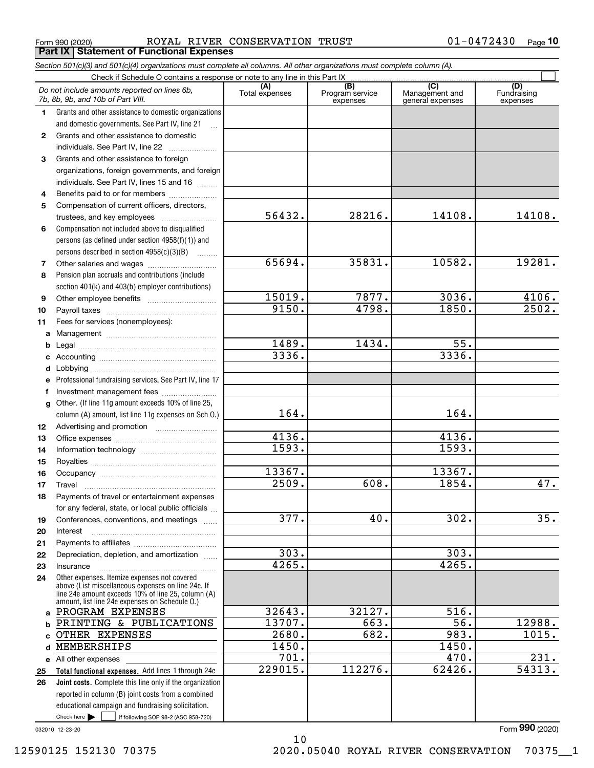Form 990 (2020) ROYAL RIVER CONSERVATION TRUST 01-0472430  $\,$  Page **Part IX Statement of Functional Expenses**

|                  | Section 501(c)(3) and 501(c)(4) organizations must complete all columns. All other organizations must complete column (A).                                                                                 |                       |                                    |                                                      |                                |
|------------------|------------------------------------------------------------------------------------------------------------------------------------------------------------------------------------------------------------|-----------------------|------------------------------------|------------------------------------------------------|--------------------------------|
|                  | Check if Schedule O contains a response or note to any line in this Part IX                                                                                                                                |                       |                                    |                                                      |                                |
|                  | Do not include amounts reported on lines 6b,<br>7b, 8b, 9b, and 10b of Part VIII.                                                                                                                          | (A)<br>Total expenses | (B)<br>Program service<br>expenses | $\overline{C}$<br>Management and<br>general expenses | (D)<br>Fundraising<br>expenses |
| $\mathbf{1}$     | Grants and other assistance to domestic organizations                                                                                                                                                      |                       |                                    |                                                      |                                |
|                  | and domestic governments. See Part IV, line 21                                                                                                                                                             |                       |                                    |                                                      |                                |
| $\mathbf{2}$     | Grants and other assistance to domestic                                                                                                                                                                    |                       |                                    |                                                      |                                |
|                  | individuals. See Part IV, line 22                                                                                                                                                                          |                       |                                    |                                                      |                                |
| 3                | Grants and other assistance to foreign                                                                                                                                                                     |                       |                                    |                                                      |                                |
|                  | organizations, foreign governments, and foreign                                                                                                                                                            |                       |                                    |                                                      |                                |
|                  | individuals. See Part IV, lines 15 and 16                                                                                                                                                                  |                       |                                    |                                                      |                                |
| 4                | Benefits paid to or for members                                                                                                                                                                            |                       |                                    |                                                      |                                |
| 5                | Compensation of current officers, directors,                                                                                                                                                               |                       |                                    |                                                      |                                |
|                  |                                                                                                                                                                                                            | 56432.                | 28216.                             | 14108.                                               | 14108.                         |
| 6                | Compensation not included above to disqualified                                                                                                                                                            |                       |                                    |                                                      |                                |
|                  | persons (as defined under section 4958(f)(1)) and                                                                                                                                                          |                       |                                    |                                                      |                                |
|                  | persons described in section 4958(c)(3)(B)                                                                                                                                                                 |                       |                                    |                                                      |                                |
| 7                |                                                                                                                                                                                                            | 65694.                | 35831.                             | 10582.                                               | 19281.                         |
| 8                | Pension plan accruals and contributions (include                                                                                                                                                           |                       |                                    |                                                      |                                |
|                  | section 401(k) and 403(b) employer contributions)                                                                                                                                                          |                       |                                    |                                                      |                                |
| 9                |                                                                                                                                                                                                            | 15019.                | 7877.                              | 3036.                                                | 4106.                          |
| 10               |                                                                                                                                                                                                            | 9150.                 | 4798.                              | 1850.                                                | 2502.                          |
| 11               | Fees for services (nonemployees):                                                                                                                                                                          |                       |                                    |                                                      |                                |
| a                |                                                                                                                                                                                                            |                       |                                    |                                                      |                                |
| b                |                                                                                                                                                                                                            | 1489.                 | 1434.                              | 55.                                                  |                                |
| c                |                                                                                                                                                                                                            | 3336.                 |                                    | 3336.                                                |                                |
| d                |                                                                                                                                                                                                            |                       |                                    |                                                      |                                |
| е                | Professional fundraising services. See Part IV, line 17                                                                                                                                                    |                       |                                    |                                                      |                                |
| f                | Investment management fees                                                                                                                                                                                 |                       |                                    |                                                      |                                |
| g                | Other. (If line 11g amount exceeds 10% of line 25,                                                                                                                                                         |                       |                                    |                                                      |                                |
|                  | column (A) amount, list line 11g expenses on Sch O.)                                                                                                                                                       | 164.                  |                                    | 164.                                                 |                                |
| 12 <sup>12</sup> |                                                                                                                                                                                                            |                       |                                    |                                                      |                                |
| 13               |                                                                                                                                                                                                            | 4136.                 |                                    | 4136.                                                |                                |
| 14               |                                                                                                                                                                                                            | 1593.                 |                                    | 1593.                                                |                                |
| 15               |                                                                                                                                                                                                            |                       |                                    |                                                      |                                |
| 16               |                                                                                                                                                                                                            | 13367.                |                                    | 13367.                                               |                                |
| 17               |                                                                                                                                                                                                            | 2509.                 | 608.                               | 1854.                                                | 47.                            |
| 18               | Payments of travel or entertainment expenses                                                                                                                                                               |                       |                                    |                                                      |                                |
|                  | for any federal, state, or local public officials                                                                                                                                                          |                       |                                    |                                                      |                                |
| 19               | Conferences, conventions, and meetings                                                                                                                                                                     | 377.                  | 40.                                | 302.                                                 | 35.                            |
| 20               | Interest                                                                                                                                                                                                   |                       |                                    |                                                      |                                |
| 21               |                                                                                                                                                                                                            |                       |                                    |                                                      |                                |
| 22               | Depreciation, depletion, and amortization                                                                                                                                                                  | $\overline{303}$ .    |                                    | 303.                                                 |                                |
| 23               | Insurance                                                                                                                                                                                                  | 4265.                 |                                    | 4265.                                                |                                |
| 24               | Other expenses. Itemize expenses not covered<br>above (List miscellaneous expenses on line 24e. If<br>line 24e amount exceeds 10% of line 25, column (A)<br>amount, list line 24e expenses on Schedule O.) |                       |                                    |                                                      |                                |
|                  | a PROGRAM EXPENSES                                                                                                                                                                                         | 32643.                | 32127.                             | 516.                                                 |                                |
|                  | <b>b PRINTING &amp; PUBLICATIONS</b>                                                                                                                                                                       | 13707.                | 663.                               | 56.                                                  | 12988.                         |
| c.               | OTHER EXPENSES                                                                                                                                                                                             | 2680.                 | 682.                               | 983.                                                 | 1015.                          |
| d                | MEMBERSHIPS                                                                                                                                                                                                | 1450.                 |                                    | 1450.                                                |                                |
|                  | e All other expenses                                                                                                                                                                                       | 701.                  |                                    | 470.                                                 | 231.                           |
| 25               | Total functional expenses. Add lines 1 through 24e                                                                                                                                                         | 229015.               | 112276.                            | 62426.                                               | 54313.                         |
| 26               | <b>Joint costs.</b> Complete this line only if the organization                                                                                                                                            |                       |                                    |                                                      |                                |
|                  | reported in column (B) joint costs from a combined                                                                                                                                                         |                       |                                    |                                                      |                                |
|                  | educational campaign and fundraising solicitation.                                                                                                                                                         |                       |                                    |                                                      |                                |
|                  | Check here $\blacktriangleright$<br>if following SOP 98-2 (ASC 958-720)                                                                                                                                    |                       |                                    |                                                      |                                |

10

032010 12-23-20

Form (2020) **990**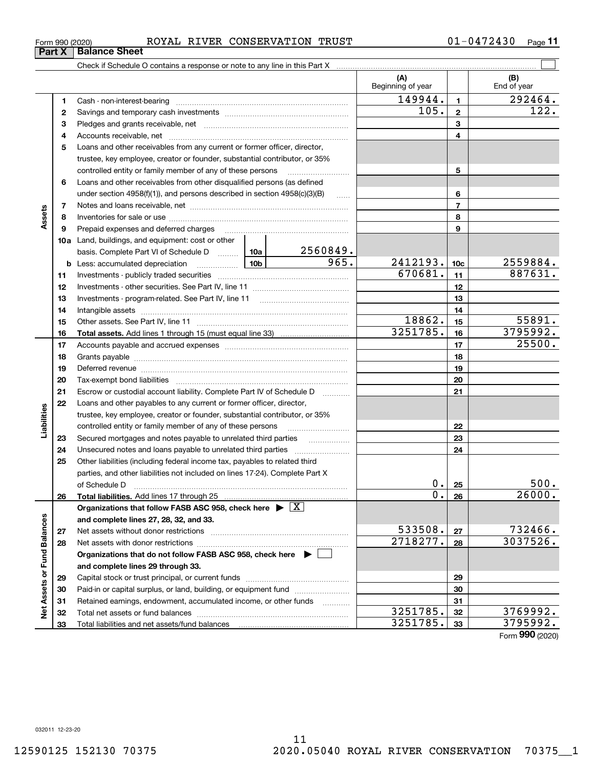#### Form 990 (2020) ROYAL RIVER CONSERVATION TRUST 01-0472430  $\,$  Page

Check if Schedule O contains a response or note to any line in this Part X

**3** Pledges and grants receivable, net  $\ldots$  **multimes contained and grants receivable**, net **multimes contained and grants receivable**, net **multimes contained and grants receivable 5**Loans and other receivables from any current or former officer, director, **10a**Land, buildings, and equipment: cost or other **12345678910c**965. 2412193. 2559884. **11121314151617181920212223242526b** Less: accumulated depreciation  $\ldots$  **10b** basis. Complete Part VI of Schedule D will aller **Total assets.**  Add lines 1 through 15 (must equal line 33) **Total liabilities.**  Add lines 17 through 25 **Organizations that follow FASB ASC 958, check here** | X **and complete lines 27, 28, 32, and 33. 2728Organizations that do not follow FASB ASC 958, check here** | Beginning of year | | End of year Cash - non-interest-bearing ~~~~~~~~~~~~~~~~~~~~~~~~~ Savings and temporary cash investments ~~~~~~~~~~~~~~~~~~Accounts receivable, net ~~~~~~~~~~~~~~~~~~~~~~~~~~ trustee, key employee, creator or founder, substantial contributor, or 35% controlled entity or family member of any of these persons ............................ Loans and other receivables from other disqualified persons (as defined under section  $4958(f)(1)$ , and persons described in section  $4958(c)(3)(B)$ Notes and loans receivable, net ~~~~~~~~~~~~~~~~~~~~~~~Inventories for sale or use ~~~~~~~~~~~~~~~~~~~~~~~~~~Prepaid expenses and deferred charges ~~~~~~~~~~~~~~~~~~ Investments - publicly traded securities ~~~~~~~~~~~~~~~~~~~ Investments - other securities. See Part IV, line 11 ~~~~~~~~~~~~~~ Investments - program-related. See Part IV, line 11 [2010] [2010] [2010] [2010] [2010] [2010] [2010] [2010] [2 Intangible assets …………………………………………………………………………………… Other assets. See Part IV, line 11 ~~~~~~~~~~~~~~~~~~~~~~ Accounts payable and accrued expenses ~~~~~~~~~~~~~~~~~~ Grants payable ~~~~~~~~~~~~~~~~~~~~~~~~~~~~~~~ Deferred revenue ~~~~~~~~~~~~~~~~~~~~~~~~~~~~~~ Tax-exempt bond liabilities …………………………………………………………… Escrow or custodial account liability. Complete Part IV of Schedule D Loans and other payables to any current or former officer, director, trustee, key employee, creator or founder, substantial contributor, or 35% controlled entity or family member of any of these persons ~~~~~~~~~Secured mortgages and notes payable to unrelated third parties **Fig. 1.1.1.1.1.1.1.1.1.1.** Unsecured notes and loans payable to unrelated third parties  $\ldots$ Other liabilities (including federal income tax, payables to related third parties, and other liabilities not included on lines 17-24). Complete Part X of Schedule D ~~~~~~~~~~~~~~~~~~~~~~~~~~~~~~~ Net assets without donor restrictions ~~~~~~~~~~~~~~~~~~~~ Net assets with donor restrictions ~~~~~~~~~~~~~~~~~~~~~~ 149944. 1 292464.  $670681. |11|$  887631. 2560849.  $18862. | 15 | 55891.$ 3251785. 16 3795992.  $105. |2|$  122. 25500.  $0.125$  500.  $0.26$  26000.  $533508$ .  $27$  732466.  $2718277. |28| 3037526.$ 

 $\mathcal{L}^{\text{max}}$ 

**(A) (B)**

Form (2020) **990**

 $3251785.$   $32$  3769992.  $3251785.$   $33$  3795992.

**12**

**Part X** Balance Sheet

**4**

**6**

**789**

**Assets**

**232425**

**Liabilities**

iabilities

**26**

**2728**

**Net Assets or Fund Balances**

ğ

Assets or Fund Balances

**and complete lines 29 through 33.**

Total liabilities and net assets/fund balances

Capital stock or trust principal, or current funds ~~~~~~~~~~~~~~~Paid-in or capital surplus, or land, building, or equipment fund Retained earnings, endowment, accumulated income, or other funds Total net assets or fund balances ~~~~~~~~~~~~~~~~~~~~~~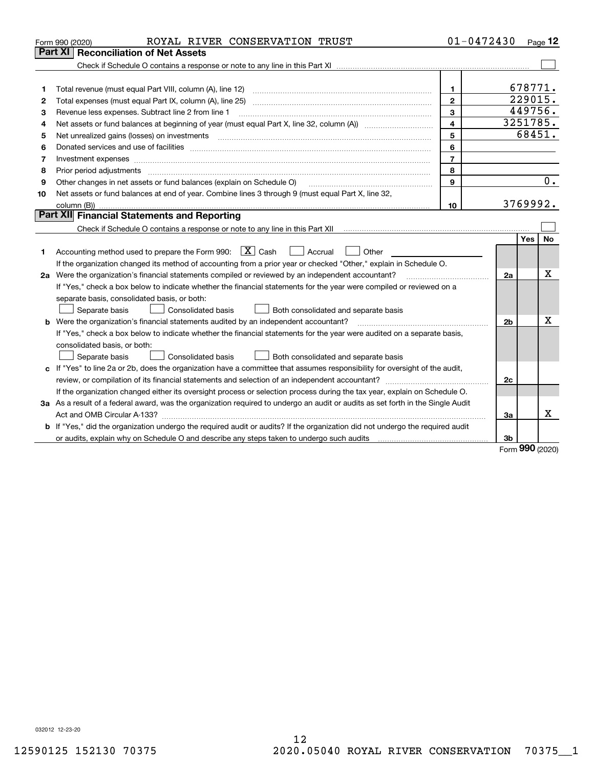|    | ROYAL RIVER CONSERVATION TRUST<br>Form 990 (2020)                                                                                                                                       | $01 - 0472430$ |                |           | Page $12$ |
|----|-----------------------------------------------------------------------------------------------------------------------------------------------------------------------------------------|----------------|----------------|-----------|-----------|
|    | Part XI<br><b>Reconciliation of Net Assets</b>                                                                                                                                          |                |                |           |           |
|    |                                                                                                                                                                                         |                |                |           |           |
|    |                                                                                                                                                                                         |                |                |           |           |
| 1  |                                                                                                                                                                                         | $\mathbf{1}$   |                | 678771.   |           |
| 2  |                                                                                                                                                                                         | $\overline{2}$ |                | 229015.   |           |
| 3  | Revenue less expenses. Subtract line 2 from line 1                                                                                                                                      | 3              |                | 449756.   |           |
| 4  | Net assets or fund balances at beginning of year (must equal Part X, line 32, column (A)) <i>massets</i> or fund balances at beginning of year (must equal Part X, line 32, column (A)) | $\overline{4}$ |                | 3251785.  |           |
| 5  |                                                                                                                                                                                         | 5              |                | 68451.    |           |
| 6  |                                                                                                                                                                                         | 6              |                |           |           |
| 7  |                                                                                                                                                                                         | $\overline{7}$ |                |           |           |
| 8  | Prior period adjustments www.communication.communication.com/news/communication.com/news/communication.com/new                                                                          | 8              |                |           |           |
| 9  | Other changes in net assets or fund balances (explain on Schedule O)                                                                                                                    | 9              |                |           | 0.        |
| 10 | Net assets or fund balances at end of year. Combine lines 3 through 9 (must equal Part X, line 32,                                                                                      |                |                |           |           |
|    |                                                                                                                                                                                         | 10             |                | 3769992.  |           |
|    | Part XII Financial Statements and Reporting                                                                                                                                             |                |                |           |           |
|    |                                                                                                                                                                                         |                |                |           |           |
|    |                                                                                                                                                                                         |                |                | Yes       | No        |
| 1  | Accounting method used to prepare the Form 990: $\boxed{X}$ Cash<br>  Accrual<br>Other                                                                                                  |                |                |           |           |
|    | If the organization changed its method of accounting from a prior year or checked "Other," explain in Schedule O.                                                                       |                |                |           |           |
|    | 2a Were the organization's financial statements compiled or reviewed by an independent accountant?                                                                                      |                | 2a             |           | х         |
|    | If "Yes," check a box below to indicate whether the financial statements for the year were compiled or reviewed on a                                                                    |                |                |           |           |
|    | separate basis, consolidated basis, or both:                                                                                                                                            |                |                |           |           |
|    | Separate basis<br><b>Consolidated basis</b><br>Both consolidated and separate basis                                                                                                     |                |                |           |           |
|    | <b>b</b> Were the organization's financial statements audited by an independent accountant?                                                                                             |                | 2 <sub>b</sub> |           | Χ         |
|    | If "Yes," check a box below to indicate whether the financial statements for the year were audited on a separate basis,                                                                 |                |                |           |           |
|    | consolidated basis, or both:                                                                                                                                                            |                |                |           |           |
|    | Consolidated basis<br>Separate basis<br>Both consolidated and separate basis                                                                                                            |                |                |           |           |
|    | c If "Yes" to line 2a or 2b, does the organization have a committee that assumes responsibility for oversight of the audit,                                                             |                |                |           |           |
|    |                                                                                                                                                                                         |                | 2c             |           |           |
|    | If the organization changed either its oversight process or selection process during the tax year, explain on Schedule O.                                                               |                |                |           |           |
|    | 3a As a result of a federal award, was the organization required to undergo an audit or audits as set forth in the Single Audit                                                         |                |                |           |           |
|    |                                                                                                                                                                                         |                | За             |           | x         |
|    | b If "Yes," did the organization undergo the required audit or audits? If the organization did not undergo the required audit                                                           |                |                |           |           |
|    |                                                                                                                                                                                         |                | 3b             |           |           |
|    |                                                                                                                                                                                         |                |                | $000 - 1$ |           |

Form (2020) **990**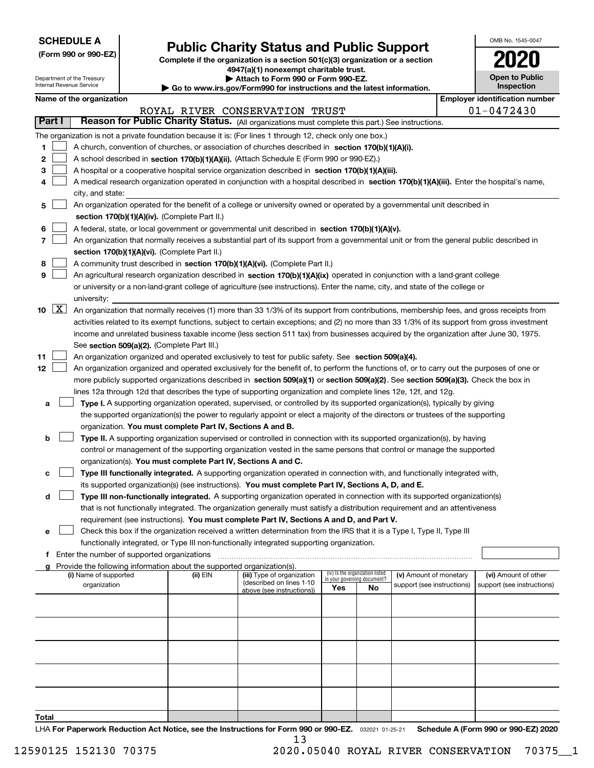Department of the Treasury

**(Form 990 or 990-EZ)**

### **Public Charity Status and Public Support**

**Complete if the organization is a section 501(c)(3) organization or a section 4947(a)(1) nonexempt charitable trust.**

| Attach to Form 990 or Form 990-EZ. |  |  |  |
|------------------------------------|--|--|--|
|------------------------------------|--|--|--|

| OMB No 1545-0047                    |
|-------------------------------------|
|                                     |
| <b>Open to Public</b><br>Inspection |

|    |                     | nternal Revenue Service                     |                                                                        | Go to www.irs.gov/Form990 for instructions and the latest information.                                                                       |     | Inspection                                                     |                            |  |                                       |
|----|---------------------|---------------------------------------------|------------------------------------------------------------------------|----------------------------------------------------------------------------------------------------------------------------------------------|-----|----------------------------------------------------------------|----------------------------|--|---------------------------------------|
|    |                     | Name of the organization                    |                                                                        |                                                                                                                                              |     |                                                                |                            |  | <b>Employer identification number</b> |
|    | Part I              |                                             |                                                                        | ROYAL RIVER CONSERVATION TRUST<br>Reason for Public Charity Status. (All organizations must complete this part.) See instructions.           |     |                                                                |                            |  | $01 - 0472430$                        |
|    |                     |                                             |                                                                        |                                                                                                                                              |     |                                                                |                            |  |                                       |
|    |                     |                                             |                                                                        | The organization is not a private foundation because it is: (For lines 1 through 12, check only one box.)                                    |     |                                                                |                            |  |                                       |
| 1  |                     |                                             |                                                                        | A church, convention of churches, or association of churches described in section 170(b)(1)(A)(i).                                           |     |                                                                |                            |  |                                       |
| 2  |                     |                                             |                                                                        | A school described in section 170(b)(1)(A)(ii). (Attach Schedule E (Form 990 or 990-EZ).)                                                    |     |                                                                |                            |  |                                       |
| з  |                     |                                             |                                                                        | A hospital or a cooperative hospital service organization described in section 170(b)(1)(A)(iii).                                            |     |                                                                |                            |  |                                       |
|    |                     |                                             |                                                                        | A medical research organization operated in conjunction with a hospital described in section 170(b)(1)(A)(iii). Enter the hospital's name,   |     |                                                                |                            |  |                                       |
|    |                     | city, and state:                            |                                                                        | An organization operated for the benefit of a college or university owned or operated by a governmental unit described in                    |     |                                                                |                            |  |                                       |
| 5  |                     |                                             | section 170(b)(1)(A)(iv). (Complete Part II.)                          |                                                                                                                                              |     |                                                                |                            |  |                                       |
|    |                     |                                             |                                                                        |                                                                                                                                              |     |                                                                |                            |  |                                       |
| 6  |                     |                                             |                                                                        | A federal, state, or local government or governmental unit described in section 170(b)(1)(A)(v).                                             |     |                                                                |                            |  |                                       |
|    |                     |                                             | section 170(b)(1)(A)(vi). (Complete Part II.)                          | An organization that normally receives a substantial part of its support from a governmental unit or from the general public described in    |     |                                                                |                            |  |                                       |
| 8  |                     |                                             |                                                                        | A community trust described in section 170(b)(1)(A)(vi). (Complete Part II.)                                                                 |     |                                                                |                            |  |                                       |
| 9  |                     |                                             |                                                                        | An agricultural research organization described in section 170(b)(1)(A)(ix) operated in conjunction with a land-grant college                |     |                                                                |                            |  |                                       |
|    |                     |                                             |                                                                        | or university or a non-land-grant college of agriculture (see instructions). Enter the name, city, and state of the college or               |     |                                                                |                            |  |                                       |
|    |                     | university:                                 |                                                                        |                                                                                                                                              |     |                                                                |                            |  |                                       |
| 10 | $\lfloor x \rfloor$ |                                             |                                                                        | An organization that normally receives (1) more than 33 1/3% of its support from contributions, membership fees, and gross receipts from     |     |                                                                |                            |  |                                       |
|    |                     |                                             |                                                                        | activities related to its exempt functions, subject to certain exceptions; and (2) no more than 33 1/3% of its support from gross investment |     |                                                                |                            |  |                                       |
|    |                     |                                             |                                                                        | income and unrelated business taxable income (less section 511 tax) from businesses acquired by the organization after June 30, 1975.        |     |                                                                |                            |  |                                       |
|    |                     |                                             | See section 509(a)(2). (Complete Part III.)                            |                                                                                                                                              |     |                                                                |                            |  |                                       |
| 11 |                     |                                             |                                                                        | An organization organized and operated exclusively to test for public safety. See section 509(a)(4).                                         |     |                                                                |                            |  |                                       |
| 12 |                     |                                             |                                                                        | An organization organized and operated exclusively for the benefit of, to perform the functions of, or to carry out the purposes of one or   |     |                                                                |                            |  |                                       |
|    |                     |                                             |                                                                        | more publicly supported organizations described in section 509(a)(1) or section 509(a)(2). See section 509(a)(3). Check the box in           |     |                                                                |                            |  |                                       |
|    |                     |                                             |                                                                        | lines 12a through 12d that describes the type of supporting organization and complete lines 12e, 12f, and 12g.                               |     |                                                                |                            |  |                                       |
| а  |                     |                                             |                                                                        | Type I. A supporting organization operated, supervised, or controlled by its supported organization(s), typically by giving                  |     |                                                                |                            |  |                                       |
|    |                     |                                             |                                                                        | the supported organization(s) the power to regularly appoint or elect a majority of the directors or trustees of the supporting              |     |                                                                |                            |  |                                       |
|    |                     |                                             | organization. You must complete Part IV, Sections A and B.             |                                                                                                                                              |     |                                                                |                            |  |                                       |
| b  |                     |                                             |                                                                        | Type II. A supporting organization supervised or controlled in connection with its supported organization(s), by having                      |     |                                                                |                            |  |                                       |
|    |                     |                                             |                                                                        | control or management of the supporting organization vested in the same persons that control or manage the supported                         |     |                                                                |                            |  |                                       |
|    |                     |                                             | organization(s). You must complete Part IV, Sections A and C.          |                                                                                                                                              |     |                                                                |                            |  |                                       |
| с  |                     |                                             |                                                                        | Type III functionally integrated. A supporting organization operated in connection with, and functionally integrated with,                   |     |                                                                |                            |  |                                       |
|    |                     |                                             |                                                                        | its supported organization(s) (see instructions). You must complete Part IV, Sections A, D, and E.                                           |     |                                                                |                            |  |                                       |
| d  |                     |                                             |                                                                        | Type III non-functionally integrated. A supporting organization operated in connection with its supported organization(s)                    |     |                                                                |                            |  |                                       |
|    |                     |                                             |                                                                        | that is not functionally integrated. The organization generally must satisfy a distribution requirement and an attentiveness                 |     |                                                                |                            |  |                                       |
|    |                     |                                             |                                                                        | requirement (see instructions). You must complete Part IV, Sections A and D, and Part V.                                                     |     |                                                                |                            |  |                                       |
| е  |                     |                                             |                                                                        | Check this box if the organization received a written determination from the IRS that it is a Type I, Type II, Type III                      |     |                                                                |                            |  |                                       |
| f. |                     | Enter the number of supported organizations |                                                                        | functionally integrated, or Type III non-functionally integrated supporting organization.                                                    |     |                                                                |                            |  |                                       |
|    |                     |                                             | Provide the following information about the supported organization(s). |                                                                                                                                              |     |                                                                |                            |  |                                       |
|    |                     | (i) Name of supported                       | (ii) EIN                                                               | (iii) Type of organization                                                                                                                   |     | (iv) Is the organization listed<br>in your governing document? | (v) Amount of monetary     |  | (vi) Amount of other                  |
|    |                     | organization                                |                                                                        | (described on lines 1-10<br>above (see instructions))                                                                                        | Yes | No                                                             | support (see instructions) |  | support (see instructions)            |
|    |                     |                                             |                                                                        |                                                                                                                                              |     |                                                                |                            |  |                                       |
|    |                     |                                             |                                                                        |                                                                                                                                              |     |                                                                |                            |  |                                       |
|    |                     |                                             |                                                                        |                                                                                                                                              |     |                                                                |                            |  |                                       |
|    |                     |                                             |                                                                        |                                                                                                                                              |     |                                                                |                            |  |                                       |
|    |                     |                                             |                                                                        |                                                                                                                                              |     |                                                                |                            |  |                                       |
|    |                     |                                             |                                                                        |                                                                                                                                              |     |                                                                |                            |  |                                       |
|    |                     |                                             |                                                                        |                                                                                                                                              |     |                                                                |                            |  |                                       |
|    |                     |                                             |                                                                        |                                                                                                                                              |     |                                                                |                            |  |                                       |
|    |                     |                                             |                                                                        |                                                                                                                                              |     |                                                                |                            |  |                                       |

**Total**

LHA For Paperwork Reduction Act Notice, see the Instructions for Form 990 or 990-EZ. <sub>032021</sub> o1-25-21 Schedule A (Form 990 or 990-EZ) 2020 13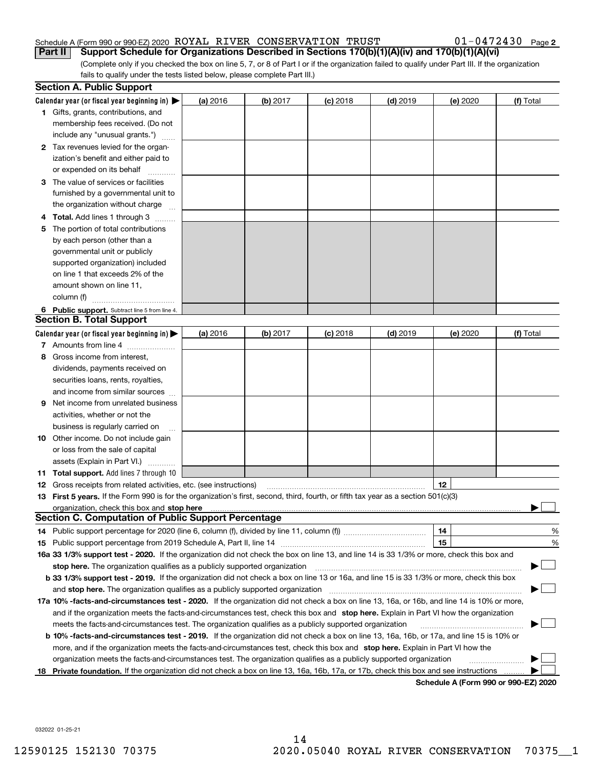#### Schedule A (Form 990 or 990-EZ) 2020  $\rm \, ROYAL$   $\rm \, RIVER$   $\rm \, CONSERVATION$   $\rm \, TRUST$   $\rm \, 01-0472430$   $\rm \, Page$ **Part II Support Schedule for Organizations Described in Sections 170(b)(1)(A)(iv) and 170(b)(1)(A)(vi)**

 $01 - 0472430$  Page 2

(Complete only if you checked the box on line 5, 7, or 8 of Part I or if the organization failed to qualify under Part III. If the organization fails to qualify under the tests listed below, please complete Part III.)

|    | <b>Section A. Public Support</b>                                                                                                                                                                                                                           |          |          |            |            |          |                                      |
|----|------------------------------------------------------------------------------------------------------------------------------------------------------------------------------------------------------------------------------------------------------------|----------|----------|------------|------------|----------|--------------------------------------|
|    | Calendar year (or fiscal year beginning in) $\blacktriangleright$                                                                                                                                                                                          | (a) 2016 | (b) 2017 | $(c)$ 2018 | $(d)$ 2019 | (e) 2020 | (f) Total                            |
|    | <b>1</b> Gifts, grants, contributions, and                                                                                                                                                                                                                 |          |          |            |            |          |                                      |
|    | membership fees received. (Do not                                                                                                                                                                                                                          |          |          |            |            |          |                                      |
|    | include any "unusual grants.")                                                                                                                                                                                                                             |          |          |            |            |          |                                      |
|    | <b>2</b> Tax revenues levied for the organ-                                                                                                                                                                                                                |          |          |            |            |          |                                      |
|    | ization's benefit and either paid to                                                                                                                                                                                                                       |          |          |            |            |          |                                      |
|    | or expended on its behalf                                                                                                                                                                                                                                  |          |          |            |            |          |                                      |
|    | 3 The value of services or facilities                                                                                                                                                                                                                      |          |          |            |            |          |                                      |
|    | furnished by a governmental unit to                                                                                                                                                                                                                        |          |          |            |            |          |                                      |
|    | the organization without charge                                                                                                                                                                                                                            |          |          |            |            |          |                                      |
|    | 4 Total. Add lines 1 through 3                                                                                                                                                                                                                             |          |          |            |            |          |                                      |
| 5. | The portion of total contributions                                                                                                                                                                                                                         |          |          |            |            |          |                                      |
|    | by each person (other than a                                                                                                                                                                                                                               |          |          |            |            |          |                                      |
|    | governmental unit or publicly                                                                                                                                                                                                                              |          |          |            |            |          |                                      |
|    | supported organization) included                                                                                                                                                                                                                           |          |          |            |            |          |                                      |
|    | on line 1 that exceeds 2% of the                                                                                                                                                                                                                           |          |          |            |            |          |                                      |
|    | amount shown on line 11,                                                                                                                                                                                                                                   |          |          |            |            |          |                                      |
|    | column (f)                                                                                                                                                                                                                                                 |          |          |            |            |          |                                      |
|    | 6 Public support. Subtract line 5 from line 4.                                                                                                                                                                                                             |          |          |            |            |          |                                      |
|    | <b>Section B. Total Support</b>                                                                                                                                                                                                                            |          |          |            |            |          |                                      |
|    | Calendar year (or fiscal year beginning in)                                                                                                                                                                                                                | (a) 2016 | (b) 2017 | $(c)$ 2018 | $(d)$ 2019 | (e) 2020 | (f) Total                            |
|    | 7 Amounts from line 4                                                                                                                                                                                                                                      |          |          |            |            |          |                                      |
|    | 8 Gross income from interest,                                                                                                                                                                                                                              |          |          |            |            |          |                                      |
|    | dividends, payments received on                                                                                                                                                                                                                            |          |          |            |            |          |                                      |
|    | securities loans, rents, royalties,                                                                                                                                                                                                                        |          |          |            |            |          |                                      |
|    | and income from similar sources                                                                                                                                                                                                                            |          |          |            |            |          |                                      |
| 9. | Net income from unrelated business                                                                                                                                                                                                                         |          |          |            |            |          |                                      |
|    | activities, whether or not the                                                                                                                                                                                                                             |          |          |            |            |          |                                      |
|    | business is regularly carried on                                                                                                                                                                                                                           |          |          |            |            |          |                                      |
|    | <b>10</b> Other income. Do not include gain                                                                                                                                                                                                                |          |          |            |            |          |                                      |
|    | or loss from the sale of capital                                                                                                                                                                                                                           |          |          |            |            |          |                                      |
|    | assets (Explain in Part VI.)                                                                                                                                                                                                                               |          |          |            |            |          |                                      |
|    | <b>11 Total support.</b> Add lines 7 through 10                                                                                                                                                                                                            |          |          |            |            |          |                                      |
|    | <b>12</b> Gross receipts from related activities, etc. (see instructions)                                                                                                                                                                                  |          |          |            |            | 12       |                                      |
|    | 13 First 5 years. If the Form 990 is for the organization's first, second, third, fourth, or fifth tax year as a section 501(c)(3)                                                                                                                         |          |          |            |            |          |                                      |
|    | organization, check this box and <b>stop here</b> www.communication.communication.communication.communication.communic<br><b>Section C. Computation of Public Support Percentage</b>                                                                       |          |          |            |            |          |                                      |
|    |                                                                                                                                                                                                                                                            |          |          |            |            | 14       |                                      |
|    |                                                                                                                                                                                                                                                            |          |          |            |            | 15       | %                                    |
|    | 16a 33 1/3% support test - 2020. If the organization did not check the box on line 13, and line 14 is 33 1/3% or more, check this box and                                                                                                                  |          |          |            |            |          | %                                    |
|    |                                                                                                                                                                                                                                                            |          |          |            |            |          |                                      |
|    | stop here. The organization qualifies as a publicly supported organization<br>b 33 1/3% support test - 2019. If the organization did not check a box on line 13 or 16a, and line 15 is 33 1/3% or more, check this box                                     |          |          |            |            |          |                                      |
|    | and stop here. The organization qualifies as a publicly supported organization                                                                                                                                                                             |          |          |            |            |          |                                      |
|    | 17a 10% -facts-and-circumstances test - 2020. If the organization did not check a box on line 13, 16a, or 16b, and line 14 is 10% or more,                                                                                                                 |          |          |            |            |          |                                      |
|    |                                                                                                                                                                                                                                                            |          |          |            |            |          |                                      |
|    | and if the organization meets the facts-and-circumstances test, check this box and stop here. Explain in Part VI how the organization                                                                                                                      |          |          |            |            |          |                                      |
|    | meets the facts-and-circumstances test. The organization qualifies as a publicly supported organization                                                                                                                                                    |          |          |            |            |          |                                      |
|    | <b>b 10% -facts-and-circumstances test - 2019.</b> If the organization did not check a box on line 13, 16a, 16b, or 17a, and line 15 is 10% or                                                                                                             |          |          |            |            |          |                                      |
|    | more, and if the organization meets the facts-and-circumstances test, check this box and stop here. Explain in Part VI how the                                                                                                                             |          |          |            |            |          |                                      |
| 18 | organization meets the facts-and-circumstances test. The organization qualifies as a publicly supported organization<br>Private foundation. If the organization did not check a box on line 13, 16a, 16b, 17a, or 17b, check this box and see instructions |          |          |            |            |          |                                      |
|    |                                                                                                                                                                                                                                                            |          |          |            |            |          | Schedule A (Form 990 or 990-F7) 2020 |

**Schedule A (Form 990 or 990-EZ) 2020**

032022 01-25-21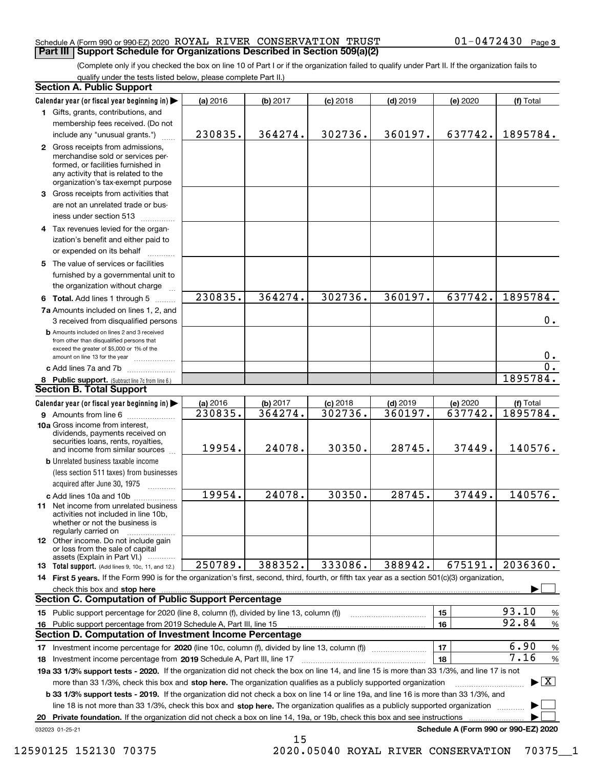#### Schedule A (Form 990 or 990-EZ) 2020  $\rm \, ROYAL$   $\rm \, RIVER$   $\rm \, CONSERVATION$   $\rm \, TRUST$   $\rm \, 01-0472430$   $\rm \, Page$ **Part III Support Schedule for Organizations Described in Section 509(a)(2)**

(Complete only if you checked the box on line 10 of Part I or if the organization failed to qualify under Part II. If the organization fails to qualify under the tests listed below, please complete Part II.)

|    | <b>Section A. Public Support</b>                                                                                                                                                         |          |          |            |            |                                      |                                          |
|----|------------------------------------------------------------------------------------------------------------------------------------------------------------------------------------------|----------|----------|------------|------------|--------------------------------------|------------------------------------------|
|    | Calendar year (or fiscal year beginning in)                                                                                                                                              | (a) 2016 | (b) 2017 | $(c)$ 2018 | $(d)$ 2019 | (e) 2020                             | (f) Total                                |
|    | 1 Gifts, grants, contributions, and                                                                                                                                                      |          |          |            |            |                                      |                                          |
|    | membership fees received. (Do not                                                                                                                                                        |          |          |            |            |                                      |                                          |
|    | include any "unusual grants.")                                                                                                                                                           | 230835.  | 364274.  | 302736.    | 360197.    | 637742.                              | 1895784.                                 |
|    | 2 Gross receipts from admissions,<br>merchandise sold or services per-<br>formed, or facilities furnished in<br>any activity that is related to the<br>organization's tax-exempt purpose |          |          |            |            |                                      |                                          |
|    | 3 Gross receipts from activities that                                                                                                                                                    |          |          |            |            |                                      |                                          |
|    | are not an unrelated trade or bus-<br>iness under section 513                                                                                                                            |          |          |            |            |                                      |                                          |
|    | 4 Tax revenues levied for the organ-                                                                                                                                                     |          |          |            |            |                                      |                                          |
|    | ization's benefit and either paid to<br>or expended on its behalf                                                                                                                        |          |          |            |            |                                      |                                          |
|    | 5 The value of services or facilities                                                                                                                                                    |          |          |            |            |                                      |                                          |
|    | furnished by a governmental unit to                                                                                                                                                      |          |          |            |            |                                      |                                          |
|    | the organization without charge                                                                                                                                                          |          |          |            |            |                                      |                                          |
|    | 6 Total. Add lines 1 through 5                                                                                                                                                           | 230835.  | 364274.  | 302736.    | 360197.    | 637742.                              | 1895784.                                 |
|    | 7a Amounts included on lines 1, 2, and<br>3 received from disqualified persons                                                                                                           |          |          |            |            |                                      | 0.                                       |
|    | <b>b</b> Amounts included on lines 2 and 3 received                                                                                                                                      |          |          |            |            |                                      |                                          |
|    | from other than disqualified persons that<br>exceed the greater of \$5,000 or 1% of the<br>amount on line 13 for the year                                                                |          |          |            |            |                                      | 0.                                       |
|    | c Add lines 7a and 7b                                                                                                                                                                    |          |          |            |            |                                      | $\overline{0}$ .                         |
|    | 8 Public support. (Subtract line 7c from line 6.)                                                                                                                                        |          |          |            |            |                                      | 1895784.                                 |
|    | <b>Section B. Total Support</b>                                                                                                                                                          |          |          |            |            |                                      |                                          |
|    | Calendar year (or fiscal year beginning in)                                                                                                                                              | (a) 2016 | (b) 2017 | $(c)$ 2018 | $(d)$ 2019 | (e) 2020                             | (f) Total                                |
|    | 9 Amounts from line 6                                                                                                                                                                    | 230835.  | 364274.  | 302736.    | 360197.    | 637742.                              | 1895784.                                 |
|    | 10a Gross income from interest,<br>dividends, payments received on<br>securities loans, rents, royalties,                                                                                |          |          |            |            |                                      |                                          |
|    | and income from similar sources                                                                                                                                                          | 19954.   | 24078.   | 30350.     | 28745.     | 37449.                               | 140576.                                  |
|    | <b>b</b> Unrelated business taxable income<br>(less section 511 taxes) from businesses                                                                                                   |          |          |            |            |                                      |                                          |
|    | acquired after June 30, 1975                                                                                                                                                             |          | 24078.   | 30350.     | 28745.     | 37449.                               | 140576.                                  |
|    | c Add lines 10a and 10b<br>11 Net income from unrelated business<br>activities not included in line 10b,<br>whether or not the business is<br>regularly carried on                       | 19954.   |          |            |            |                                      |                                          |
|    | 12 Other income. Do not include gain<br>or loss from the sale of capital                                                                                                                 |          |          |            |            |                                      |                                          |
|    | assets (Explain in Part VI.)<br><b>13 Total support.</b> (Add lines 9, 10c, 11, and 12.)                                                                                                 | 250789.  | 388352.  | 333086.    | 388942.    | 675191.                              | 2036360.                                 |
|    | 14 First 5 years. If the Form 990 is for the organization's first, second, third, fourth, or fifth tax year as a section 501(c)(3) organization,                                         |          |          |            |            |                                      |                                          |
|    | check this box and stop here www.array.com/www.array.com/www.array.com/www.array.com/www.array.com/www.array.c                                                                           |          |          |            |            |                                      |                                          |
|    | <b>Section C. Computation of Public Support Percentage</b>                                                                                                                               |          |          |            |            |                                      |                                          |
|    | 15 Public support percentage for 2020 (line 8, column (f), divided by line 13, column (f))                                                                                               |          |          |            |            | 15                                   | 93.10<br>%                               |
|    | 16 Public support percentage from 2019 Schedule A, Part III, line 15                                                                                                                     |          |          |            |            | 16                                   | 92.84<br>$\%$                            |
|    | <b>Section D. Computation of Investment Income Percentage</b>                                                                                                                            |          |          |            |            |                                      |                                          |
|    | 17 Investment income percentage for 2020 (line 10c, column (f), divided by line 13, column (f))                                                                                          |          |          |            |            | 17                                   | 6.90<br>$\%$                             |
|    | 18 Investment income percentage from 2019 Schedule A, Part III, line 17                                                                                                                  |          |          |            |            | 18                                   | 7.16<br>$\%$                             |
|    | 19a 33 1/3% support tests - 2020. If the organization did not check the box on line 14, and line 15 is more than 33 1/3%, and line 17 is not                                             |          |          |            |            |                                      |                                          |
|    | more than 33 1/3%, check this box and stop here. The organization qualifies as a publicly supported organization                                                                         |          |          |            |            |                                      | $\blacktriangleright$ $\boxed{\text{X}}$ |
|    | <b>b 33 1/3% support tests - 2019.</b> If the organization did not check a box on line 14 or line 19a, and line 16 is more than 33 1/3%, and                                             |          |          |            |            |                                      |                                          |
|    | line 18 is not more than 33 1/3%, check this box and stop here. The organization qualifies as a publicly supported organization                                                          |          |          |            |            |                                      |                                          |
| 20 | Private foundation. If the organization did not check a box on line 14, 19a, or 19b, check this box and see instructions                                                                 |          |          |            |            |                                      |                                          |
|    | 032023 01-25-21                                                                                                                                                                          |          |          |            |            | Schedule A (Form 990 or 990-EZ) 2020 |                                          |
|    |                                                                                                                                                                                          |          | 15       |            |            |                                      |                                          |

12590125 152130 70375 2020.05040 ROYAL RIVER CONSERVATION 70375\_\_1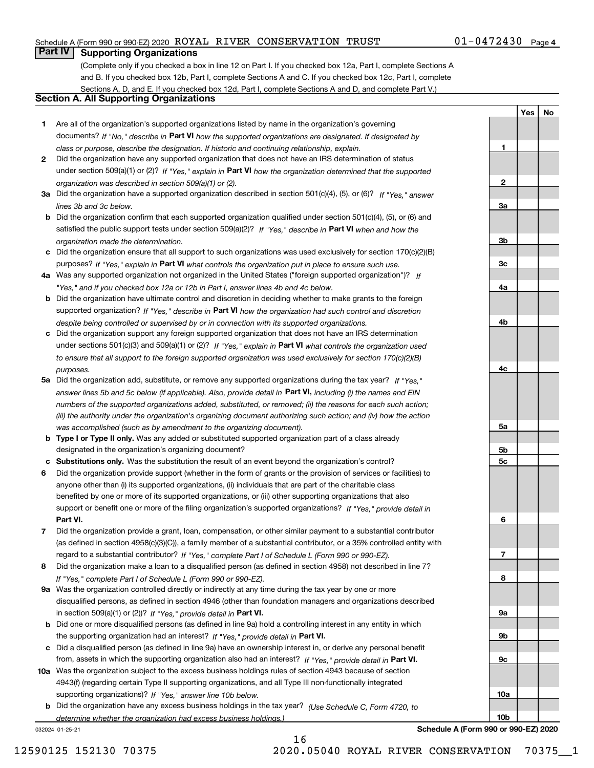#### Schedule A (Form 990 or 990-EZ) 2020  $\rm \, ROYAL$   $\rm \, RIVER$   $\rm \, CONSERVATION$   $\rm \, TRUST$   $\rm \, 01-0472430$   $\rm \, Page$

### **Part IV Supporting Organizations**

(Complete only if you checked a box in line 12 on Part I. If you checked box 12a, Part I, complete Sections A and B. If you checked box 12b, Part I, complete Sections A and C. If you checked box 12c, Part I, complete Sections A, D, and E. If you checked box 12d, Part I, complete Sections A and D, and complete Part V.)

#### **Section A. All Supporting Organizations**

- **1** Are all of the organization's supported organizations listed by name in the organization's governing documents? If "No," describe in **Part VI** how the supported organizations are designated. If designated by *class or purpose, describe the designation. If historic and continuing relationship, explain.*
- **2** Did the organization have any supported organization that does not have an IRS determination of status under section 509(a)(1) or (2)? If "Yes," explain in Part VI how the organization determined that the supported *organization was described in section 509(a)(1) or (2).*
- **3a** Did the organization have a supported organization described in section 501(c)(4), (5), or (6)? If "Yes," answer *lines 3b and 3c below.*
- **b** Did the organization confirm that each supported organization qualified under section 501(c)(4), (5), or (6) and satisfied the public support tests under section 509(a)(2)? If "Yes," describe in **Part VI** when and how the *organization made the determination.*
- **c**Did the organization ensure that all support to such organizations was used exclusively for section 170(c)(2)(B) purposes? If "Yes," explain in **Part VI** what controls the organization put in place to ensure such use.
- **4a***If* Was any supported organization not organized in the United States ("foreign supported organization")? *"Yes," and if you checked box 12a or 12b in Part I, answer lines 4b and 4c below.*
- **b** Did the organization have ultimate control and discretion in deciding whether to make grants to the foreign supported organization? If "Yes," describe in **Part VI** how the organization had such control and discretion *despite being controlled or supervised by or in connection with its supported organizations.*
- **c** Did the organization support any foreign supported organization that does not have an IRS determination under sections 501(c)(3) and 509(a)(1) or (2)? If "Yes," explain in **Part VI** what controls the organization used *to ensure that all support to the foreign supported organization was used exclusively for section 170(c)(2)(B) purposes.*
- **5a** Did the organization add, substitute, or remove any supported organizations during the tax year? If "Yes," answer lines 5b and 5c below (if applicable). Also, provide detail in **Part VI,** including (i) the names and EIN *numbers of the supported organizations added, substituted, or removed; (ii) the reasons for each such action; (iii) the authority under the organization's organizing document authorizing such action; and (iv) how the action was accomplished (such as by amendment to the organizing document).*
- **b** Type I or Type II only. Was any added or substituted supported organization part of a class already designated in the organization's organizing document?
- **cSubstitutions only.**  Was the substitution the result of an event beyond the organization's control?
- **6** Did the organization provide support (whether in the form of grants or the provision of services or facilities) to **Part VI.** *If "Yes," provide detail in* support or benefit one or more of the filing organization's supported organizations? anyone other than (i) its supported organizations, (ii) individuals that are part of the charitable class benefited by one or more of its supported organizations, or (iii) other supporting organizations that also
- **7**Did the organization provide a grant, loan, compensation, or other similar payment to a substantial contributor *If "Yes," complete Part I of Schedule L (Form 990 or 990-EZ).* regard to a substantial contributor? (as defined in section 4958(c)(3)(C)), a family member of a substantial contributor, or a 35% controlled entity with
- **8** Did the organization make a loan to a disqualified person (as defined in section 4958) not described in line 7? *If "Yes," complete Part I of Schedule L (Form 990 or 990-EZ).*
- **9a** Was the organization controlled directly or indirectly at any time during the tax year by one or more in section 509(a)(1) or (2))? If "Yes," *provide detail in* <code>Part VI.</code> disqualified persons, as defined in section 4946 (other than foundation managers and organizations described
- **b** Did one or more disqualified persons (as defined in line 9a) hold a controlling interest in any entity in which the supporting organization had an interest? If "Yes," provide detail in P**art VI**.
- **c**Did a disqualified person (as defined in line 9a) have an ownership interest in, or derive any personal benefit from, assets in which the supporting organization also had an interest? If "Yes," provide detail in P**art VI.**
- **10a** Was the organization subject to the excess business holdings rules of section 4943 because of section supporting organizations)? If "Yes," answer line 10b below. 4943(f) (regarding certain Type II supporting organizations, and all Type III non-functionally integrated
- **b** Did the organization have any excess business holdings in the tax year? (Use Schedule C, Form 4720, to *determine whether the organization had excess business holdings.)*

032024 01-25-21

**3b3c4a4b4c5a 5b5c6789a 9b9c10a10b**

**1**

**2**

**3a**

**YesNo**

**Schedule A (Form 990 or 990-EZ) 2020**

16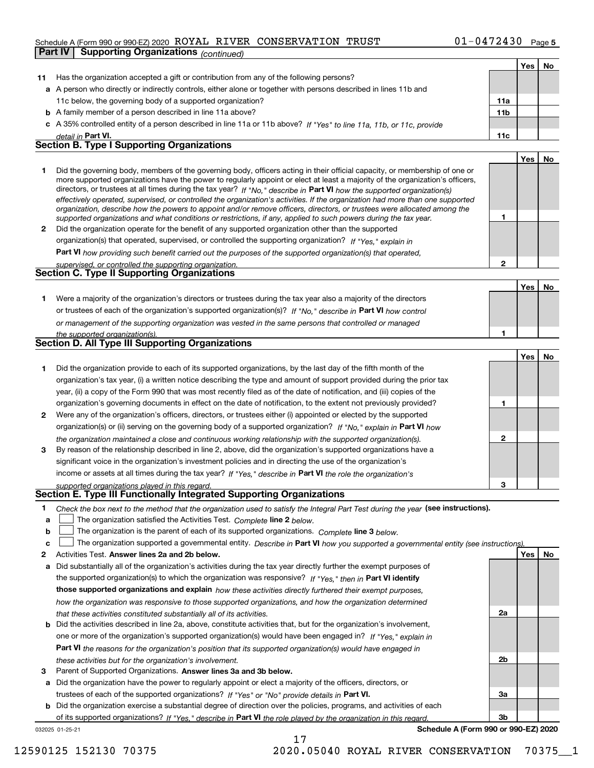#### Schedule A (Form 990 or 990-EZ) 2020  $\rm \, ROYAL$   $\rm \, RIVER$   $\rm \, CONSERVATION$   $\rm \, TRUST$   $\rm \, 01-0472430$   $\rm \, Page$ **Part IV Supporting Organizations** *(continued)*

|              |                                                                                                                                                                                                                                              |              | Yes   No |    |
|--------------|----------------------------------------------------------------------------------------------------------------------------------------------------------------------------------------------------------------------------------------------|--------------|----------|----|
| 11           | Has the organization accepted a gift or contribution from any of the following persons?                                                                                                                                                      |              |          |    |
|              | a A person who directly or indirectly controls, either alone or together with persons described in lines 11b and                                                                                                                             |              |          |    |
|              | 11c below, the governing body of a supported organization?                                                                                                                                                                                   | 11a          |          |    |
|              | <b>b</b> A family member of a person described in line 11a above?                                                                                                                                                                            | 11b          |          |    |
|              | c A 35% controlled entity of a person described in line 11a or 11b above? If "Yes" to line 11a, 11b, or 11c, provide                                                                                                                         |              |          |    |
|              | detail in Part VI.                                                                                                                                                                                                                           | 11c          |          |    |
|              | <b>Section B. Type I Supporting Organizations</b>                                                                                                                                                                                            |              |          |    |
|              |                                                                                                                                                                                                                                              |              | Yes      | No |
| 1.           | Did the governing body, members of the governing body, officers acting in their official capacity, or membership of one or                                                                                                                   |              |          |    |
|              | more supported organizations have the power to regularly appoint or elect at least a majority of the organization's officers,                                                                                                                |              |          |    |
|              | directors, or trustees at all times during the tax year? If "No," describe in Part VI how the supported organization(s)                                                                                                                      |              |          |    |
|              | effectively operated, supervised, or controlled the organization's activities. If the organization had more than one supported                                                                                                               |              |          |    |
|              | organization, describe how the powers to appoint and/or remove officers, directors, or trustees were allocated among the<br>supported organizations and what conditions or restrictions, if any, applied to such powers during the tax year. | 1            |          |    |
| $\mathbf{2}$ | Did the organization operate for the benefit of any supported organization other than the supported                                                                                                                                          |              |          |    |
|              | organization(s) that operated, supervised, or controlled the supporting organization? If "Yes," explain in                                                                                                                                   |              |          |    |
|              | Part VI how providing such benefit carried out the purposes of the supported organization(s) that operated,                                                                                                                                  |              |          |    |
|              | supervised, or controlled the supporting organization.                                                                                                                                                                                       | $\mathbf{2}$ |          |    |
|              | <b>Section C. Type II Supporting Organizations</b>                                                                                                                                                                                           |              |          |    |
|              |                                                                                                                                                                                                                                              |              | Yes      | No |
| 1.           | Were a majority of the organization's directors or trustees during the tax year also a majority of the directors                                                                                                                             |              |          |    |
|              | or trustees of each of the organization's supported organization(s)? If "No." describe in Part VI how control                                                                                                                                |              |          |    |
|              |                                                                                                                                                                                                                                              |              |          |    |
|              | or management of the supporting organization was vested in the same persons that controlled or managed                                                                                                                                       | 1            |          |    |
|              | the supported organization(s).<br><b>Section D. All Type III Supporting Organizations</b>                                                                                                                                                    |              |          |    |
|              |                                                                                                                                                                                                                                              |              | Yes      | No |
| 1            | Did the organization provide to each of its supported organizations, by the last day of the fifth month of the                                                                                                                               |              |          |    |
|              | organization's tax year, (i) a written notice describing the type and amount of support provided during the prior tax                                                                                                                        |              |          |    |
|              | year, (ii) a copy of the Form 990 that was most recently filed as of the date of notification, and (iii) copies of the                                                                                                                       |              |          |    |
|              | organization's governing documents in effect on the date of notification, to the extent not previously provided?                                                                                                                             | 1            |          |    |
| 2            | Were any of the organization's officers, directors, or trustees either (i) appointed or elected by the supported                                                                                                                             |              |          |    |
|              | organization(s) or (ii) serving on the governing body of a supported organization? If "No," explain in Part VI how                                                                                                                           |              |          |    |
|              |                                                                                                                                                                                                                                              | $\mathbf{2}$ |          |    |
| 3            | the organization maintained a close and continuous working relationship with the supported organization(s).<br>By reason of the relationship described in line 2, above, did the organization's supported organizations have a               |              |          |    |
|              |                                                                                                                                                                                                                                              |              |          |    |
|              | significant voice in the organization's investment policies and in directing the use of the organization's                                                                                                                                   |              |          |    |
|              | income or assets at all times during the tax year? If "Yes," describe in Part VI the role the organization's                                                                                                                                 | з            |          |    |
|              | supported organizations played in this regard.<br>Section E. Type III Functionally Integrated Supporting Organizations                                                                                                                       |              |          |    |
| 1            |                                                                                                                                                                                                                                              |              |          |    |
| a            | Check the box next to the method that the organization used to satisfy the Integral Part Test during the year (see instructions).<br>The organization satisfied the Activities Test. Complete line 2 below.                                  |              |          |    |
| b            | The organization is the parent of each of its supported organizations. Complete line 3 below.                                                                                                                                                |              |          |    |
| c            | The organization supported a governmental entity. Describe in Part VI how you supported a governmental entity (see instructions)                                                                                                             |              |          |    |
| 2            | Activities Test. Answer lines 2a and 2b below.                                                                                                                                                                                               |              | Yes      | No |
| a            | Did substantially all of the organization's activities during the tax year directly further the exempt purposes of                                                                                                                           |              |          |    |
|              | the supported organization(s) to which the organization was responsive? If "Yes." then in Part VI identify                                                                                                                                   |              |          |    |
|              | those supported organizations and explain how these activities directly furthered their exempt purposes,                                                                                                                                     |              |          |    |
|              |                                                                                                                                                                                                                                              |              |          |    |
|              | how the organization was responsive to those supported organizations, and how the organization determined                                                                                                                                    | 2a           |          |    |
|              | that these activities constituted substantially all of its activities.<br><b>b</b> Did the activities described in line 2a, above, constitute activities that, but for the organization's involvement,                                       |              |          |    |
|              |                                                                                                                                                                                                                                              |              |          |    |
|              | one or more of the organization's supported organization(s) would have been engaged in? If "Yes," explain in                                                                                                                                 |              |          |    |
|              | Part VI the reasons for the organization's position that its supported organization(s) would have engaged in                                                                                                                                 |              |          |    |
|              | these activities but for the organization's involvement.                                                                                                                                                                                     | 2b           |          |    |
| з            | Parent of Supported Organizations. Answer lines 3a and 3b below.                                                                                                                                                                             |              |          |    |
|              | a Did the organization have the power to regularly appoint or elect a majority of the officers, directors, or                                                                                                                                |              |          |    |
|              | trustees of each of the supported organizations? If "Yes" or "No" provide details in Part VI.                                                                                                                                                | За           |          |    |
|              | <b>b</b> Did the organization exercise a substantial degree of direction over the policies, programs, and activities of each                                                                                                                 |              |          |    |

17

032025 01-25-21 of its supported organizations? If "Yes," describe in Part VI the role played by the organization in this regard.

**Schedule A (Form 990 or 990-EZ) 2020**

**3b**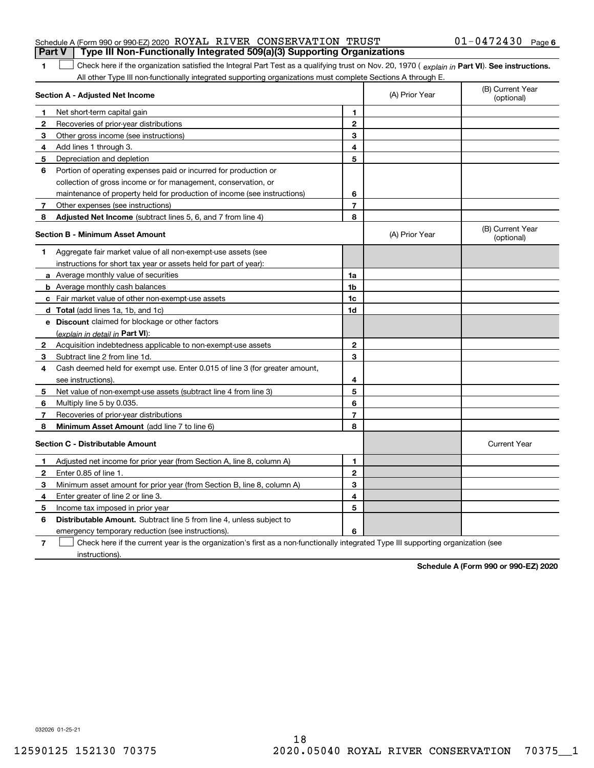| Schedule A (Form 990 or 990-EZ) 2020 ROYAL RIVER CONSERVATION TRUST                                                                            |                | $01 - 0472430$                 | Page |
|------------------------------------------------------------------------------------------------------------------------------------------------|----------------|--------------------------------|------|
| Type III Non-Functionally Integrated 509(a)(3) Supporting Organizations<br><b>Part V</b>                                                       |                |                                |      |
| Check here if the organization satisfied the Integral Part Test as a qualifying trust on Nov. 20, 1970 (explain in Part VI). See instructions. |                |                                |      |
| All other Type III non-functionally integrated supporting organizations must complete Sections A through E.                                    |                |                                |      |
| <b>Section A - Adjusted Net Income</b>                                                                                                         | (A) Prior Year | (B) Current Year<br>(optional) |      |
| Net short-term capital gain                                                                                                                    |                |                                |      |

| 2            | Recoveries of prior-year distributions                                      | $\mathbf{2}$   |                |                                |
|--------------|-----------------------------------------------------------------------------|----------------|----------------|--------------------------------|
| 3            | Other gross income (see instructions)                                       | 3              |                |                                |
| 4            | Add lines 1 through 3.                                                      | 4              |                |                                |
| 5.           | Depreciation and depletion                                                  | 5              |                |                                |
| 6            | Portion of operating expenses paid or incurred for production or            |                |                |                                |
|              | collection of gross income or for management, conservation, or              |                |                |                                |
|              | maintenance of property held for production of income (see instructions)    | 6              |                |                                |
| 7            | Other expenses (see instructions)                                           | $\overline{7}$ |                |                                |
| 8            | Adjusted Net Income (subtract lines 5, 6, and 7 from line 4)                | 8              |                |                                |
|              | Section B - Minimum Asset Amount                                            |                | (A) Prior Year | (B) Current Year<br>(optional) |
| 1            | Aggregate fair market value of all non-exempt-use assets (see               |                |                |                                |
|              | instructions for short tax year or assets held for part of year):           |                |                |                                |
|              | <b>a</b> Average monthly value of securities                                | 1a             |                |                                |
|              | <b>b</b> Average monthly cash balances                                      | 1b             |                |                                |
|              | <b>c</b> Fair market value of other non-exempt-use assets                   | 1c             |                |                                |
|              | d Total (add lines 1a, 1b, and 1c)                                          | 1d             |                |                                |
|              | e Discount claimed for blockage or other factors                            |                |                |                                |
|              | (explain in detail in Part VI):                                             |                |                |                                |
| $\mathbf{2}$ | Acquisition indebtedness applicable to non-exempt-use assets                | $\mathbf{2}$   |                |                                |
| 3            | Subtract line 2 from line 1d.                                               | 3              |                |                                |
| 4            | Cash deemed held for exempt use. Enter 0.015 of line 3 (for greater amount, |                |                |                                |
|              | see instructions).                                                          | 4              |                |                                |
| 5            | Net value of non-exempt-use assets (subtract line 4 from line 3)            | 5              |                |                                |
| 6            | Multiply line 5 by 0.035.                                                   | 6              |                |                                |
| $\mathbf{7}$ | Recoveries of prior-year distributions                                      | $\overline{7}$ |                |                                |
| 8            | Minimum Asset Amount (add line 7 to line 6)                                 | 8              |                |                                |
|              | <b>Section C - Distributable Amount</b>                                     |                |                | <b>Current Year</b>            |
| 1            | Adjusted net income for prior year (from Section A, line 8, column A)       | 1              |                |                                |
| $\mathbf{2}$ | Enter 0.85 of line 1.                                                       | $\overline{2}$ |                |                                |
| 3            | Minimum asset amount for prior year (from Section B, line 8, column A)      | 3              |                |                                |
| 4            | Enter greater of line 2 or line 3.                                          | 4              |                |                                |
| 5            | Income tax imposed in prior year                                            | 5              |                |                                |
| 6            | <b>Distributable Amount.</b> Subtract line 5 from line 4, unless subject to |                |                |                                |
|              | emergency temporary reduction (see instructions).                           | 6              |                |                                |
|              |                                                                             |                |                |                                |

**7** Check here if the current year is the organization's first as a non-functionally integrated Type III supporting organization (see instructions).

**Schedule A (Form 990 or 990-EZ) 2020**

032026 01-25-21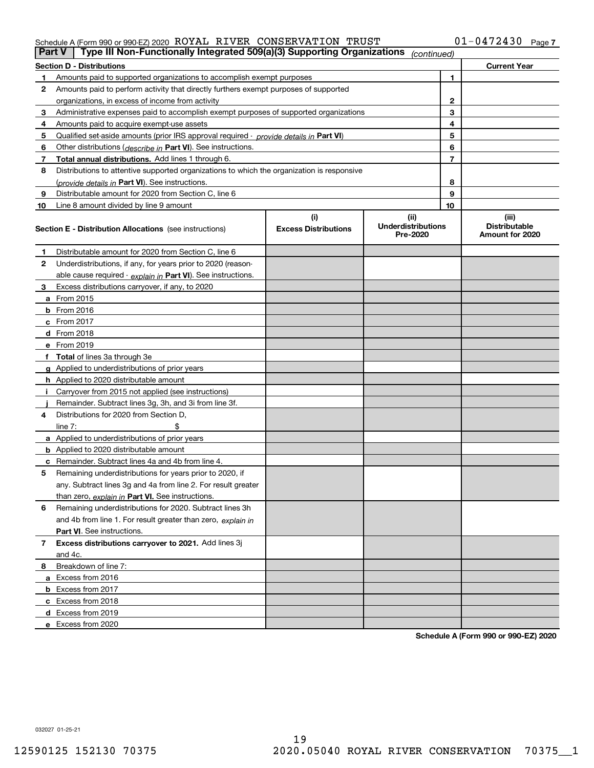#### Schedule A (Form 990 or 990-EZ) 2020  $\rm \, ROYAL$   $\rm \, RIVER$   $\rm \, CONSERVATION$   $\rm \, TRUST$   $\rm \, 01-0472430$   $\rm \, Page$

| Part V         | Type III Non-Functionally Integrated 509(a)(3) Supporting Organizations                    |                             | (continued)                           |    |                                         |
|----------------|--------------------------------------------------------------------------------------------|-----------------------------|---------------------------------------|----|-----------------------------------------|
|                | <b>Section D - Distributions</b>                                                           |                             |                                       |    | <b>Current Year</b>                     |
| 1.             | Amounts paid to supported organizations to accomplish exempt purposes                      |                             |                                       | 1  |                                         |
| 2              | Amounts paid to perform activity that directly furthers exempt purposes of supported       |                             |                                       |    |                                         |
|                | organizations, in excess of income from activity                                           |                             |                                       | 2  |                                         |
| 3              | Administrative expenses paid to accomplish exempt purposes of supported organizations      |                             |                                       | 3  |                                         |
| 4              | Amounts paid to acquire exempt-use assets                                                  |                             |                                       | 4  |                                         |
| 5              | Qualified set-aside amounts (prior IRS approval required - provide details in Part VI)     |                             |                                       | 5  |                                         |
| 6              | Other distributions ( <i>describe in</i> Part VI). See instructions.                       |                             |                                       | 6  |                                         |
| 7              | Total annual distributions. Add lines 1 through 6.                                         |                             |                                       | 7  |                                         |
| 8              | Distributions to attentive supported organizations to which the organization is responsive |                             |                                       |    |                                         |
|                | (provide details in Part VI). See instructions.                                            |                             |                                       | 8  |                                         |
| 9              | Distributable amount for 2020 from Section C, line 6                                       |                             |                                       | 9  |                                         |
| 10             | Line 8 amount divided by line 9 amount                                                     |                             |                                       | 10 |                                         |
|                |                                                                                            | (i)                         | (ii)                                  |    | (iii)                                   |
|                | <b>Section E - Distribution Allocations</b> (see instructions)                             | <b>Excess Distributions</b> | <b>Underdistributions</b><br>Pre-2020 |    | <b>Distributable</b><br>Amount for 2020 |
| 1              | Distributable amount for 2020 from Section C, line 6                                       |                             |                                       |    |                                         |
| 2              | Underdistributions, if any, for years prior to 2020 (reason-                               |                             |                                       |    |                                         |
|                | able cause required - explain in Part VI). See instructions.                               |                             |                                       |    |                                         |
| 3              | Excess distributions carryover, if any, to 2020                                            |                             |                                       |    |                                         |
|                | a From 2015                                                                                |                             |                                       |    |                                         |
|                | <b>b</b> From 2016                                                                         |                             |                                       |    |                                         |
|                | $c$ From 2017                                                                              |                             |                                       |    |                                         |
|                | <b>d</b> From 2018                                                                         |                             |                                       |    |                                         |
|                | e From 2019                                                                                |                             |                                       |    |                                         |
|                | f Total of lines 3a through 3e                                                             |                             |                                       |    |                                         |
|                | g Applied to underdistributions of prior years                                             |                             |                                       |    |                                         |
|                | <b>h</b> Applied to 2020 distributable amount                                              |                             |                                       |    |                                         |
|                | Carryover from 2015 not applied (see instructions)                                         |                             |                                       |    |                                         |
|                | Remainder. Subtract lines 3g, 3h, and 3i from line 3f.                                     |                             |                                       |    |                                         |
| 4              | Distributions for 2020 from Section D,                                                     |                             |                                       |    |                                         |
|                | line $7:$                                                                                  |                             |                                       |    |                                         |
|                | a Applied to underdistributions of prior years                                             |                             |                                       |    |                                         |
|                | <b>b</b> Applied to 2020 distributable amount                                              |                             |                                       |    |                                         |
|                | c Remainder. Subtract lines 4a and 4b from line 4.                                         |                             |                                       |    |                                         |
| 5              | Remaining underdistributions for years prior to 2020, if                                   |                             |                                       |    |                                         |
|                | any. Subtract lines 3g and 4a from line 2. For result greater                              |                             |                                       |    |                                         |
|                | than zero, explain in Part VI. See instructions.                                           |                             |                                       |    |                                         |
| 6              | Remaining underdistributions for 2020. Subtract lines 3h                                   |                             |                                       |    |                                         |
|                | and 4b from line 1. For result greater than zero, explain in                               |                             |                                       |    |                                         |
|                | Part VI. See instructions.                                                                 |                             |                                       |    |                                         |
| $\overline{7}$ | Excess distributions carryover to 2021. Add lines 3j                                       |                             |                                       |    |                                         |
|                | and 4c.                                                                                    |                             |                                       |    |                                         |
| 8              | Breakdown of line 7:                                                                       |                             |                                       |    |                                         |
|                | a Excess from 2016                                                                         |                             |                                       |    |                                         |
|                | <b>b</b> Excess from 2017                                                                  |                             |                                       |    |                                         |
|                | c Excess from 2018                                                                         |                             |                                       |    |                                         |
|                | d Excess from 2019                                                                         |                             |                                       |    |                                         |
|                | e Excess from 2020                                                                         |                             |                                       |    |                                         |
|                |                                                                                            |                             |                                       |    |                                         |

**Schedule A (Form 990 or 990-EZ) 2020**

032027 01-25-21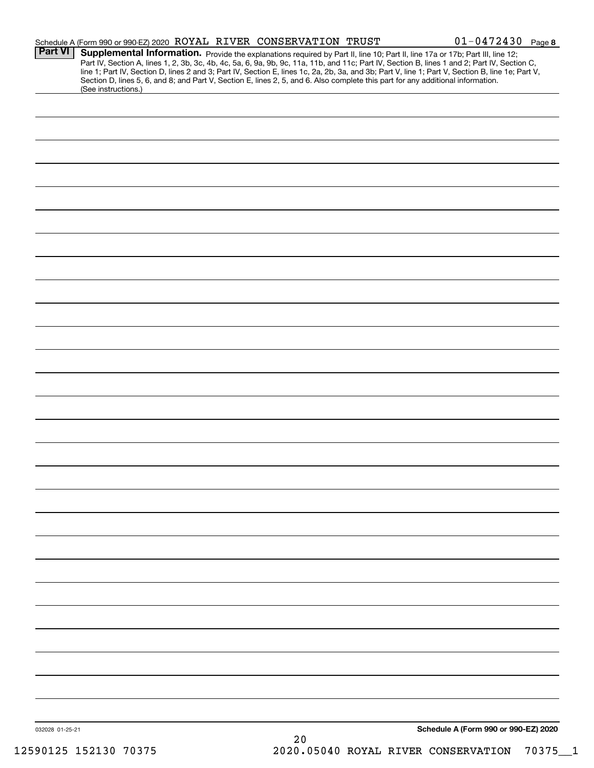|                 | Schedule A (Form 990 or 990-EZ) 2020 ROYAL RIVER CONSERVATION TRUST                                                                                    |  |    |  | $01 - 0472430$ Page 8                                                                                                                                                                                                                                                                                                                                                                                                             |  |
|-----------------|--------------------------------------------------------------------------------------------------------------------------------------------------------|--|----|--|-----------------------------------------------------------------------------------------------------------------------------------------------------------------------------------------------------------------------------------------------------------------------------------------------------------------------------------------------------------------------------------------------------------------------------------|--|
| <b>Part VI</b>  |                                                                                                                                                        |  |    |  | Supplemental Information. Provide the explanations required by Part II, line 10; Part II, line 17a or 17b; Part III, line 12;<br>Part IV, Section A, lines 1, 2, 3b, 3c, 4b, 4c, 5a, 6, 9a, 9b, 9c, 11a, 11b, and 11c; Part IV, Section B, lines 1 and 2; Part IV, Section C,<br>line 1; Part IV, Section D, lines 2 and 3; Part IV, Section E, lines 1c, 2a, 2b, 3a, and 3b; Part V, line 1; Part V, Section B, line 1e; Part V, |  |
|                 | Section D, lines 5, 6, and 8; and Part V, Section E, lines 2, 5, and 6. Also complete this part for any additional information.<br>(See instructions.) |  |    |  |                                                                                                                                                                                                                                                                                                                                                                                                                                   |  |
|                 |                                                                                                                                                        |  |    |  |                                                                                                                                                                                                                                                                                                                                                                                                                                   |  |
|                 |                                                                                                                                                        |  |    |  |                                                                                                                                                                                                                                                                                                                                                                                                                                   |  |
|                 |                                                                                                                                                        |  |    |  |                                                                                                                                                                                                                                                                                                                                                                                                                                   |  |
|                 |                                                                                                                                                        |  |    |  |                                                                                                                                                                                                                                                                                                                                                                                                                                   |  |
|                 |                                                                                                                                                        |  |    |  |                                                                                                                                                                                                                                                                                                                                                                                                                                   |  |
|                 |                                                                                                                                                        |  |    |  |                                                                                                                                                                                                                                                                                                                                                                                                                                   |  |
|                 |                                                                                                                                                        |  |    |  |                                                                                                                                                                                                                                                                                                                                                                                                                                   |  |
|                 |                                                                                                                                                        |  |    |  |                                                                                                                                                                                                                                                                                                                                                                                                                                   |  |
|                 |                                                                                                                                                        |  |    |  |                                                                                                                                                                                                                                                                                                                                                                                                                                   |  |
|                 |                                                                                                                                                        |  |    |  |                                                                                                                                                                                                                                                                                                                                                                                                                                   |  |
|                 |                                                                                                                                                        |  |    |  |                                                                                                                                                                                                                                                                                                                                                                                                                                   |  |
|                 |                                                                                                                                                        |  |    |  |                                                                                                                                                                                                                                                                                                                                                                                                                                   |  |
|                 |                                                                                                                                                        |  |    |  |                                                                                                                                                                                                                                                                                                                                                                                                                                   |  |
|                 |                                                                                                                                                        |  |    |  |                                                                                                                                                                                                                                                                                                                                                                                                                                   |  |
|                 |                                                                                                                                                        |  |    |  |                                                                                                                                                                                                                                                                                                                                                                                                                                   |  |
|                 |                                                                                                                                                        |  |    |  |                                                                                                                                                                                                                                                                                                                                                                                                                                   |  |
|                 |                                                                                                                                                        |  |    |  |                                                                                                                                                                                                                                                                                                                                                                                                                                   |  |
|                 |                                                                                                                                                        |  |    |  |                                                                                                                                                                                                                                                                                                                                                                                                                                   |  |
|                 |                                                                                                                                                        |  |    |  |                                                                                                                                                                                                                                                                                                                                                                                                                                   |  |
|                 |                                                                                                                                                        |  |    |  |                                                                                                                                                                                                                                                                                                                                                                                                                                   |  |
|                 |                                                                                                                                                        |  |    |  |                                                                                                                                                                                                                                                                                                                                                                                                                                   |  |
|                 |                                                                                                                                                        |  |    |  |                                                                                                                                                                                                                                                                                                                                                                                                                                   |  |
|                 |                                                                                                                                                        |  |    |  |                                                                                                                                                                                                                                                                                                                                                                                                                                   |  |
|                 |                                                                                                                                                        |  |    |  |                                                                                                                                                                                                                                                                                                                                                                                                                                   |  |
|                 |                                                                                                                                                        |  |    |  |                                                                                                                                                                                                                                                                                                                                                                                                                                   |  |
|                 |                                                                                                                                                        |  |    |  |                                                                                                                                                                                                                                                                                                                                                                                                                                   |  |
|                 |                                                                                                                                                        |  |    |  |                                                                                                                                                                                                                                                                                                                                                                                                                                   |  |
|                 |                                                                                                                                                        |  |    |  |                                                                                                                                                                                                                                                                                                                                                                                                                                   |  |
|                 |                                                                                                                                                        |  |    |  |                                                                                                                                                                                                                                                                                                                                                                                                                                   |  |
|                 |                                                                                                                                                        |  |    |  |                                                                                                                                                                                                                                                                                                                                                                                                                                   |  |
|                 |                                                                                                                                                        |  |    |  |                                                                                                                                                                                                                                                                                                                                                                                                                                   |  |
|                 |                                                                                                                                                        |  |    |  |                                                                                                                                                                                                                                                                                                                                                                                                                                   |  |
|                 |                                                                                                                                                        |  |    |  |                                                                                                                                                                                                                                                                                                                                                                                                                                   |  |
|                 |                                                                                                                                                        |  |    |  |                                                                                                                                                                                                                                                                                                                                                                                                                                   |  |
|                 |                                                                                                                                                        |  |    |  |                                                                                                                                                                                                                                                                                                                                                                                                                                   |  |
| 032028 01-25-21 |                                                                                                                                                        |  |    |  | Schedule A (Form 990 or 990-EZ) 2020                                                                                                                                                                                                                                                                                                                                                                                              |  |
|                 |                                                                                                                                                        |  | 20 |  |                                                                                                                                                                                                                                                                                                                                                                                                                                   |  |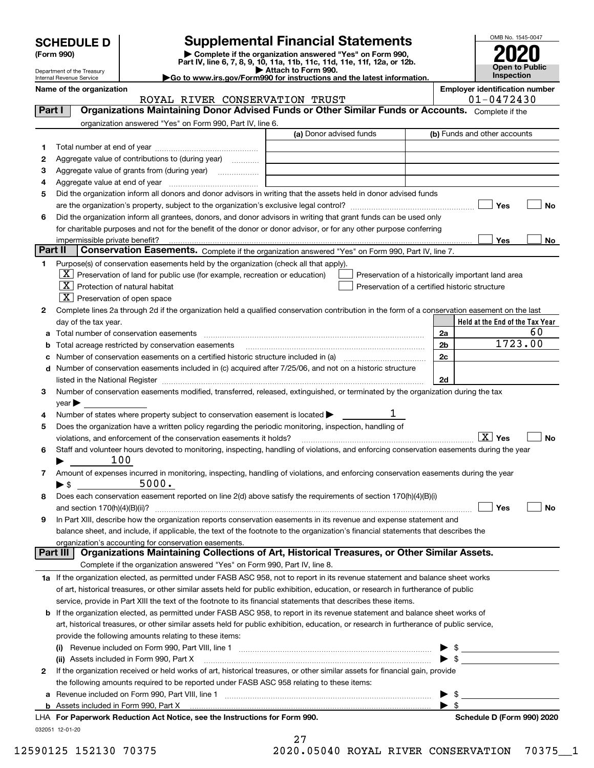| <b>SCHEDULE D</b> |  |
|-------------------|--|
|-------------------|--|

Department of the Treasury Internal Revenue Service

| (Form 990) |  |
|------------|--|
|------------|--|

### **Supplemental Financial Statements**

(Form 990)<br>
Pepartment of the Treasury<br>
Department of the Treasury<br>
Department of the Treasury<br>
Department of the Treasury<br> **Co to www.irs.gov/Form990 for instructions and the latest information.**<br> **Co to www.irs.gov/Form9** 

**Name of the organization Employer identification number**



|         | ROYAL RIVER CONSERVATION TRUST                                                                                                                                           | 01-0472430                                         |
|---------|--------------------------------------------------------------------------------------------------------------------------------------------------------------------------|----------------------------------------------------|
| Part I  | Organizations Maintaining Donor Advised Funds or Other Similar Funds or Accounts. Complete if the                                                                        |                                                    |
|         | organization answered "Yes" on Form 990, Part IV, line 6.                                                                                                                |                                                    |
|         | (a) Donor advised funds                                                                                                                                                  | (b) Funds and other accounts                       |
| 1.      |                                                                                                                                                                          |                                                    |
| 2       | Aggregate value of contributions to (during year)                                                                                                                        |                                                    |
| 3       |                                                                                                                                                                          |                                                    |
| 4       |                                                                                                                                                                          |                                                    |
| 5       | Did the organization inform all donors and donor advisors in writing that the assets held in donor advised funds                                                         |                                                    |
|         |                                                                                                                                                                          | Yes<br>No                                          |
|         | Did the organization inform all grantees, donors, and donor advisors in writing that grant funds can be used only                                                        |                                                    |
| 6       |                                                                                                                                                                          |                                                    |
|         | for charitable purposes and not for the benefit of the donor or donor advisor, or for any other purpose conferring                                                       |                                                    |
| Part II |                                                                                                                                                                          | Yes<br>No                                          |
|         | Conservation Easements. Complete if the organization answered "Yes" on Form 990, Part IV, line 7.                                                                        |                                                    |
| 1       | Purpose(s) of conservation easements held by the organization (check all that apply).                                                                                    |                                                    |
|         | $\lfloor x \rfloor$ Preservation of land for public use (for example, recreation or education)                                                                           | Preservation of a historically important land area |
|         | $\mathbf{X}$ Protection of natural habitat<br>Preservation of a certified historic structure                                                                             |                                                    |
|         | $X$ Preservation of open space                                                                                                                                           |                                                    |
| 2       | Complete lines 2a through 2d if the organization held a qualified conservation contribution in the form of a conservation easement on the last                           |                                                    |
|         | day of the tax year.                                                                                                                                                     | Held at the End of the Tax Year                    |
| а       | Total number of conservation easements                                                                                                                                   | 60<br>2a                                           |
| b       | Total acreage restricted by conservation easements                                                                                                                       | 1723.00<br>2b                                      |
| c       |                                                                                                                                                                          | 2c                                                 |
| d       | Number of conservation easements included in (c) acquired after 7/25/06, and not on a historic structure                                                                 |                                                    |
|         |                                                                                                                                                                          | 2d                                                 |
| З.      | Number of conservation easements modified, transferred, released, extinguished, or terminated by the organization during the tax                                         |                                                    |
|         | $year \blacktriangleright$                                                                                                                                               |                                                    |
| 4       | ı.<br>Number of states where property subject to conservation easement is located >                                                                                      |                                                    |
| 5       | Does the organization have a written policy regarding the periodic monitoring, inspection, handling of                                                                   |                                                    |
|         | violations, and enforcement of the conservation easements it holds?                                                                                                      | $\boxed{X}$ Yes<br><b>No</b>                       |
| 6       | Staff and volunteer hours devoted to monitoring, inspecting, handling of violations, and enforcing conservation easements during the year                                |                                                    |
|         | 100                                                                                                                                                                      |                                                    |
|         |                                                                                                                                                                          |                                                    |
| 7       | Amount of expenses incurred in monitoring, inspecting, handling of violations, and enforcing conservation easements during the year<br>5000.<br>$\blacktriangleright$ \$ |                                                    |
|         |                                                                                                                                                                          |                                                    |
| 8       | Does each conservation easement reported on line 2(d) above satisfy the requirements of section 170(h)(4)(B)(i)                                                          |                                                    |
|         |                                                                                                                                                                          | Yes<br>No                                          |
| 9       | In Part XIII, describe how the organization reports conservation easements in its revenue and expense statement and                                                      |                                                    |
|         | balance sheet, and include, if applicable, the text of the footnote to the organization's financial statements that describes the                                        |                                                    |
|         | organization's accounting for conservation easements.<br>Organizations Maintaining Collections of Art, Historical Treasures, or Other Similar Assets.<br>Part III        |                                                    |
|         |                                                                                                                                                                          |                                                    |
|         | Complete if the organization answered "Yes" on Form 990, Part IV, line 8.                                                                                                |                                                    |
|         | 1a If the organization elected, as permitted under FASB ASC 958, not to report in its revenue statement and balance sheet works                                          |                                                    |
|         | of art, historical treasures, or other similar assets held for public exhibition, education, or research in furtherance of public                                        |                                                    |
|         | service, provide in Part XIII the text of the footnote to its financial statements that describes these items.                                                           |                                                    |
| b       | If the organization elected, as permitted under FASB ASC 958, to report in its revenue statement and balance sheet works of                                              |                                                    |
|         | art, historical treasures, or other similar assets held for public exhibition, education, or research in furtherance of public service,                                  |                                                    |
|         | provide the following amounts relating to these items:                                                                                                                   |                                                    |
|         |                                                                                                                                                                          | \$                                                 |
|         | (ii) Assets included in Form 990, Part X                                                                                                                                 | \$                                                 |
| 2       | If the organization received or held works of art, historical treasures, or other similar assets for financial gain, provide                                             |                                                    |
|         | the following amounts required to be reported under FASB ASC 958 relating to these items:                                                                                |                                                    |
|         |                                                                                                                                                                          | - \$<br>▸                                          |
|         |                                                                                                                                                                          | $\blacktriangleright$ \$                           |
|         |                                                                                                                                                                          |                                                    |

27 12590125 152130 70375 2020.05040 ROYAL RIVER CONSERVATION 70375\_\_1

032051 12-01-20

| LHA For Paperwork Reduction Act Notice, see the Instructions for Form 990. | Schedule D (Form 990) 2020 |
|----------------------------------------------------------------------------|----------------------------|
|                                                                            |                            |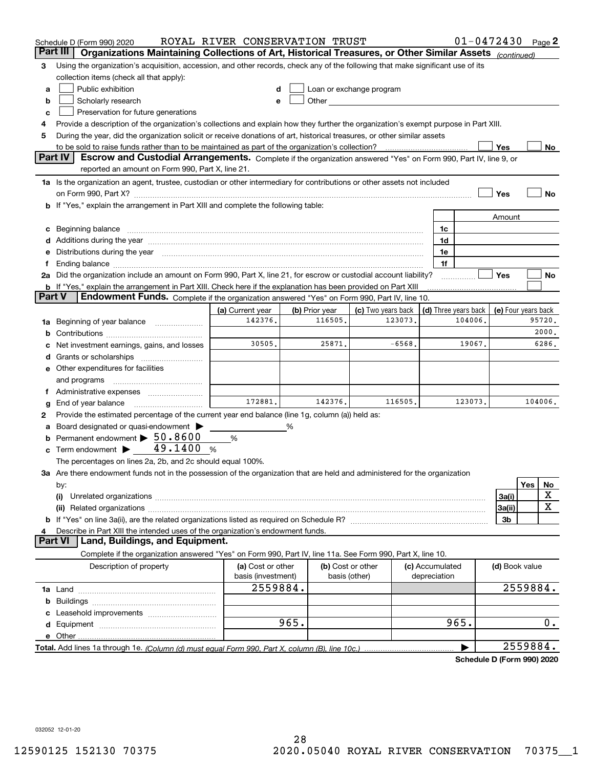|          | Schedule D (Form 990) 2020                                                                                                                                                                                                     | ROYAL RIVER CONSERVATION TRUST |                |                          |                      | $01 - 0472430$ Page 2      |                     |     |         |
|----------|--------------------------------------------------------------------------------------------------------------------------------------------------------------------------------------------------------------------------------|--------------------------------|----------------|--------------------------|----------------------|----------------------------|---------------------|-----|---------|
| Part III | Organizations Maintaining Collections of Art, Historical Treasures, or Other Similar Assets (continued)                                                                                                                        |                                |                |                          |                      |                            |                     |     |         |
| З        | Using the organization's acquisition, accession, and other records, check any of the following that make significant use of its                                                                                                |                                |                |                          |                      |                            |                     |     |         |
|          | collection items (check all that apply):                                                                                                                                                                                       |                                |                |                          |                      |                            |                     |     |         |
| a        | Public exhibition                                                                                                                                                                                                              |                                |                | Loan or exchange program |                      |                            |                     |     |         |
| b        | Scholarly research                                                                                                                                                                                                             | e                              |                |                          |                      |                            |                     |     |         |
| c        | Preservation for future generations                                                                                                                                                                                            |                                |                |                          |                      |                            |                     |     |         |
| 4        | Provide a description of the organization's collections and explain how they further the organization's exempt purpose in Part XIII.                                                                                           |                                |                |                          |                      |                            |                     |     |         |
| 5        | During the year, did the organization solicit or receive donations of art, historical treasures, or other similar assets                                                                                                       |                                |                |                          |                      |                            |                     |     |         |
|          | to be sold to raise funds rather than to be maintained as part of the organization's collection?                                                                                                                               |                                |                |                          |                      |                            | Yes                 |     | No      |
|          | <b>Part IV</b><br>Escrow and Custodial Arrangements. Complete if the organization answered "Yes" on Form 990, Part IV, line 9, or                                                                                              |                                |                |                          |                      |                            |                     |     |         |
|          | reported an amount on Form 990, Part X, line 21.                                                                                                                                                                               |                                |                |                          |                      |                            |                     |     |         |
|          | 1a Is the organization an agent, trustee, custodian or other intermediary for contributions or other assets not included                                                                                                       |                                |                |                          |                      |                            |                     |     |         |
|          |                                                                                                                                                                                                                                |                                |                |                          |                      |                            | Yes                 |     | No      |
|          | If "Yes," explain the arrangement in Part XIII and complete the following table:                                                                                                                                               |                                |                |                          |                      |                            |                     |     |         |
|          |                                                                                                                                                                                                                                |                                |                |                          |                      |                            | Amount              |     |         |
| c        | Beginning balance manufactured and contain an account of the state of the state of the state of the state of the state of the state of the state of the state of the state of the state of the state of the state of the state |                                |                |                          | 1c                   |                            |                     |     |         |
| d        | Additions during the year manufactured and an annual contract of the year manufactured and a set of the year manufactured and a set of the year manufactured and a set of the year manufactured and a set of the set of the se |                                |                |                          | 1d                   |                            |                     |     |         |
| е        | Distributions during the year manufactured and continuum control of the state of the control of the state of the state of the state of the state of the state of the state of the state of the state of the state of the state |                                |                |                          | 1e                   |                            |                     |     |         |
|          | Ending balance manufactured and contact the contract of the contract of the contract of the contract of the contract of the contract of the contract of the contract of the contract of the contract of the contract of the co |                                |                |                          | 1f                   |                            |                     |     |         |
|          | 2a Did the organization include an amount on Form 990, Part X, line 21, for escrow or custodial account liability?                                                                                                             |                                |                |                          |                      |                            | Yes                 |     | No      |
|          | <b>b</b> If "Yes," explain the arrangement in Part XIII. Check here if the explanation has been provided on Part XIII                                                                                                          |                                |                |                          |                      |                            |                     |     |         |
| Part V   | Endowment Funds. Complete if the organization answered "Yes" on Form 990, Part IV, line 10.                                                                                                                                    |                                |                |                          |                      |                            |                     |     |         |
|          |                                                                                                                                                                                                                                | (a) Current year               | (b) Prior year | (c) Two years back       | (d) Three years back |                            | (e) Four years back |     |         |
| 1a       | Beginning of year balance                                                                                                                                                                                                      | 142376.                        | 116505         | 123073.                  |                      | 104006                     |                     |     | 95720.  |
| b        |                                                                                                                                                                                                                                |                                |                |                          |                      |                            |                     |     | 2000.   |
|          | Net investment earnings, gains, and losses                                                                                                                                                                                     | 30505.                         | 25871.         | $-6568.$                 |                      | 19067.                     |                     |     | 6286.   |
| d        |                                                                                                                                                                                                                                |                                |                |                          |                      |                            |                     |     |         |
|          | e Other expenditures for facilities                                                                                                                                                                                            |                                |                |                          |                      |                            |                     |     |         |
|          | and programs                                                                                                                                                                                                                   |                                |                |                          |                      |                            |                     |     |         |
|          |                                                                                                                                                                                                                                |                                |                |                          |                      |                            |                     |     |         |
| g        | End of year balance                                                                                                                                                                                                            | 172881.                        | 142376.        | 116505.                  |                      | 123073.                    |                     |     | 104006. |
| 2        | Provide the estimated percentage of the current year end balance (line 1g, column (a)) held as:                                                                                                                                |                                |                |                          |                      |                            |                     |     |         |
| а        | Board designated or quasi-endowment >                                                                                                                                                                                          |                                | %              |                          |                      |                            |                     |     |         |
|          | Permanent endowment > 50.8600                                                                                                                                                                                                  | %                              |                |                          |                      |                            |                     |     |         |
| c        | Term endowment $\blacktriangleright$ 49.1400 %                                                                                                                                                                                 |                                |                |                          |                      |                            |                     |     |         |
|          | The percentages on lines 2a, 2b, and 2c should equal 100%.                                                                                                                                                                     |                                |                |                          |                      |                            |                     |     |         |
|          | 3a Are there endowment funds not in the possession of the organization that are held and administered for the organization                                                                                                     |                                |                |                          |                      |                            |                     |     |         |
|          | by:                                                                                                                                                                                                                            |                                |                |                          |                      |                            |                     | Yes | No      |
|          | (i)                                                                                                                                                                                                                            |                                |                |                          |                      |                            | 3a(i)               |     | х       |
|          |                                                                                                                                                                                                                                |                                |                |                          |                      |                            | 3a(ii)              |     | X       |
|          |                                                                                                                                                                                                                                |                                |                |                          |                      |                            | 3b                  |     |         |
|          | Describe in Part XIII the intended uses of the organization's endowment funds.                                                                                                                                                 |                                |                |                          |                      |                            |                     |     |         |
|          | Land, Buildings, and Equipment.<br>Part VI                                                                                                                                                                                     |                                |                |                          |                      |                            |                     |     |         |
|          | Complete if the organization answered "Yes" on Form 990, Part IV, line 11a. See Form 990, Part X, line 10.                                                                                                                     |                                |                |                          |                      |                            |                     |     |         |
|          | Description of property                                                                                                                                                                                                        | (a) Cost or other              |                | (b) Cost or other        | (c) Accumulated      |                            | (d) Book value      |     |         |
|          |                                                                                                                                                                                                                                | basis (investment)             |                | basis (other)            | depreciation         |                            |                     |     |         |
|          |                                                                                                                                                                                                                                | 2559884.                       |                |                          |                      |                            | 2559884.            |     |         |
|          |                                                                                                                                                                                                                                |                                |                |                          |                      |                            |                     |     |         |
| b        |                                                                                                                                                                                                                                |                                |                |                          |                      |                            |                     |     |         |
|          |                                                                                                                                                                                                                                |                                | 965.           |                          |                      | 965.                       |                     |     | 0.      |
|          |                                                                                                                                                                                                                                |                                |                |                          |                      |                            |                     |     |         |
|          | e Other                                                                                                                                                                                                                        |                                |                |                          |                      |                            | 2559884.            |     |         |
|          | Total. Add lines 1a through 1e. (Column (d) must equal Form 990, Part X, column (B), line 10c.)                                                                                                                                |                                |                |                          |                      |                            |                     |     |         |
|          |                                                                                                                                                                                                                                |                                |                |                          |                      | Schedule D (Form 990) 2020 |                     |     |         |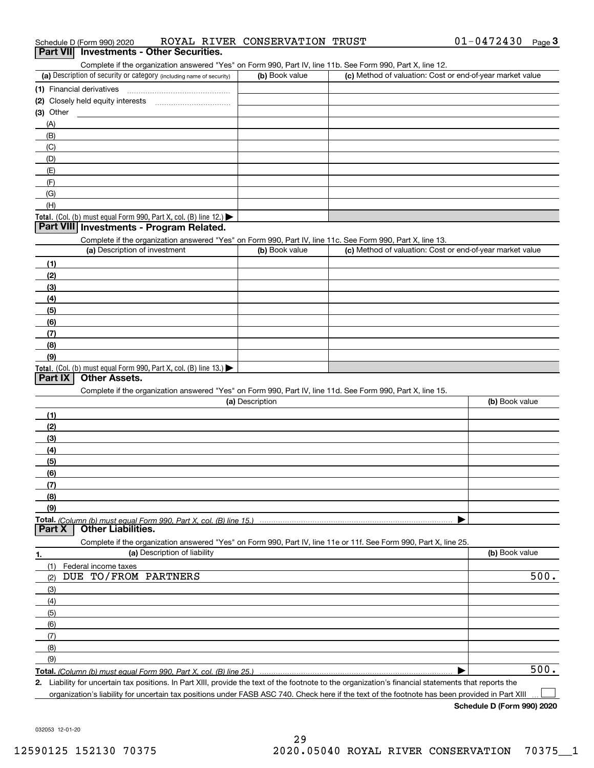| Schedule D (Form 990) 2020 |  |  |  | ROYAL RIVER CONSERVATION TRUST |  |  |
|----------------------------|--|--|--|--------------------------------|--|--|
|----------------------------|--|--|--|--------------------------------|--|--|

|               | Schedule D (Form 990) 2020                                           |                              | ROYAL RIVER CONSERVATION TRUST                                                                                                                       |  | $01 - 0472430$                                            | Page $3$ |
|---------------|----------------------------------------------------------------------|------------------------------|------------------------------------------------------------------------------------------------------------------------------------------------------|--|-----------------------------------------------------------|----------|
|               | Part VII Investments - Other Securities.                             |                              |                                                                                                                                                      |  |                                                           |          |
|               |                                                                      |                              | Complete if the organization answered "Yes" on Form 990, Part IV, line 11b. See Form 990, Part X, line 12.                                           |  |                                                           |          |
|               | (a) Description of security or category (including name of security) |                              | (b) Book value                                                                                                                                       |  | (c) Method of valuation: Cost or end-of-year market value |          |
|               |                                                                      |                              |                                                                                                                                                      |  |                                                           |          |
|               |                                                                      |                              |                                                                                                                                                      |  |                                                           |          |
| (3) Other     |                                                                      |                              |                                                                                                                                                      |  |                                                           |          |
| (A)           |                                                                      |                              |                                                                                                                                                      |  |                                                           |          |
| (B)           |                                                                      |                              |                                                                                                                                                      |  |                                                           |          |
| (C)           |                                                                      |                              |                                                                                                                                                      |  |                                                           |          |
| (D)           |                                                                      |                              |                                                                                                                                                      |  |                                                           |          |
| (E)           |                                                                      |                              |                                                                                                                                                      |  |                                                           |          |
| (F)           |                                                                      |                              |                                                                                                                                                      |  |                                                           |          |
| (G)           |                                                                      |                              |                                                                                                                                                      |  |                                                           |          |
| (H)           |                                                                      |                              |                                                                                                                                                      |  |                                                           |          |
|               | Total. (Col. (b) must equal Form 990, Part X, col. (B) line 12.)     |                              |                                                                                                                                                      |  |                                                           |          |
|               | Part VIII Investments - Program Related.                             |                              |                                                                                                                                                      |  |                                                           |          |
|               |                                                                      |                              | Complete if the organization answered "Yes" on Form 990, Part IV, line 11c. See Form 990, Part X, line 13.                                           |  |                                                           |          |
|               | (a) Description of investment                                        |                              | (b) Book value                                                                                                                                       |  | (c) Method of valuation: Cost or end-of-year market value |          |
| (1)           |                                                                      |                              |                                                                                                                                                      |  |                                                           |          |
| (2)           |                                                                      |                              |                                                                                                                                                      |  |                                                           |          |
| (3)           |                                                                      |                              |                                                                                                                                                      |  |                                                           |          |
| (4)           |                                                                      |                              |                                                                                                                                                      |  |                                                           |          |
| (5)           |                                                                      |                              |                                                                                                                                                      |  |                                                           |          |
| (6)           |                                                                      |                              |                                                                                                                                                      |  |                                                           |          |
| (7)           |                                                                      |                              |                                                                                                                                                      |  |                                                           |          |
| (8)           |                                                                      |                              |                                                                                                                                                      |  |                                                           |          |
| (9)           |                                                                      |                              |                                                                                                                                                      |  |                                                           |          |
|               | Total. (Col. (b) must equal Form 990, Part X, col. (B) line 13.)     |                              |                                                                                                                                                      |  |                                                           |          |
| Part IX       | <b>Other Assets.</b>                                                 |                              |                                                                                                                                                      |  |                                                           |          |
|               |                                                                      |                              | Complete if the organization answered "Yes" on Form 990, Part IV, line 11d. See Form 990, Part X, line 15.                                           |  |                                                           |          |
|               |                                                                      |                              | (a) Description                                                                                                                                      |  | (b) Book value                                            |          |
| (1)           |                                                                      |                              |                                                                                                                                                      |  |                                                           |          |
| (2)           |                                                                      |                              |                                                                                                                                                      |  |                                                           |          |
| (3)           |                                                                      |                              |                                                                                                                                                      |  |                                                           |          |
| (4)           |                                                                      |                              |                                                                                                                                                      |  |                                                           |          |
| (5)           |                                                                      |                              |                                                                                                                                                      |  |                                                           |          |
| (6)           |                                                                      |                              |                                                                                                                                                      |  |                                                           |          |
| (7)           |                                                                      |                              |                                                                                                                                                      |  |                                                           |          |
| (8)           |                                                                      |                              |                                                                                                                                                      |  |                                                           |          |
| (9)           |                                                                      |                              |                                                                                                                                                      |  |                                                           |          |
|               | Total. (Column (b) must equal Form 990. Part X. col. (B) line 15.)   |                              |                                                                                                                                                      |  |                                                           |          |
| <b>Part X</b> | <b>Other Liabilities.</b>                                            |                              |                                                                                                                                                      |  |                                                           |          |
|               |                                                                      |                              | Complete if the organization answered "Yes" on Form 990, Part IV, line 11e or 11f. See Form 990, Part X, line 25.                                    |  |                                                           |          |
| 1.            |                                                                      | (a) Description of liability |                                                                                                                                                      |  | (b) Book value                                            |          |
| (1)           | Federal income taxes                                                 |                              |                                                                                                                                                      |  |                                                           |          |
| (2)           | DUE TO/FROM PARTNERS                                                 |                              |                                                                                                                                                      |  |                                                           | 500.     |
| (3)           |                                                                      |                              |                                                                                                                                                      |  |                                                           |          |
| (4)           |                                                                      |                              |                                                                                                                                                      |  |                                                           |          |
| (5)           |                                                                      |                              |                                                                                                                                                      |  |                                                           |          |
| (6)           |                                                                      |                              |                                                                                                                                                      |  |                                                           |          |
| (7)           |                                                                      |                              |                                                                                                                                                      |  |                                                           |          |
| (8)           |                                                                      |                              |                                                                                                                                                      |  |                                                           |          |
| (9)           |                                                                      |                              |                                                                                                                                                      |  |                                                           |          |
|               | Total. (Column (b) must equal Form 990, Part X, col. (B) line 25.)   |                              |                                                                                                                                                      |  |                                                           | 500.     |
|               |                                                                      |                              | 2. Liability for uncertain tax positions. In Part XIII, provide the text of the footnote to the organization's financial statements that reports the |  |                                                           |          |

organization's liability for uncertain tax positions under FASB ASC 740. Check here if the text of the footnote has been provided in Part XIII.

**Schedule D (Form 990) 2020**

 $\sqrt{2}$ 

032053 12-01-20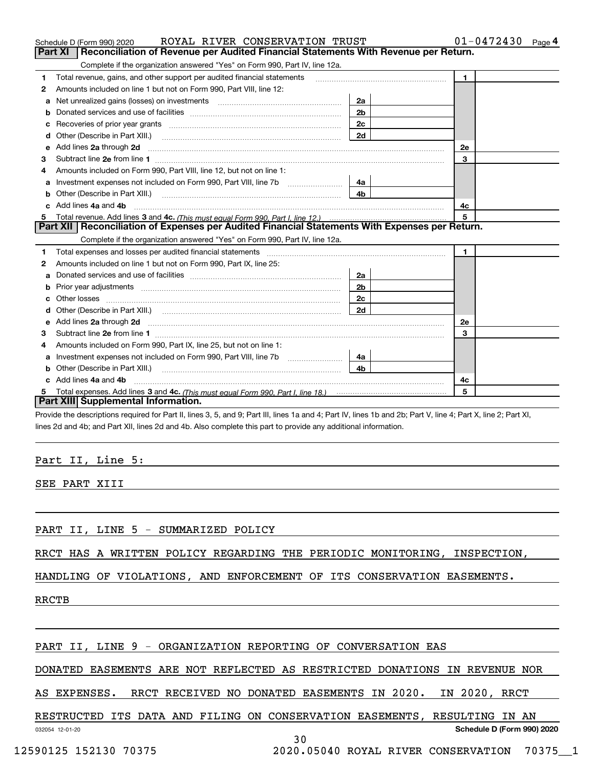|                                                                                                                                                                                                                                          |                | $01 - 0472430$ Page 4 |  |
|------------------------------------------------------------------------------------------------------------------------------------------------------------------------------------------------------------------------------------------|----------------|-----------------------|--|
| Reconciliation of Revenue per Audited Financial Statements With Revenue per Return.<br>Part XI                                                                                                                                           |                |                       |  |
| Complete if the organization answered "Yes" on Form 990, Part IV, line 12a.<br>Total revenue, gains, and other support per audited financial statements<br>1                                                                             |                | $\mathbf{1}$          |  |
| Amounts included on line 1 but not on Form 990, Part VIII, line 12:                                                                                                                                                                      |                |                       |  |
| 2                                                                                                                                                                                                                                        |                |                       |  |
| a                                                                                                                                                                                                                                        | 2a             |                       |  |
|                                                                                                                                                                                                                                          | 2 <sub>b</sub> |                       |  |
| с                                                                                                                                                                                                                                        | 2 <sub>c</sub> |                       |  |
|                                                                                                                                                                                                                                          | 2d             |                       |  |
| Add lines 2a through 2d<br>е                                                                                                                                                                                                             |                | 2e                    |  |
| з                                                                                                                                                                                                                                        |                | 3                     |  |
| Amounts included on Form 990, Part VIII, line 12, but not on line 1:                                                                                                                                                                     |                |                       |  |
| a                                                                                                                                                                                                                                        | 4a             |                       |  |
| Other (Describe in Part XIII.)<br>b                                                                                                                                                                                                      | 4b             |                       |  |
| c Add lines 4a and 4b                                                                                                                                                                                                                    |                | 4с                    |  |
|                                                                                                                                                                                                                                          |                | 5                     |  |
| Part XII   Reconciliation of Expenses per Audited Financial Statements With Expenses per Return.                                                                                                                                         |                |                       |  |
|                                                                                                                                                                                                                                          |                |                       |  |
| Complete if the organization answered "Yes" on Form 990, Part IV, line 12a.                                                                                                                                                              |                |                       |  |
| Total expenses and losses per audited financial statements [11] [12] contain an intervention and the statements [13] [13] and the statements [13] [13] and the statements [13] and the statements and the statements and the s           |                | $\mathbf{1}$          |  |
| Amounts included on line 1 but not on Form 990, Part IX, line 25:                                                                                                                                                                        |                |                       |  |
|                                                                                                                                                                                                                                          | 2a             |                       |  |
| b                                                                                                                                                                                                                                        | 2b             |                       |  |
| 1.<br>2<br>c                                                                                                                                                                                                                             |                |                       |  |
|                                                                                                                                                                                                                                          | 2c<br>2d       |                       |  |
| е                                                                                                                                                                                                                                        |                | <b>2e</b>             |  |
| Add lines 2a through 2d <b>contained a contained a contained a contained a contained a contained a contained a contained a contact a contact a contact a contact a contact a contact a contact a contact a contact a contact a c</b>     |                | 3                     |  |
| з<br>4                                                                                                                                                                                                                                   |                |                       |  |
| Amounts included on Form 990, Part IX, line 25, but not on line 1:                                                                                                                                                                       |                |                       |  |
| Investment expenses not included on Form 990, Part VIII, line 7b [111] [11] Investment expenses not included on Form 990, Part VIII, line 7b<br>a                                                                                        | 4a             |                       |  |
| Other (Describe in Part XIII.) <b>Construction Contract Construction</b> Chemical Construction Chemical Chemical Chemical Chemical Chemical Chemical Chemical Chemical Chemical Chemical Chemical Chemical Chemical Chemical Chemic<br>b | 4 <sub>h</sub> |                       |  |
| c Add lines 4a and 4b                                                                                                                                                                                                                    |                | 4c                    |  |
| 5<br>Part XIII Supplemental Information.                                                                                                                                                                                                 |                | 5                     |  |

#### Part II, Line 5:

SEE PART XIII

PART II, LINE 5 - SUMMARIZED POLICY

RRCT HAS A WRITTEN POLICY REGARDING THE PERIODIC MONITORING, INSPECTION,

HANDLING OF VIOLATIONS, AND ENFORCEMENT OF ITS CONSERVATION EASEMENTS.

RRCTB

#### PART II, LINE 9 - ORGANIZATION REPORTING OF CONVERSATION EAS

DONATED EASEMENTS ARE NOT REFLECTED AS RESTRICTED DONATIONS IN REVENUE NOR

AS EXPENSES. RRCT RECEIVED NO DONATED EASEMENTS IN 2020. IN 2020, RRCT

#### 032054 12-01-20 **Schedule D (Form 990) 2020** RESTRUCTED ITS DATA AND FILING ON CONSERVATION EASEMENTS, RESULTING IN AN

12590125 152130 70375 2020.05040 ROYAL RIVER CONSERVATION 70375\_\_1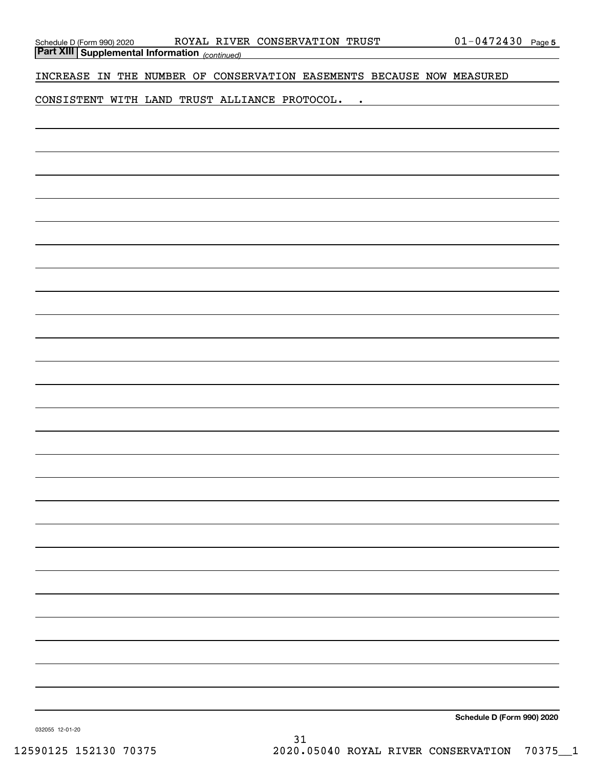*(continued)* **Part XIII Supplemental Information** 

INCREASE IN THE NUMBER OF CONSERVATION EASEMENTS BECAUSE NOW MEASURED

CONSISTENT WITH LAND TRUST ALLIANCE PROTOCOL. .

**Schedule D (Form 990) 2020**

032055 12-01-20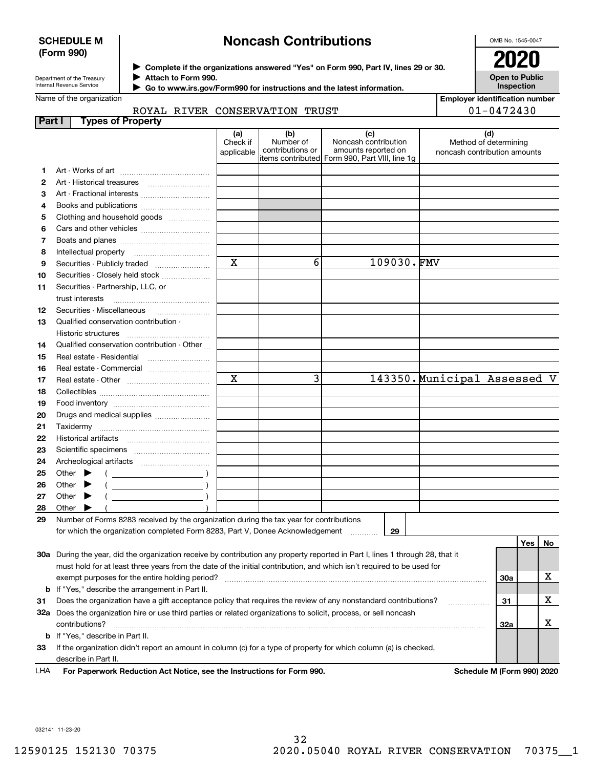#### **SCHEDULE M (Form 990)**

## **Noncash Contributions**

OMB No. 1545-0047

**Open to Public Inspection**

**Employer identification number**

01-0472430

| Department of the Treasury |
|----------------------------|
| Internal Revenue Service   |

**Complete if the organizations answered "Yes" on Form 990, Part IV, lines 29 or 30.** <sup>J</sup>**2020 Attach to Form 990.** J

 **Go to www.irs.gov/Form990 for instructions and the latest information.** J

#### Name of the organization

ROYAL RIVER CONSERVATION TRUST

| Part I | <b>Types of Property</b>                                                                                                       |                 |                  |                                                                       |                              |                              |    |
|--------|--------------------------------------------------------------------------------------------------------------------------------|-----------------|------------------|-----------------------------------------------------------------------|------------------------------|------------------------------|----|
|        |                                                                                                                                | (a)<br>Check if | (b)<br>Number of | (c)<br>Noncash contribution                                           |                              | (d)<br>Method of determining |    |
|        |                                                                                                                                | applicable      | contributions or | amounts reported on<br>items contributed Form 990, Part VIII, line 1g |                              | noncash contribution amounts |    |
| 1.     |                                                                                                                                |                 |                  |                                                                       |                              |                              |    |
| 2      |                                                                                                                                |                 |                  |                                                                       |                              |                              |    |
| З      |                                                                                                                                |                 |                  |                                                                       |                              |                              |    |
| 4      | Books and publications                                                                                                         |                 |                  |                                                                       |                              |                              |    |
| 5      | Clothing and household goods                                                                                                   |                 |                  |                                                                       |                              |                              |    |
| 6      |                                                                                                                                |                 |                  |                                                                       |                              |                              |    |
| 7      |                                                                                                                                |                 |                  |                                                                       |                              |                              |    |
| 8      |                                                                                                                                |                 |                  |                                                                       |                              |                              |    |
| 9      | Securities - Publicly traded                                                                                                   | X               | 6                | 109030.FMV                                                            |                              |                              |    |
| 10     | Securities - Closely held stock                                                                                                |                 |                  |                                                                       |                              |                              |    |
| 11     | Securities - Partnership, LLC, or                                                                                              |                 |                  |                                                                       |                              |                              |    |
|        | trust interests                                                                                                                |                 |                  |                                                                       |                              |                              |    |
| 12     | Securities - Miscellaneous                                                                                                     |                 |                  |                                                                       |                              |                              |    |
| 13     | Qualified conservation contribution -                                                                                          |                 |                  |                                                                       |                              |                              |    |
|        | Historic structures                                                                                                            |                 |                  |                                                                       |                              |                              |    |
| 14     | Qualified conservation contribution - Other                                                                                    |                 |                  |                                                                       |                              |                              |    |
| 15     | Real estate - Residential                                                                                                      |                 |                  |                                                                       |                              |                              |    |
| 16     | Real estate - Commercial                                                                                                       |                 |                  |                                                                       |                              |                              |    |
| 17     |                                                                                                                                | X               | 3                |                                                                       | 143350. Municipal Assessed V |                              |    |
| 18     |                                                                                                                                |                 |                  |                                                                       |                              |                              |    |
| 19     |                                                                                                                                |                 |                  |                                                                       |                              |                              |    |
| 20     | Drugs and medical supplies                                                                                                     |                 |                  |                                                                       |                              |                              |    |
| 21     | Taxidermy                                                                                                                      |                 |                  |                                                                       |                              |                              |    |
| 22     |                                                                                                                                |                 |                  |                                                                       |                              |                              |    |
| 23     |                                                                                                                                |                 |                  |                                                                       |                              |                              |    |
| 24     |                                                                                                                                |                 |                  |                                                                       |                              |                              |    |
| 25     | Other $\blacktriangleright$<br>$\overline{\phantom{a}}$ )                                                                      |                 |                  |                                                                       |                              |                              |    |
| 26     | Other                                                                                                                          |                 |                  |                                                                       |                              |                              |    |
| 27     | Other $\blacktriangleright$                                                                                                    |                 |                  |                                                                       |                              |                              |    |
| 28     | Other                                                                                                                          |                 |                  |                                                                       |                              |                              |    |
| 29     | Number of Forms 8283 received by the organization during the tax year for contributions                                        |                 |                  |                                                                       |                              |                              |    |
|        | for which the organization completed Form 8283, Part V, Donee Acknowledgement                                                  |                 |                  | 29                                                                    |                              |                              |    |
|        |                                                                                                                                |                 |                  |                                                                       |                              | Yes                          | No |
|        | 30a During the year, did the organization receive by contribution any property reported in Part I, lines 1 through 28, that it |                 |                  |                                                                       |                              |                              |    |
|        | must hold for at least three years from the date of the initial contribution, and which isn't required to be used for          |                 |                  |                                                                       |                              |                              |    |
|        | exempt purposes for the entire holding period?                                                                                 |                 |                  |                                                                       |                              | 30a                          | х  |
| b      | If "Yes," describe the arrangement in Part II.                                                                                 |                 |                  |                                                                       |                              |                              |    |
| 31     | Does the organization have a gift acceptance policy that requires the review of any nonstandard contributions?                 |                 |                  |                                                                       |                              | 31                           | x  |
|        | 32a Does the organization hire or use third parties or related organizations to solicit, process, or sell noncash              |                 |                  |                                                                       |                              |                              |    |
|        | contributions?                                                                                                                 |                 |                  |                                                                       |                              | 32a                          | х  |
| b      | If "Yes," describe in Part II.                                                                                                 |                 |                  |                                                                       |                              |                              |    |
| 33     | If the organization didn't report an amount in column (c) for a type of property for which column (a) is checked,              |                 |                  |                                                                       |                              |                              |    |
|        | describe in Part II.                                                                                                           |                 |                  |                                                                       |                              |                              |    |
| LHA    | For Paperwork Reduction Act Notice, see the Instructions for Form 990.                                                         |                 |                  |                                                                       |                              | Schedule M (Form 990) 2020   |    |

032141 11-23-20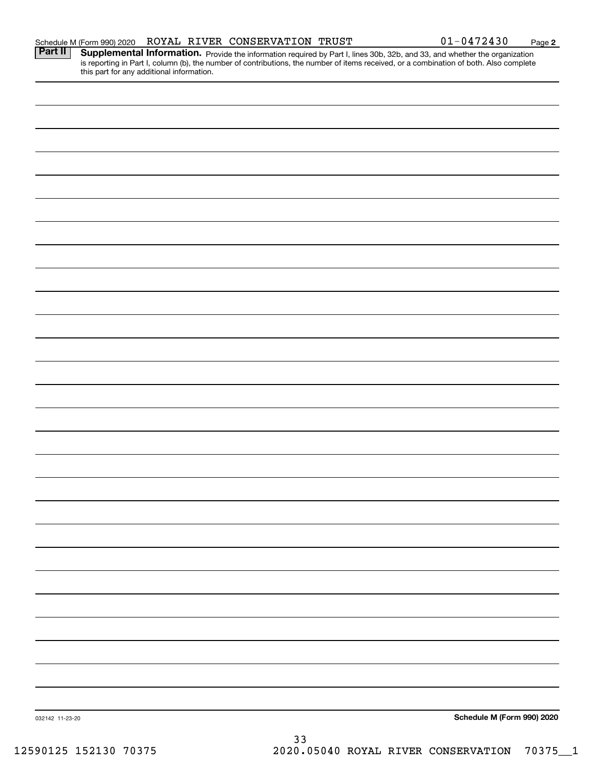| 032142 11-23-20 |  | 33 |  | Schedule M (Form 990) 2020 |
|-----------------|--|----|--|----------------------------|
|                 |  |    |  |                            |
|                 |  |    |  |                            |
|                 |  |    |  |                            |
|                 |  |    |  |                            |
|                 |  |    |  |                            |
|                 |  |    |  |                            |
|                 |  |    |  |                            |
|                 |  |    |  |                            |
|                 |  |    |  |                            |
|                 |  |    |  |                            |
|                 |  |    |  |                            |
|                 |  |    |  |                            |
|                 |  |    |  |                            |
|                 |  |    |  |                            |
|                 |  |    |  |                            |
|                 |  |    |  |                            |
|                 |  |    |  |                            |
|                 |  |    |  |                            |
|                 |  |    |  |                            |
|                 |  |    |  |                            |
|                 |  |    |  |                            |
|                 |  |    |  |                            |
|                 |  |    |  |                            |
|                 |  |    |  |                            |
|                 |  |    |  |                            |
|                 |  |    |  |                            |

Schedule M (Form 990) 2020 Page ROYAL RIVER CONSERVATION TRUST 01-0472430

Provide the information required by Part I, lines 30b, 32b, and 33, and whether the organization

**Part II Supplemental Information.** 

**2**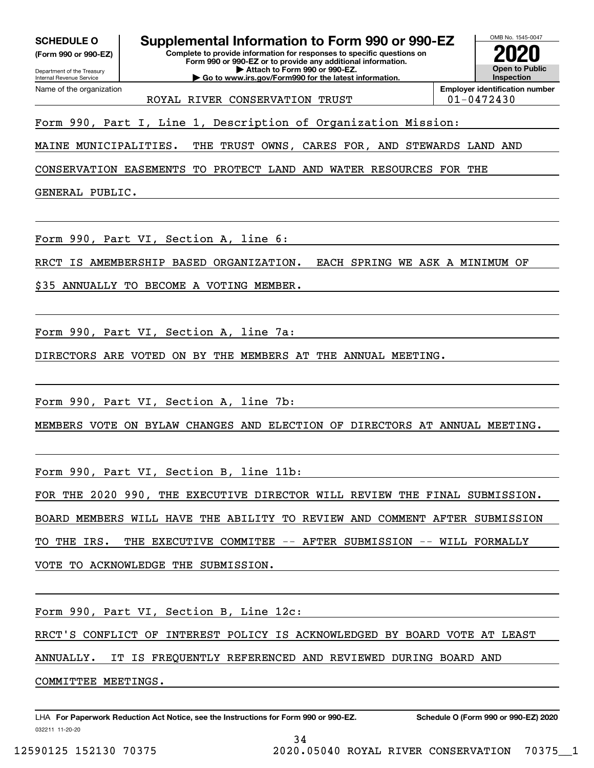**(Form 990 or 990-EZ)**

Department of the Treasury Internal Revenue Service Name of the organization

**Complete to provide information for responses to specific questions on SCHEDULE O Supplemental Information to Form 990 or 990-EZ**

**Form 990 or 990-EZ or to provide any additional information. | Attach to Form 990 or 990-EZ. | Go to www.irs.gov/Form990 for the latest information.**



OMB No. 1545-0047

ROYAL RIVER CONSERVATION TRUST  $|01-0472430$ 

Form 990, Part I, Line 1, Description of Organization Mission:

MAINE MUNICIPALITIES. THE TRUST OWNS, CARES FOR, AND STEWARDS LAND AND

CONSERVATION EASEMENTS TO PROTECT LAND AND WATER RESOURCES FOR THE

GENERAL PUBLIC.

Form 990, Part VI, Section A, line 6:

RRCT IS AMEMBERSHIP BASED ORGANIZATION. EACH SPRING WE ASK A MINIMUM OF

\$35 ANNUALLY TO BECOME A VOTING MEMBER.

Form 990, Part VI, Section A, line 7a:

DIRECTORS ARE VOTED ON BY THE MEMBERS AT THE ANNUAL MEETING.

Form 990, Part VI, Section A, line 7b:

MEMBERS VOTE ON BYLAW CHANGES AND ELECTION OF DIRECTORS AT ANNUAL MEETING.

Form 990, Part VI, Section B, line 11b:

FOR THE 2020 990, THE EXECUTIVE DIRECTOR WILL REVIEW THE FINAL SUBMISSION.

BOARD MEMBERS WILL HAVE THE ABILITY TO REVIEW AND COMMENT AFTER SUBMISSION

TO THE IRS. THE EXECUTIVE COMMITEE -- AFTER SUBMISSION -- WILL FORMALLY

VOTE TO ACKNOWLEDGE THE SUBMISSION.

Form 990, Part VI, Section B, Line 12c:

RRCT'S CONFLICT OF INTEREST POLICY IS ACKNOWLEDGED BY BOARD VOTE AT LEAST

ANNUALLY. IT IS FREQUENTLY REFERENCED AND REVIEWED DURING BOARD AND

COMMITTEE MEETINGS.

032211 11-20-20 LHA For Paperwork Reduction Act Notice, see the Instructions for Form 990 or 990-EZ. Schedule O (Form 990 or 990-EZ) 2020